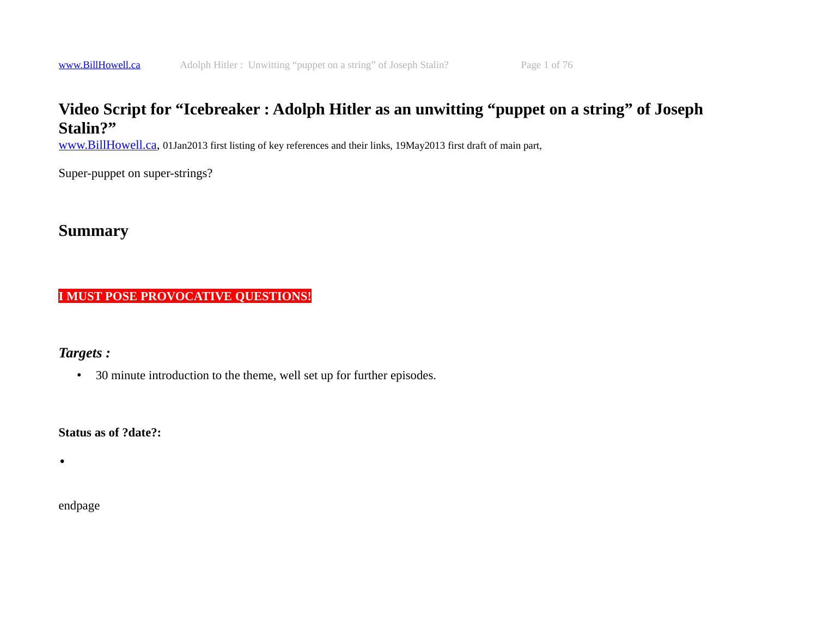## **Video Script for "Icebreaker : Adolph Hitler as an unwitting "puppet on a string" of Joseph Stalin?"**

[www.BillHowell.ca,](http://www.BillHowell.ca/) 01Jan2013 first listing of key references and their links, 19May2013 first draft of main part,

Super-puppet on super-strings?

<span id="page-0-0"></span>**Summary**

### **I MUST POSE PROVOCATIVE QUESTIONS!**

<span id="page-0-1"></span>*Targets :* 

• 30 minute introduction to the theme, well set up for further episodes.

**Status as of ?date?:**

•

endpage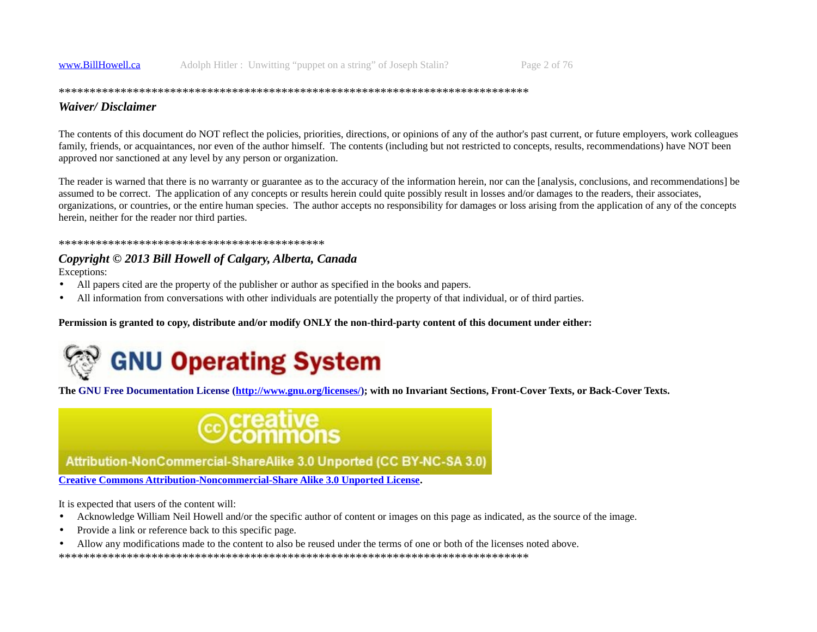#### \*\*\*\*\*\*\*\*\*\*\*\*\*\*\*\*\*\*\*\*\*\*\*\*\*\*\*\*\*\*\*\*\*\*\*\*\*\*\*\*\*\*\*\*\*\*\*\*\*\*\*\*\*\*\*\*\*\*\*\*\*\*\*\*\*\*\*\*\*\*\*\*\*\*\*\*

#### *Waiver/ Disclaimer*

The contents of this document do NOT reflect the policies, priorities, directions, or opinions of any of the author's past current, or future employers, work colleagues family, friends, or acquaintances, nor even of the author himself. The contents (including but not restricted to concepts, results, recommendations) have NOT been approved nor sanctioned at any level by any person or organization.

The reader is warned that there is no warranty or guarantee as to the accuracy of the information herein, nor can the [analysis, conclusions, and recommendations] be assumed to be correct. The application of any concepts or results herein could quite possibly result in losses and/or damages to the readers, their associates, organizations, or countries, or the entire human species. The author accepts no responsibility for damages or loss arising from the application of any of the concepts herein, neither for the reader nor third parties.

#### \*\*\*\*\*\*\*\*\*\*\*\*\*\*\*\*\*\*\*\*\*\*\*\*\*\*\*\*\*\*\*\*\*\*\*\*\*\*\*\*\*\*\*

#### *Copyright © 2013 Bill Howell of Calgary, Alberta, Canada*

Exceptions:

- All papers cited are the property of the publisher or author as specified in the books and papers.
- All information from conversations with other individuals are potentially the property of that individual, or of third parties.

#### **Permission is granted to copy, distribute and/or modify ONLY the non-third-party content of this document under either:**



**The GNU Free Documentation License [\(http://www.gnu.org/licenses/\)](http://www.gnu.org/licenses/); with no Invariant Sections, Front-Cover Texts, or Back-Cover Texts.**



Attribution-NonCommercial-ShareAlike 3.0 Unported (CC BY-NC-SA 3.0)

**[Creative Commons Attribution-Noncommercial-Share Alike 3.0 Unported License.](http://creativecommons.org/licenses/by-nc-sa/3.0/)**

It is expected that users of the content will:

- Acknowledge William Neil Howell and/or the specific author of content or images on this page as indicated, as the source of the image.
- Provide a link or reference back to this specific page.
- Allow any modifications made to the content to also be reused under the terms of one or both of the licenses noted above.

\*\*\*\*\*\*\*\*\*\*\*\*\*\*\*\*\*\*\*\*\*\*\*\*\*\*\*\*\*\*\*\*\*\*\*\*\*\*\*\*\*\*\*\*\*\*\*\*\*\*\*\*\*\*\*\*\*\*\*\*\*\*\*\*\*\*\*\*\*\*\*\*\*\*\*\*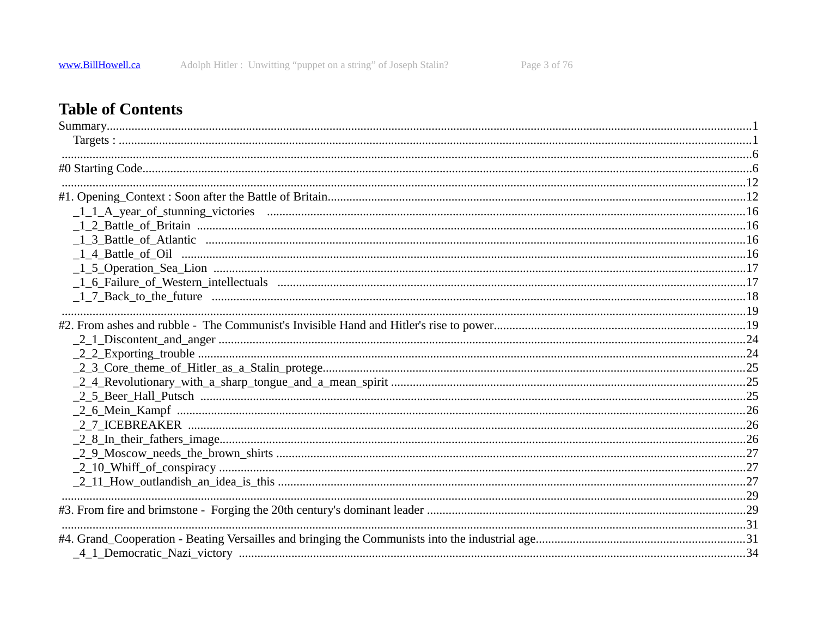# **Table of Contents**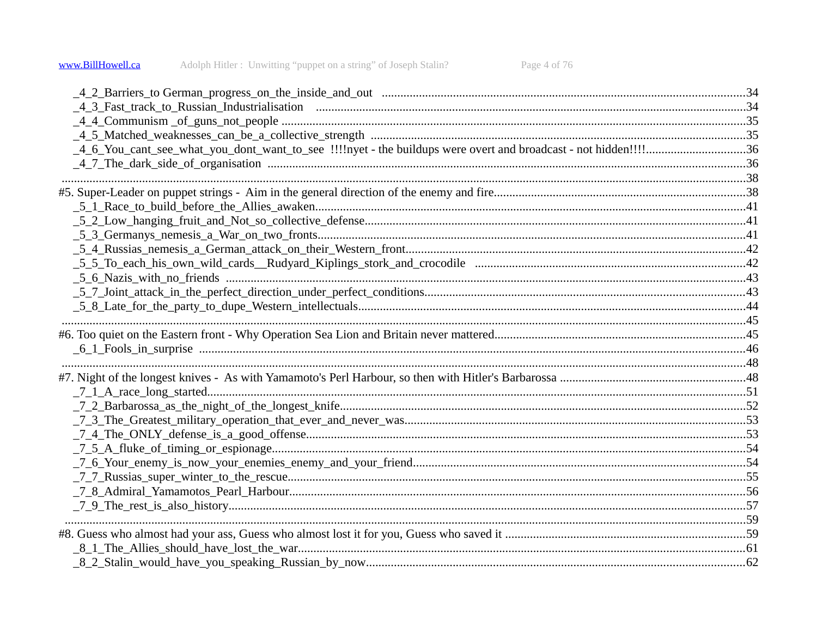| www.BillHowell.ca |  |  |  |  | Adolph Hitler: Unwitting "puppet on a string" of Joseph Stalin? |
|-------------------|--|--|--|--|-----------------------------------------------------------------|
|-------------------|--|--|--|--|-----------------------------------------------------------------|

| _4_6_You_cant_see_what_you_dont_want_to_see !!!!nyet - the buildups were overt and broadcast - not hidden!!!!36 |  |
|-----------------------------------------------------------------------------------------------------------------|--|
|                                                                                                                 |  |
|                                                                                                                 |  |
|                                                                                                                 |  |
|                                                                                                                 |  |
|                                                                                                                 |  |
|                                                                                                                 |  |
|                                                                                                                 |  |
|                                                                                                                 |  |
|                                                                                                                 |  |
| _5_7_Joint_attack_in_the_perfect_direction_under_perfect_conditions……………………………………………………………………………………43           |  |
|                                                                                                                 |  |
|                                                                                                                 |  |
|                                                                                                                 |  |
|                                                                                                                 |  |
|                                                                                                                 |  |
|                                                                                                                 |  |
|                                                                                                                 |  |
|                                                                                                                 |  |
|                                                                                                                 |  |
|                                                                                                                 |  |
|                                                                                                                 |  |
|                                                                                                                 |  |
|                                                                                                                 |  |
|                                                                                                                 |  |
|                                                                                                                 |  |
|                                                                                                                 |  |
|                                                                                                                 |  |
|                                                                                                                 |  |
|                                                                                                                 |  |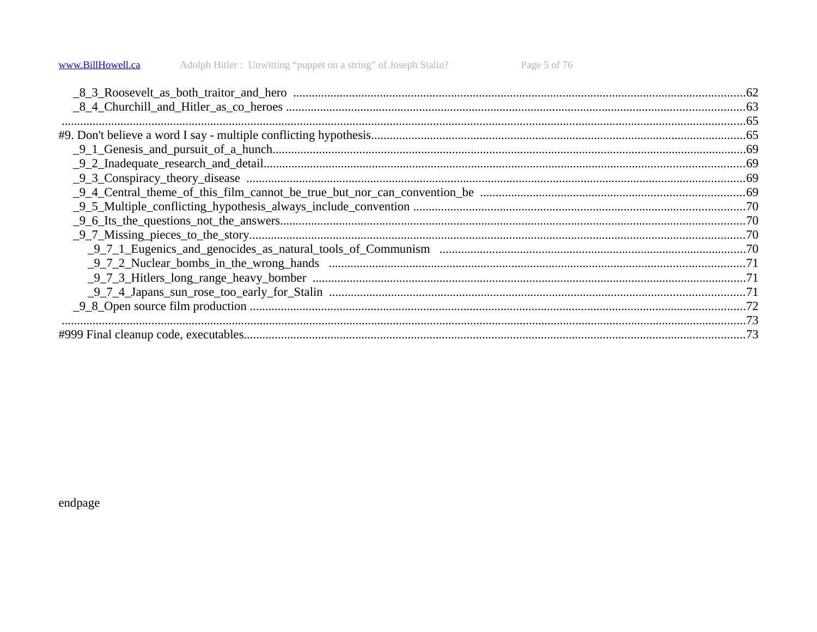| $\label{eq:2.1} \underline{\hbox{8\_3\_Roose} }$<br>$\underline{\hbox{9\_4\_Churchill\_and\_Hitler\_as\_co\_heroes\;}}$ $\hfill \underline{\hbox{63\_63\_Roose} }$                                       |  |
|----------------------------------------------------------------------------------------------------------------------------------------------------------------------------------------------------------|--|
|                                                                                                                                                                                                          |  |
|                                                                                                                                                                                                          |  |
|                                                                                                                                                                                                          |  |
|                                                                                                                                                                                                          |  |
|                                                                                                                                                                                                          |  |
|                                                                                                                                                                                                          |  |
|                                                                                                                                                                                                          |  |
| <u>9.5</u> Multiple_conflicting_hypothesis_always_include_convention_convention_convention_convention_convention_convention_convention_convention_convention_0.<br>0.9 Lts_the_questions_not_the_answers |  |
|                                                                                                                                                                                                          |  |
|                                                                                                                                                                                                          |  |
|                                                                                                                                                                                                          |  |
|                                                                                                                                                                                                          |  |
|                                                                                                                                                                                                          |  |
|                                                                                                                                                                                                          |  |
|                                                                                                                                                                                                          |  |
|                                                                                                                                                                                                          |  |

Page 5 of 76

Adolph Hitler: Unwitting "puppet on a string" of Joseph Stalin?

www.BillHowell.ca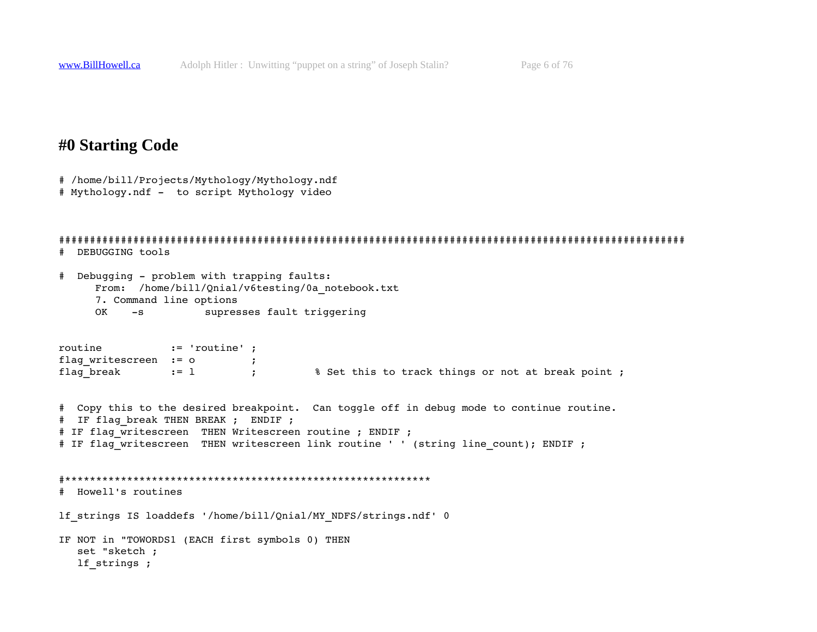### <span id="page-5-1"></span><span id="page-5-0"></span>**#0 Starting Code**

# /home/bill/Projects/Mythology/Mythology.ndf # Mythology.ndf to script Mythology video

#### ##################################################################################################### # DEBUGGING tools

# Debugging - problem with trapping faults: From: /home/bill/Qnial/v6testing/0a notebook.txt 7. Command line options OK -s supresses fault triggering

routine := 'routine' ; flag writescreen := o ; flag\_break := l ; % Set this to track things or not at break point ;

# Copy this to the desired breakpoint. Can toggle off in debug mode to continue routine. # IF flag break THEN BREAK ; ENDIF ; # IF flag writescreen THEN Writescreen routine ; ENDIF ; # IF flag\_writescreen THEN writescreen link routine ' ' (string line count); ENDIF ;

#\*\*\*\*\*\*\*\*\*\*\*\*\*\*\*\*\*\*\*\*\*\*\*\*\*\*\*\*\*\*\*\*\*\*\*\*\*\*\*\*\*\*\*\*\*\*\*\*\*\*\*\*\*\*\*\*\*\*\* # Howell's routines lf\_strings IS loaddefs '/home/bill/Qnial/MY\_NDFS/strings.ndf' 0

IF NOT in "TOWORDS1 (EACH first symbols 0) THEN set "sketch ; lf\_strings ;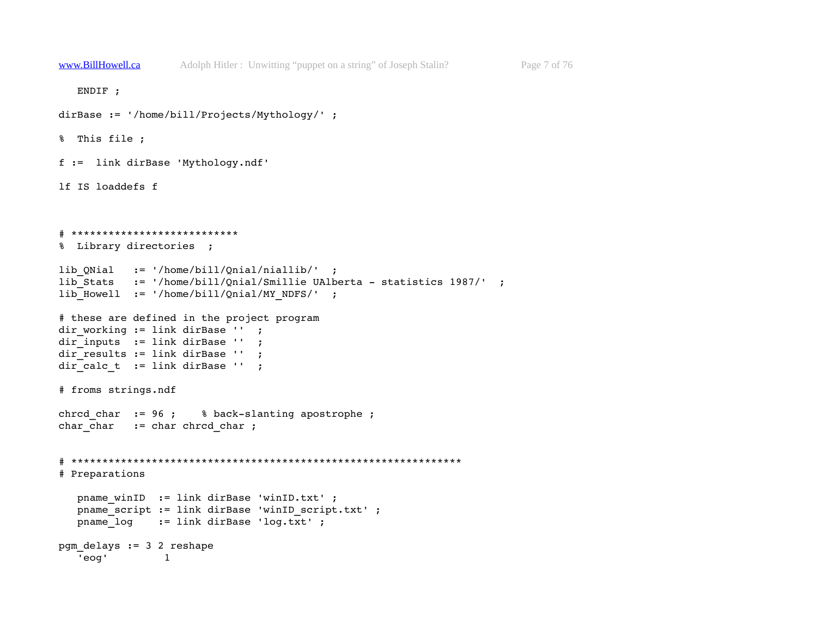```
www.BillHowell.ca Adolph Hitler : Unwitting "puppet on a string" of Joseph Stalin? Page 7 of 76
      ENDIF ;  
dirBase := '/home/bill/Projects/Mythology/' ;  
%  This file ;  
f :=  link dirBase 'Mythology.ndf'
lf IS loaddefs f
# ***************************
%  Library directories  ; 
lib QNial := '/home/bill/Qnial/niallib/' ;
lib_Stats := '/home/bill/Qnial/Smillie UAlberta - statistics 1987/' ;
lib Howell := '/home/bill/Qnial/MY_NDFS/' ;
# these are defined in the project program
dir working := link dirBase '' ;
dir inputs := link dirBase '' ;
dir results := link dirBase '' ;
dir calc_t := link dirBase '' ;
# froms strings.ndf
chrcd char := 96 ; % back-slanting apostrophe ;
char char := char chrcd char ;
# ***************************************************************
# Preparations
   pname winID := link dirBase 'winID.txt' ;
   pname script := link dirBase 'winID script.txt' ;
   pname log := link dirBase 'log.txt' ;
pgm_delays := 3 2 reshape 
   'eog' 1
```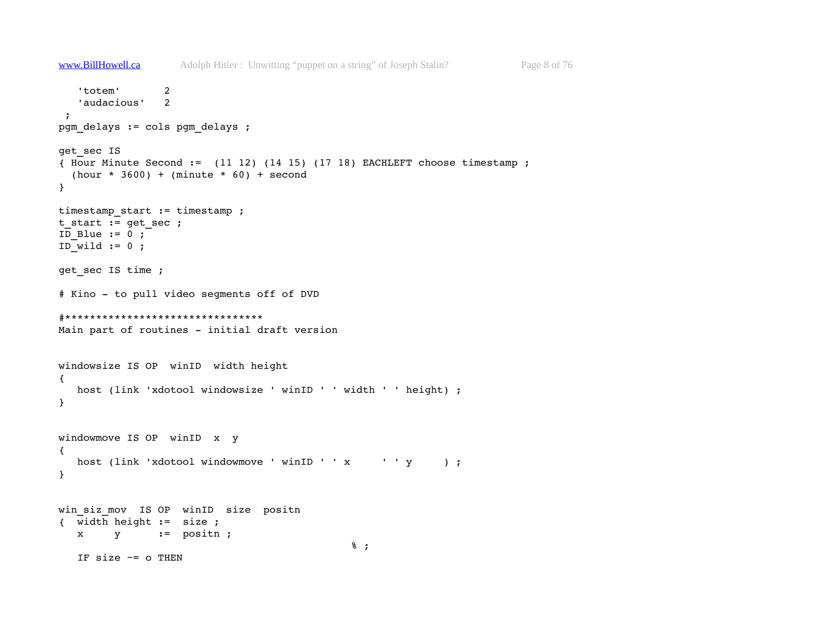```
www.BillHowell.ca Adolph Hitler : Unwitting "puppet on a string" of Joseph Stalin? Page 8 of 76
   'totem' 2
      'audacious'   2  
  ;  
pgm_delays := cols pgm_delays ;  
get_sec IS 
{ Hour Minute Second :=  (11 12) (14 15) (17 18) EACHLEFT choose timestamp ; 
  (hour * 3600) + (minute * 60) + second} 
timestamp start := timestamp ;
t start := get sec ;
ID Blue := 0 ;
ID wild := 0 ;
get_sec IS time ; 
# Kino - to pull video segments off of DVD
#********************************
Main part of routines - initial draft version
windowsize IS OP  winID  width height  
{ 
      host (link 'xdotool windowsize ' winID ' ' width ' ' height) ;  
}  
windowmove IS OP winID x y
{
   host (link 'xdotool windowmove ' winID ' ' x ' ' y ) ;
}  
win siz mov  IS OP  winID  size  positn
{  width height :=  size ;  
   x \t y \t := \text{ position};
                                                  % ;   
   IF size \sim = 0 THEN
```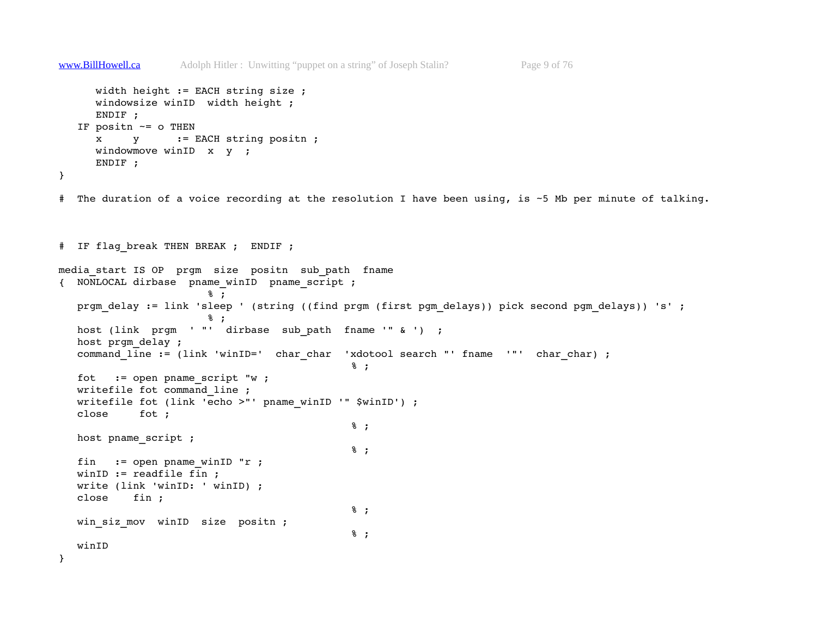```
width height := EACH string size ;
      windowsize winID width height ;
            ENDIF ; 
   IF positn \sim = o THEN<br>x \qquad y := 1
                  := EACH string positn ;
      windowmove winID x y ;
            ENDIF ;  
}  
#  The duration of a voice recording at the resolution I have been using, is ~5 Mb per minute of talking.
# IF flag break THEN BREAK ; ENDIF ;
media start IS OP  prgm  size  positn  sub path  fname
{  NONLOCAL dirbase  pname_winID  pname_script ;  
\frac{8}{6};
  prgm delay := link 'sleep ' (string ((find prgm (first pgm delays)) pick second pgm delays)) 's' ;
\frac{8}{6};
   host (link prgm ' "' dirbase sub path fname '" & ') ;
      host prgm_delay ;  
   command line := (link 'winID='  char  char  'xdotool search "' fname  '"'  char  char) ;
                                                % ;   
   fot := open pname script "w ;
   writefile fot command line ;
  writefile fot (link 'echo >"' pname winID '" $winID') ;
   close fot :
                                                % ;   
  host pname script ;
                                                % ;   
   fin := open pname winID "r ;
   winID := readfile fin ;
      write (link 'winID: ' winID) ;  
      close    fin ; 
                                                % ;   
  win siz mov  winID  size  positn ;
                                                % ;
```
[www.BillHowell.ca](http://www.BillHowell.ca/) Adolph Hitler : Unwitting "puppet on a string" of Joseph Stalin? Page 9 of 76

winID

}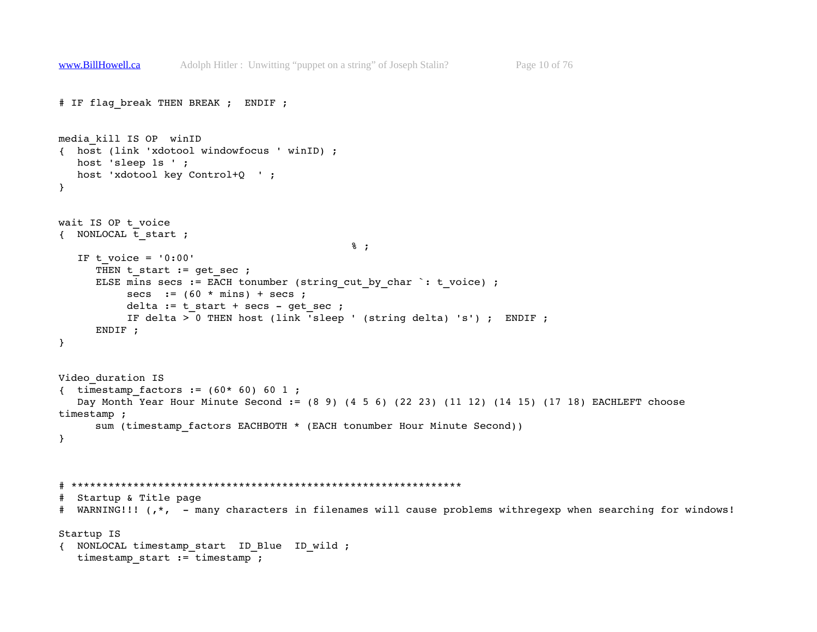```
# IF flag break THEN BREAK ; ENDIF ;
media_kill IS OP  winID  
{  host (link 'xdotool windowfocus ' winID) ; 
      host 'sleep 1s ' ;  
      host 'xdotool key Control+Q  ' ;  
}   
wait IS OP t voice
{  NONLOCAL t_start ;  
                                                 % ;   
   IF t voice = '0:00'THEN t start := get sec ;
      ELSE mins secs := EACH tonumber (string cut by char `: t_voice) ;
           secs := (60 * mins) + secs;
           delta := t start + secs - get sec ;
           IF delta > 0 THEN host (link 'sleep ' (string delta) 's') ; ENDIF ;
            ENDIF ;  
}  
Video duration IS
{ timestamp factors := (60* 60) 60 1 ;
      Day Month Year Hour Minute Second := (8 9) (4 5 6) (22 23) (11 12) (14 15) (17 18) EACHLEFT choose 
timestamp ; 
      sum (timestamp factors EACHBOTH * (EACH tonumber Hour Minute Second))
}  
# ***************************************************************
#  Startup & Title page
#  WARNING!!! (,*,   many characters in filenames will cause problems withregexp when searching for windows!  
Startup IS 
{  NONLOCAL timestamp_start  ID_Blue  ID_wild ;  
   timestamp start := timestamp ;
```
[www.BillHowell.ca](http://www.BillHowell.ca/) Adolph Hitler : Unwitting "puppet on a string" of Joseph Stalin? Page 10 of 76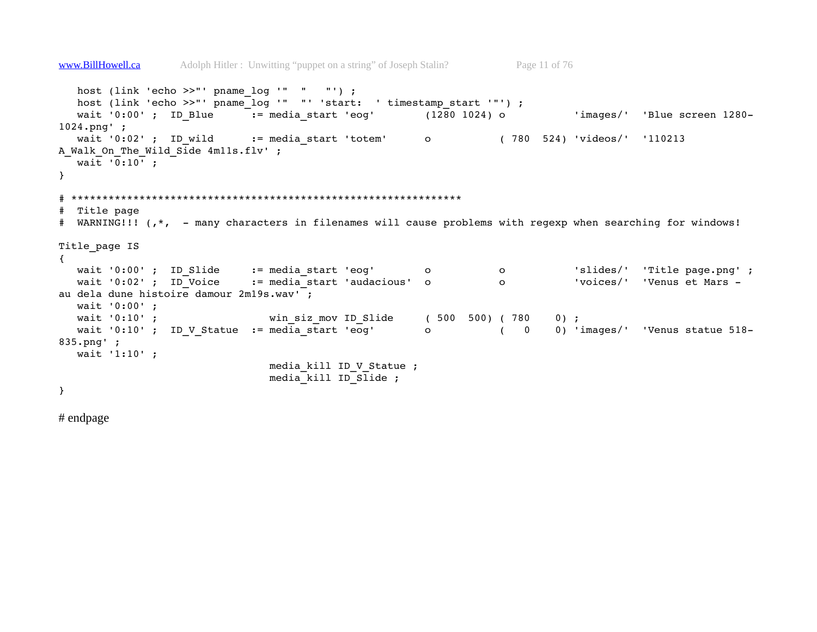```
www.BillHowell.ca Adolph Hitler : Unwitting "puppet on a string" of Joseph Stalin? Page 11 of 76
   host (link 'echo >>"' pname log '" " "') ;
  host (link 'echo >>"' pname log '" "' 'start: ' timestamp_start '"') ;
     wait '0:00' ;  ID_Blue      := media_start 'eog'        (1280 1024) o           'images/'  'Blue screen 1280
1024.png' ;  
  wait '0:02' ; ID wild := media start 'totem'                                   o (780 524) 'videos/' '110213
A Walk On The Wild Side 4ml1s.flv' ;
  wait '0:10' ;
}  
# ***************************************************************
#  Title page
#  WARNING!!! (,*,   many characters in filenames will cause problems with regexp when searching for windows!  
Title page IS
{  
   wait '0:00' ;  ID_Slide     := media_start 'eog'        o           o           'slides/'  'Title page.png' ;
wait '0:02' ;  ID_Voice       := media_start 'audacious'   o                         'voices/'  'Venus et Mars -
au dela dune histoire damour 2m19s.wav';
     wait '0:00' ;  
   wait '0:10' ;                  win_siz_mov ID_Slide     ( 500  500) ( 780    0) ; 
   wait '0:10' ;  ID_V_Statue  := media_start 'eog'        o           (   0    0) 'images/'  'Venus statue 518
835.png' ;  
     wait '1:10' ;  
                                   media kill ID V Statue ;
                                   media kill ID Slide ;
}
```
# endpage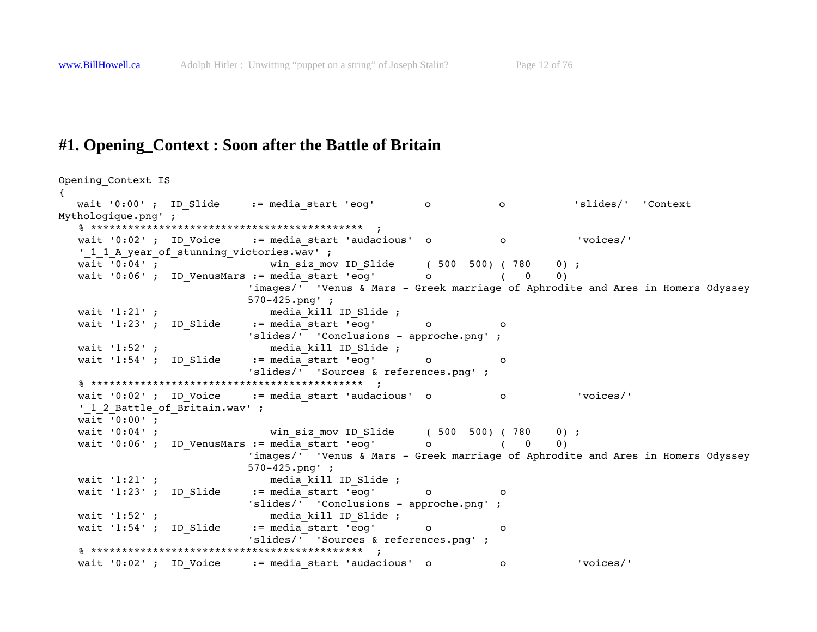#### <span id="page-11-1"></span><span id="page-11-0"></span>**#1. Opening\_Context : Soon after the Battle of Britain**

```
Opening_Context IS 
{  
      wait '0:00' ;  ID_Slide     := media_start 'eog'        o           o           'slides/'  'Context 
Mythologique.png' ;  
      % ********************************************  ;  
      wait '0:02' ;  ID_Voice     := media_start 'audacious'  o           o            'voices/'
   '_1_1_A_year_of_stunning_victories.wav' ;
   wait 0:04'; \frac{1}{10} \frac{1}{10} \frac{1}{100} \frac{1}{100} \frac{1}{100} \frac{1}{100} \frac{1}{100} \frac{1}{100} \frac{1}{100} \frac{1}{100} \frac{1}{100} \frac{1}{100} \frac{1}{100} \frac{1}{100} \frac{1}{100} \frac{1}{100} \frac{1}{100} \frac{1wait '0:06' ; ID VenusMars := media start 'eog' \overline{O} o (0 \ 0)'images/' 'Venus & Mars - Greek marriage of Aphrodite and Ares in Homers Odyssey
                                  570 - 425.png' ;
   wait '1:21' ; hedia kill ID Slide ;
   wait '1:23' ; ID Slide := media start 'eog' \qquad \circ \qquad \qquad o
                                  'slides/' 'Conclusions - approche.png' ;
   wait '1:52' ; held in media kill ID Slide ;
      wait '1:54' ;  ID_Slide     := media_start 'eog'        o           o           
                                  'slides/'  'Sources & references.png' ;  
      % ********************************************  ;  
      wait '0:02' ;  ID_Voice     := media_start 'audacious'  o           o            'voices/'
   ' 1 2 Battle of Britain.wav' ;
      wait '0:00' ;  
      wait '0:04' ;                  win_siz_mov ID_Slide     ( 500  500) ( 780    0) ; 
   wait '0:06' ; ID VenusMars := media start 'eog' \qquad \qquad 0 ( \qquad 0 \qquad 0)'images/' 'Venus & Mars - Greek marriage of Aphrodite and Ares in Homers Odyssey
                                  570425.png' ;  
   wait '1:21' ; hedia kill ID Slide ;
      wait '1:23' ;  ID_Slide     := media_start 'eog'        o           o           
                                  'slides/' 'Conclusions - approche.png' ;
      wait '1:52' ;                  media_kill ID_Slide ;  
      wait '1:54' ;  ID_Slide     := media_start 'eog'        o           o           
                                  'slides/'  'Sources & references.png' ;  
      % ********************************************  ;  
      wait '0:02' ;  ID_Voice     := media_start 'audacious'  o           o            'voices/'
```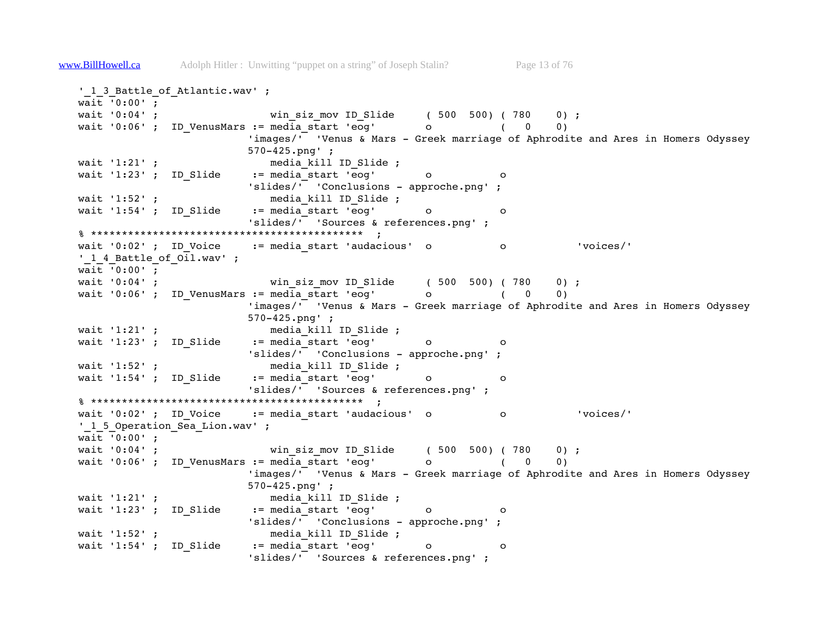[www.BillHowell.ca](http://www.BillHowell.ca/) Adolph Hitler : Unwitting "puppet on a string" of Joseph Stalin? Page 13 of 76

```
' 1 3 Battle of Atlantic.wav' ;
   wait '0:00' ;  
   wait '0:04' ;                  win_siz_mov ID_Slide     ( 500  500) ( 780    0) ; 
wait '0:06' ; ID VenusMars := media start 'eog' \overline{O} o (0 \ 0)'images/' 'Venus & Mars - Greek marriage of Aphrodite and Ares in Homers Odyssey
                            570425.png' ;  
wait '1:21' ; hedia kill ID Slide ;
   wait '1:23' ;  ID_Slide     := media_start 'eog'        o           o           
                            'slides/'  'Conclusions  approche.png' ;  
wait '1:52' ; here media kill ID Slide ;
   wait '1:54' ;  ID_Slide     := media_start 'eog'        o           o           
                            'slides/'  'Sources & references.png' ;  
   % ********************************************  ;  
   wait '0:02' ;  ID_Voice     := media_start 'audacious'  o           o            'voices/'
' 1 4 Battle of Oil.wav' ;
   wait '0:00' ;  
   wait '0:04' ;                  win_siz_mov ID_Slide     ( 500  500) ( 780    0) ; 
wait '0:06' ; ID VenusMars := media start 'eog' \overline{O} o (0 \ 0)'images/' 'Venus & Mars - Greek marriage of Aphrodite and Ares in Homers Odyssey
                            570425.png' ;  
   wait '1:21' ;                  media_kill ID_Slide ;  
wait '1:23' ; ID Slide \qquad := media start 'eog' \qquad \qquad o \qquad \qquad'slides/' 'Conclusions - approche.png' ;
wait '1:52' ; health media kill ID Slide ;
   wait '1:54' ;  ID_Slide     := media_start 'eog'        o           o           
                            'slides/'  'Sources & references.png' ;  
   % ********************************************  ;  
   wait '0:02' ;  ID_Voice     := media_start 'audacious'  o           o            'voices/'
' 1 5 Operation Sea Lion.wav' ;
   wait '0:00' ;  
   wait '0:04' ;                  win_siz_mov ID_Slide     ( 500  500) ( 780    0) ; 
wait '0:06' ; ID VenusMars := media start 'eog' \qquad \qquad 0 ( \qquad 0 \qquad 0)'images/' 'Venus & Mars - Greek marriage of Aphrodite and Ares in Homers Odyssey
                            570 - 425.png' ;
wait '1:21' ; hedia kill ID Slide ;
   wait '1:23' ;  ID_Slide     := media_start 'eog'        o           o           
                            'slides/' 'Conclusions - approche.png' ;
wait '1:52' ; https://wait '1:52' ; https://wait '1:52' ;
   wait '1:54' ;  ID_Slide     := media_start 'eog'        o           o           
                            'slides/'  'Sources & references.png' ;
```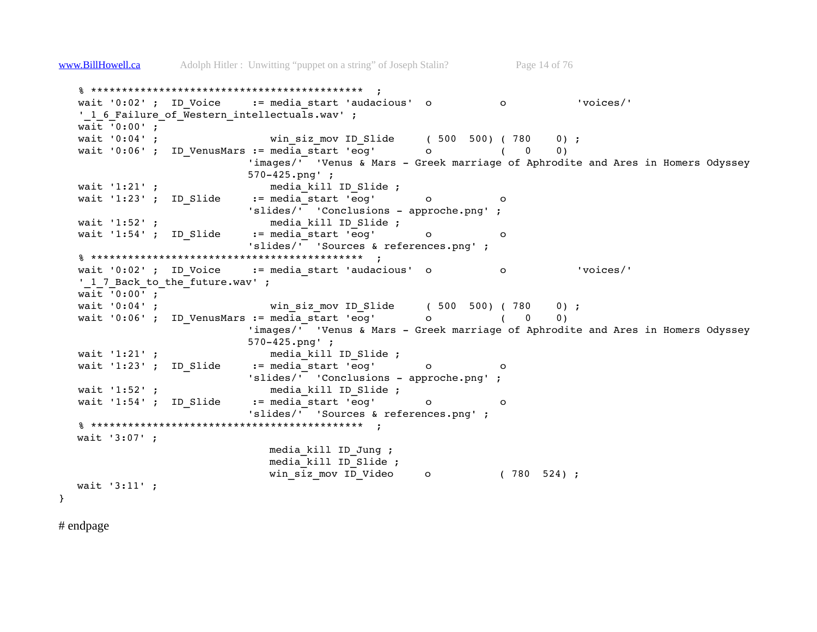[www.BillHowell.ca](http://www.BillHowell.ca/) Adolph Hitler : Unwitting "puppet on a string" of Joseph Stalin? Page 14 of 76 % \*\*\*\*\*\*\*\*\*\*\*\*\*\*\*\*\*\*\*\*\*\*\*\*\*\*\*\*\*\*\*\*\*\*\*\*\*\*\*\*\*\*\*\* ; wait '0:02' ; ID\_Voice := media\_start 'audacious' o o 'voices/' ' 1 6 Failure of Western intellectuals.wav' ;  $\sqrt{a}$ it '0:00' ; wait '0:04' ; win\_siz\_mov ID\_Slide ( 500 500) ( 780 0) ; wait '0:06' ; ID VenusMars := media start 'eog'  $\qquad \qquad$  0  $\qquad \qquad$  (  $\qquad \qquad$  0  $\qquad \qquad$  0) 'images/' 'Venus & Mars - Greek marriage of Aphrodite and Ares in Homers Odyssey  $570 - 425.$ png' ; wait '1:21' ; hedia kill ID Slide ; wait '1:23' ; ID\_Slide := media\_start 'eog' o o 'slides/' 'Conclusions - approche.png'; wait '1:52' ; headia kill ID Slide ; wait '1:54' ; ID\_Slide := media\_start 'eog' o o 'slides/' 'Sources & references.png' ; % \*\*\*\*\*\*\*\*\*\*\*\*\*\*\*\*\*\*\*\*\*\*\*\*\*\*\*\*\*\*\*\*\*\*\*\*\*\*\*\*\*\*\*\* ; wait '0:02' ; ID\_Voice := media\_start 'audacious' o o 'voices/' ' 1 7 Back to the future.wav' ;  $\sqrt{a}i\overline{b}$   $\overline{b}$   $\overline{c}$   $\overline{c}$   $\overline{c}$   $\overline{c}$   $\overline{c}$   $\overline{c}$   $\overline{c}$   $\overline{c}$   $\overline{c}$   $\overline{c}$   $\overline{c}$   $\overline{c}$   $\overline{c}$   $\overline{c}$   $\overline{c}$   $\overline{c}$   $\overline{c}$   $\overline{c}$   $\overline{c}$   $\overline{c}$   $\overline{c}$   $\overline{c}$  wait '0:04' ; win\_siz\_mov ID\_Slide ( 500 500) ( 780 0) ; wait '0:06' ; ID VenusMars := media start 'eog'  $\overline{O}$  o  $(0 \ 0)$ 'images/' 'Venus & Mars - Greek marriage of Aphrodite and Ares in Homers Odyssey 570425.png' ; wait '1:21' ;<br>wait '1:23' ; ID Slide := media start 'eog' wait '1:23' ; ID\_Slide := media\_start 'eog' o o 'slides/' 'Conclusions - approche.png' ; wait '1:52' ; media\_kill ID\_Slide ; wait '1:54' ; ID Slide  $\qquad :=$  media start 'eog'  $\qquad \qquad$  o  $\qquad \qquad$ 'slides/' 'Sources & references.png' ; % \*\*\*\*\*\*\*\*\*\*\*\*\*\*\*\*\*\*\*\*\*\*\*\*\*\*\*\*\*\*\*\*\*\*\*\*\*\*\*\*\*\*\*\* ; wait '3:07' ; media kill ID Jung ; media kill ID Slide ; win  $\overline{\text{size}}$  mov ID Video  $\overline{\text{O}}$  o (780 524); wait '3:11' ;

# endpage

}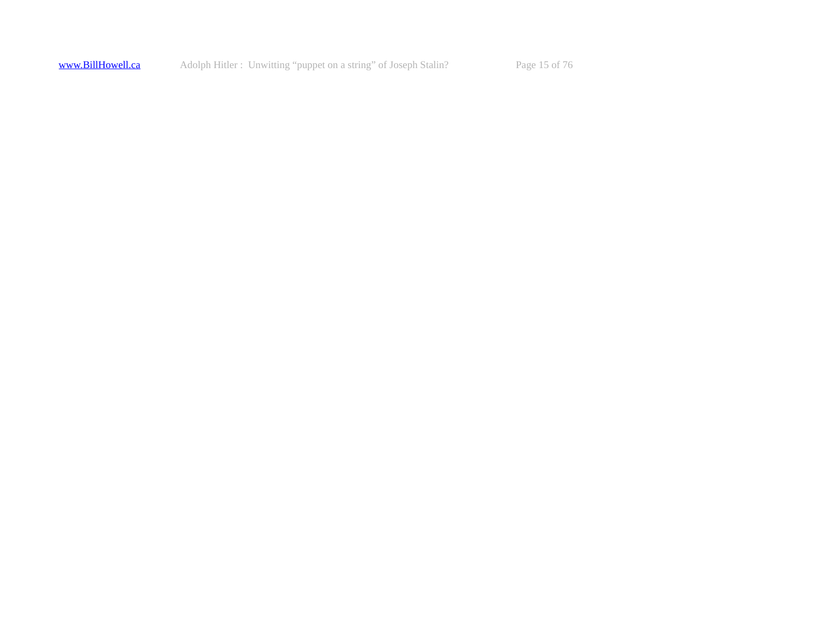[www.BillHowell.ca](http://www.BillHowell.ca/) Adolph Hitler : Unwitting "puppet on a string" of Joseph Stalin? Page 15 of 76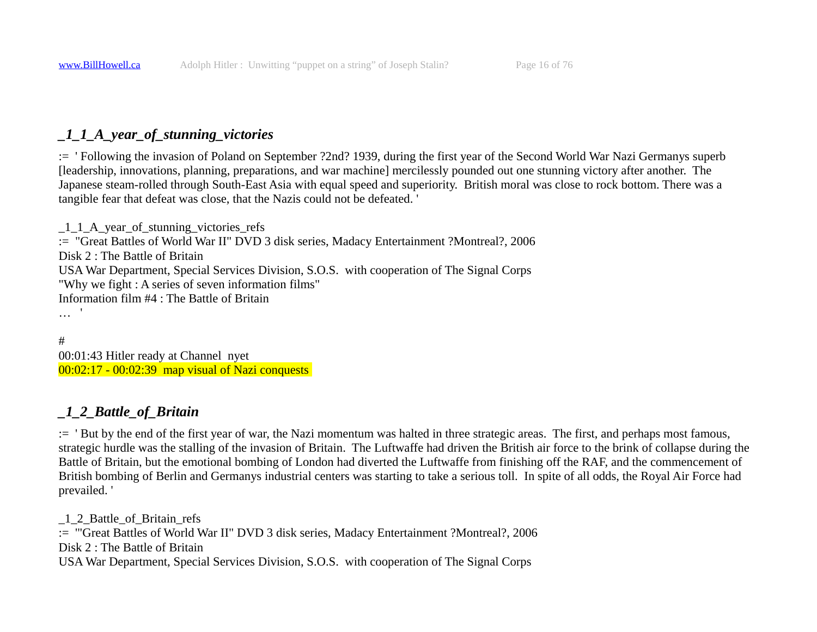#### <span id="page-15-0"></span>*\_1\_1\_A\_year\_of\_stunning\_victories*

:= ' Following the invasion of Poland on September ?2nd? 1939, during the first year of the Second World War Nazi Germanys superb [leadership, innovations, planning, preparations, and war machine] mercilessly pounded out one stunning victory after another. The Japanese steam-rolled through South-East Asia with equal speed and superiority. British moral was close to rock bottom. There was a tangible fear that defeat was close, that the Nazis could not be defeated. '

\_1\_1\_A\_year\_of\_stunning\_victories\_refs := "Great Battles of World War II" DVD 3 disk series, Madacy Entertainment ?Montreal?, 2006 Disk 2 : The Battle of Britain USA War Department, Special Services Division, S.O.S. with cooperation of The Signal Corps "Why we fight : A series of seven information films" Information film #4 : The Battle of Britain  $\mathbf{u}$  :

# 00:01:43 Hitler ready at Channel nyet 00:02:17 - 00:02:39 map visual of Nazi conquests

### <span id="page-15-1"></span>*\_1\_2\_Battle\_of\_Britain*

:= ' But by the end of the first year of war, the Nazi momentum was halted in three strategic areas. The first, and perhaps most famous, strategic hurdle was the stalling of the invasion of Britain. The Luftwaffe had driven the British air force to the brink of collapse during the Battle of Britain, but the emotional bombing of London had diverted the Luftwaffe from finishing off the RAF, and the commencement of British bombing of Berlin and Germanys industrial centers was starting to take a serious toll. In spite of all odds, the Royal Air Force had prevailed. '

\_1\_2\_Battle\_of\_Britain\_refs := '"Great Battles of World War II" DVD 3 disk series, Madacy Entertainment ?Montreal?, 2006 Disk 2 : The Battle of Britain USA War Department, Special Services Division, S.O.S. with cooperation of The Signal Corps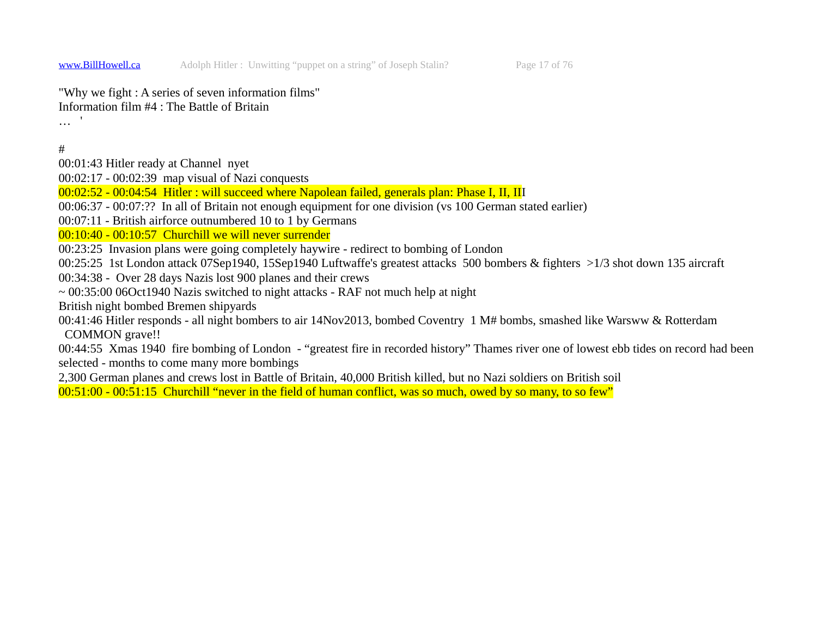"Why we fight : A series of seven information films" Information film #4 : The Battle of Britain

… <u>'</u>

#

00:01:43 Hitler ready at Channel nyet

00:02:17 - 00:02:39 map visual of Nazi conquests

00:02:52 - 00:04:54 Hitler : will succeed where Napolean failed, generals plan: Phase I, II, III

00:06:37 - 00:07:?? In all of Britain not enough equipment for one division (vs 100 German stated earlier)

00:07:11 - British airforce outnumbered 10 to 1 by Germans

00:10:40 - 00:10:57 Churchill we will never surrender

00:23:25 Invasion plans were going completely haywire - redirect to bombing of London

00:25:25 1st London attack 07Sep1940, 15Sep1940 Luftwaffe's greatest attacks 500 bombers & fighters >1/3 shot down 135 aircraft

00:34:38 - Over 28 days Nazis lost 900 planes and their crews

 $\sim$  00:35:00 06Oct1940 Nazis switched to night attacks - RAF not much help at night

British night bombed Bremen shipyards

00:41:46 Hitler responds - all night bombers to air 14Nov2013, bombed Coventry 1 M# bombs, smashed like Warsww & Rotterdam COMMON grave!!

00:44:55 Xmas 1940 fire bombing of London - "greatest fire in recorded history" Thames river one of lowest ebb tides on record had been selected - months to come many more bombings

2,300 German planes and crews lost in Battle of Britain, 40,000 British killed, but no Nazi soldiers on British soil 00:51:00 - 00:51:15 Churchill "never in the field of human conflict, was so much, owed by so many, to so few"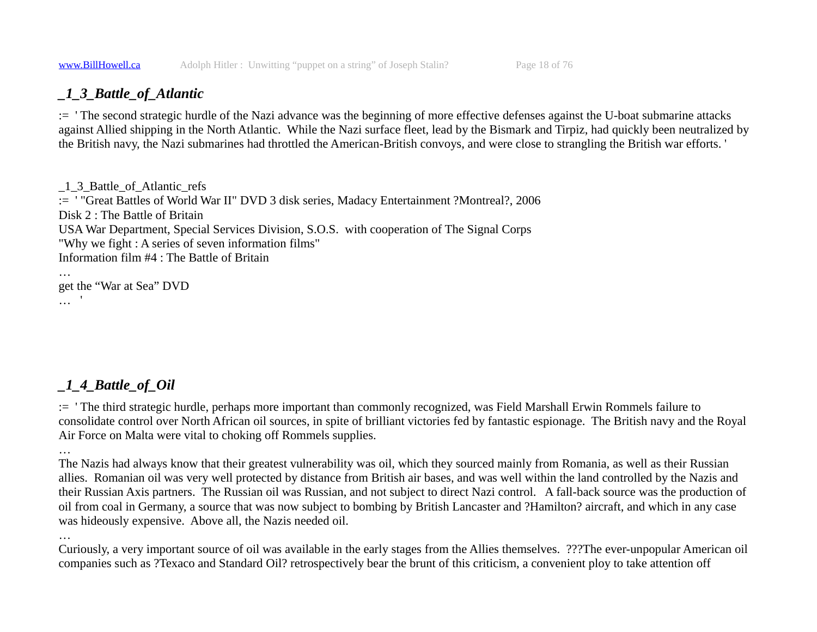## <span id="page-17-0"></span>*\_1\_3\_Battle\_of\_Atlantic*

:= ' The second strategic hurdle of the Nazi advance was the beginning of more effective defenses against the U-boat submarine attacks against Allied shipping in the North Atlantic. While the Nazi surface fleet, lead by the Bismark and Tirpiz, had quickly been neutralized by the British navy, the Nazi submarines had throttled the American-British convoys, and were close to strangling the British war efforts. '

\_1\_3\_Battle\_of\_Atlantic\_refs := ' "Great Battles of World War II" DVD 3 disk series, Madacy Entertainment ?Montreal?, 2006 Disk 2 : The Battle of Britain USA War Department, Special Services Division, S.O.S. with cooperation of The Signal Corps "Why we fight : A series of seven information films" Information film #4 : The Battle of Britain

… get the "War at Sea" DVD  $\cdots$ <sup>'</sup>

## <span id="page-17-1"></span>*\_1\_4\_Battle\_of\_Oil*

:= ' The third strategic hurdle, perhaps more important than commonly recognized, was Field Marshall Erwin Rommels failure to consolidate control over North African oil sources, in spite of brilliant victories fed by fantastic espionage. The British navy and the Royal Air Force on Malta were vital to choking off Rommels supplies.

…

The Nazis had always know that their greatest vulnerability was oil, which they sourced mainly from Romania, as well as their Russian allies. Romanian oil was very well protected by distance from British air bases, and was well within the land controlled by the Nazis and their Russian Axis partners. The Russian oil was Russian, and not subject to direct Nazi control. A fall-back source was the production of oil from coal in Germany, a source that was now subject to bombing by British Lancaster and ?Hamilton? aircraft, and which in any case was hideously expensive. Above all, the Nazis needed oil.

…

Curiously, a very important source of oil was available in the early stages from the Allies themselves. ???The ever-unpopular American oil companies such as ?Texaco and Standard Oil? retrospectively bear the brunt of this criticism, a convenient ploy to take attention off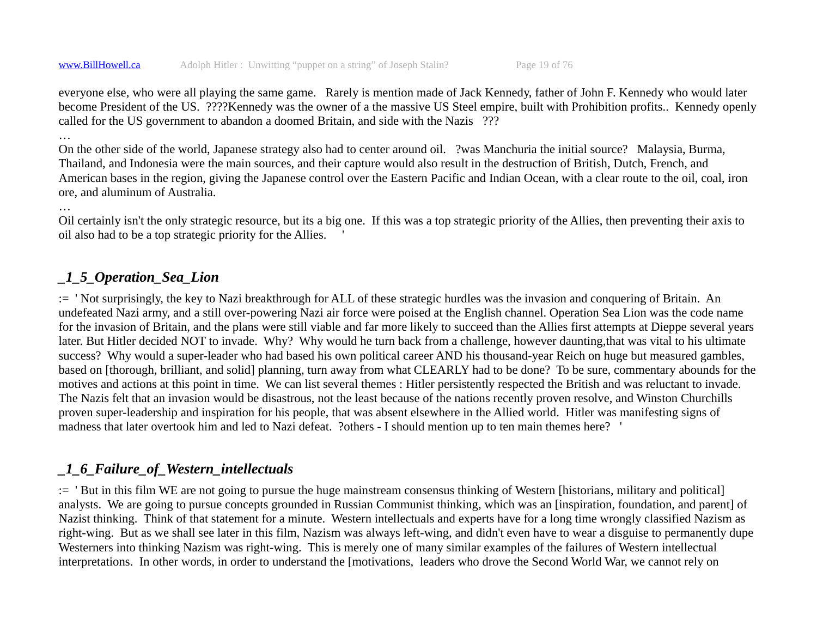#### [www.BillHowell.ca](http://www.BillHowell.ca/) Adolph Hitler : Unwitting "puppet on a string" of Joseph Stalin? Page 19 of 76

everyone else, who were all playing the same game. Rarely is mention made of Jack Kennedy, father of John F. Kennedy who would later become President of the US. ????Kennedy was the owner of a the massive US Steel empire, built with Prohibition profits.. Kennedy openly called for the US government to abandon a doomed Britain, and side with the Nazis ???

…

On the other side of the world, Japanese strategy also had to center around oil. ?was Manchuria the initial source? Malaysia, Burma, Thailand, and Indonesia were the main sources, and their capture would also result in the destruction of British, Dutch, French, and American bases in the region, giving the Japanese control over the Eastern Pacific and Indian Ocean, with a clear route to the oil, coal, iron ore, and aluminum of Australia.

…

Oil certainly isn't the only strategic resource, but its a big one. If this was a top strategic priority of the Allies, then preventing their axis to oil also had to be a top strategic priority for the Allies. '

#### <span id="page-18-0"></span>*\_1\_5\_Operation\_Sea\_Lion*

:= ' Not surprisingly, the key to Nazi breakthrough for ALL of these strategic hurdles was the invasion and conquering of Britain. An undefeated Nazi army, and a still over-powering Nazi air force were poised at the English channel. Operation Sea Lion was the code name for the invasion of Britain, and the plans were still viable and far more likely to succeed than the Allies first attempts at Dieppe several years later. But Hitler decided NOT to invade. Why? Why would he turn back from a challenge, however daunting,that was vital to his ultimate success? Why would a super-leader who had based his own political career AND his thousand-year Reich on huge but measured gambles, based on [thorough, brilliant, and solid] planning, turn away from what CLEARLY had to be done? To be sure, commentary abounds for the motives and actions at this point in time. We can list several themes : Hitler persistently respected the British and was reluctant to invade. The Nazis felt that an invasion would be disastrous, not the least because of the nations recently proven resolve, and Winston Churchills proven super-leadership and inspiration for his people, that was absent elsewhere in the Allied world. Hitler was manifesting signs of madness that later overtook him and led to Nazi defeat. ?others - I should mention up to ten main themes here? '

## <span id="page-18-1"></span>*\_1\_6\_Failure\_of\_Western\_intellectuals*

:= ' But in this film WE are not going to pursue the huge mainstream consensus thinking of Western [historians, military and political] analysts. We are going to pursue concepts grounded in Russian Communist thinking, which was an [inspiration, foundation, and parent] of Nazist thinking. Think of that statement for a minute. Western intellectuals and experts have for a long time wrongly classified Nazism as right-wing. But as we shall see later in this film, Nazism was always left-wing, and didn't even have to wear a disguise to permanently dupe Westerners into thinking Nazism was right-wing. This is merely one of many similar examples of the failures of Western intellectual interpretations. In other words, in order to understand the [motivations, leaders who drove the Second World War, we cannot rely on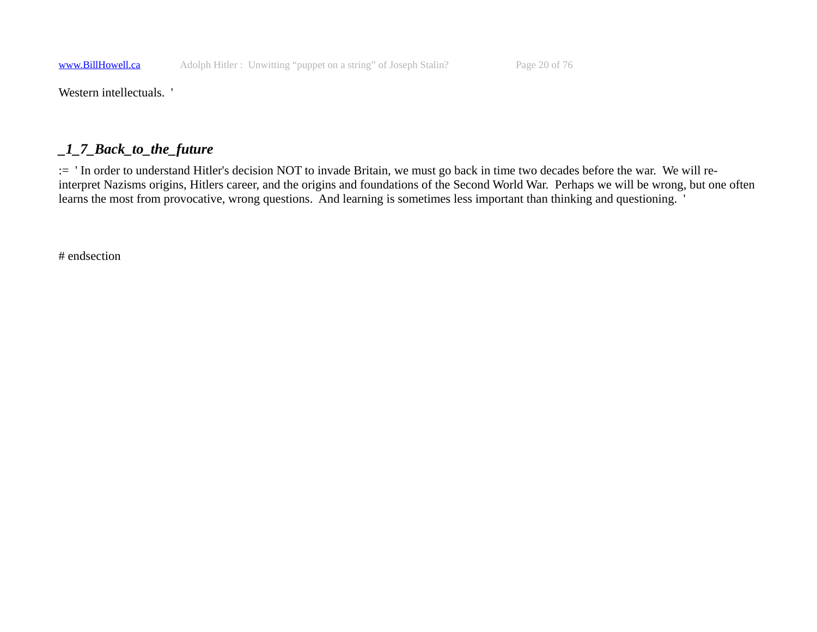[www.BillHowell.ca](http://www.BillHowell.ca/) Adolph Hitler : Unwitting "puppet on a string" of Joseph Stalin? Page 20 of 76

Western intellectuals. '

#### <span id="page-19-0"></span>*\_1\_7\_Back\_to\_the\_future*

:= ' In order to understand Hitler's decision NOT to invade Britain, we must go back in time two decades before the war. We will reinterpret Nazisms origins, Hitlers career, and the origins and foundations of the Second World War. Perhaps we will be wrong, but one often learns the most from provocative, wrong questions. And learning is sometimes less important than thinking and questioning. '

# endsection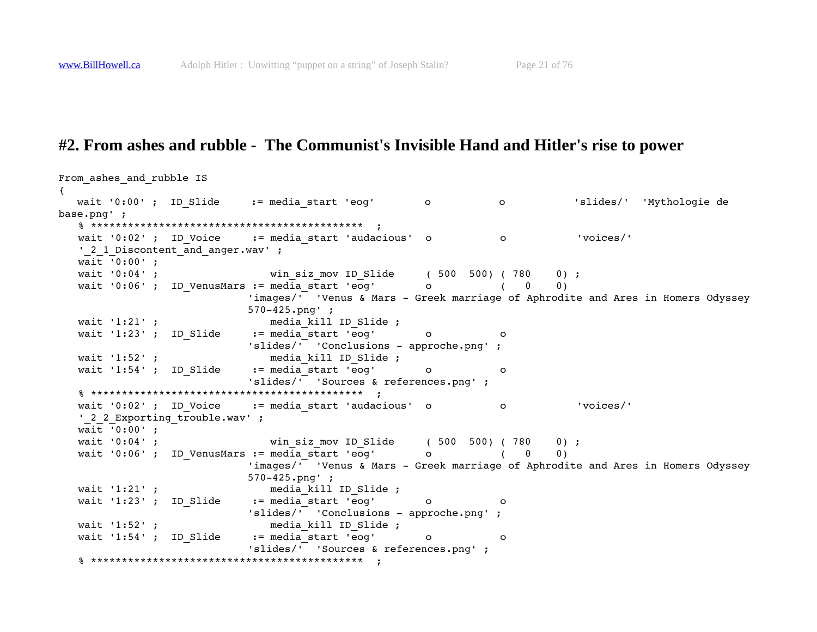#### <span id="page-20-1"></span><span id="page-20-0"></span>**#2. From ashes and rubble - The Communist's Invisible Hand and Hitler's rise to power**

```
From ashes and rubble IS
{  
     wait '0:00' ;  ID_Slide     := media_start 'eog'        o           o           'slides/'  'Mythologie de 
base.png' ;  
      % ********************************************  ;  
      wait '0:02' ;  ID_Voice     := media_start 'audacious'  o           o            'voices/'
   ' 2 1 Discontent and anger.wav' ;
      wait '0:00' ;  
      wait '0:04' ;                  win_siz_mov ID_Slide     ( 500  500) ( 780    0) ; 
   wait '0:06' ; ID VenusMars := media start 'eog' \overline{O} o (0 \ 0)'images/' 'Venus & Mars - Greek marriage of Aphrodite and Ares in Homers Odyssey
                               570-425.png' ;<br>media kill ID Slide ;
   wait '1:21' ;                  media_kill ID_Slide ;  
   wait '1:23' ;  ID_Slide     := media_start 'eog'        o           o           
                              'slides/' 'Conclusions - approche.png';
      wait '1:52' ;                  media_kill ID_Slide ;  
      wait '1:54' ;  ID_Slide     := media_start 'eog'        o           o           
                               'slides/'  'Sources & references.png' ;  
      % ********************************************  ;  
      wait '0:02' ;  ID_Voice     := media_start 'audacious'  o           o            'voices/'
   ' 2 2 Exporting trouble.wav' ;
      wait '0:00' ;  
      wait '0:04' ;                  win_siz_mov ID_Slide     ( 500  500) ( 780    0) ; 
   wait '0:06' ; ID VenusMars := media start 'eog' \overline{O} o (0 \ 0)'images/' 'Venus & Mars - Greek marriage of Aphrodite and Ares in Homers Odyssey
                                570 - 425.png' ;
   wait '1:21' ; hedia kill ID Slide ;
      wait '1:23' ;  ID_Slide     := media_start 'eog'        o           o           
                                'slides/ \cdot 'Conclusions - approche.png' ;
      wait '1:52' ;                  media_kill ID_Slide ;  
      wait '1:54' ;  ID_Slide     := media_start 'eog'        o           o           
                               'slides/'  'Sources & references.png' ;  
      % ********************************************  ;
```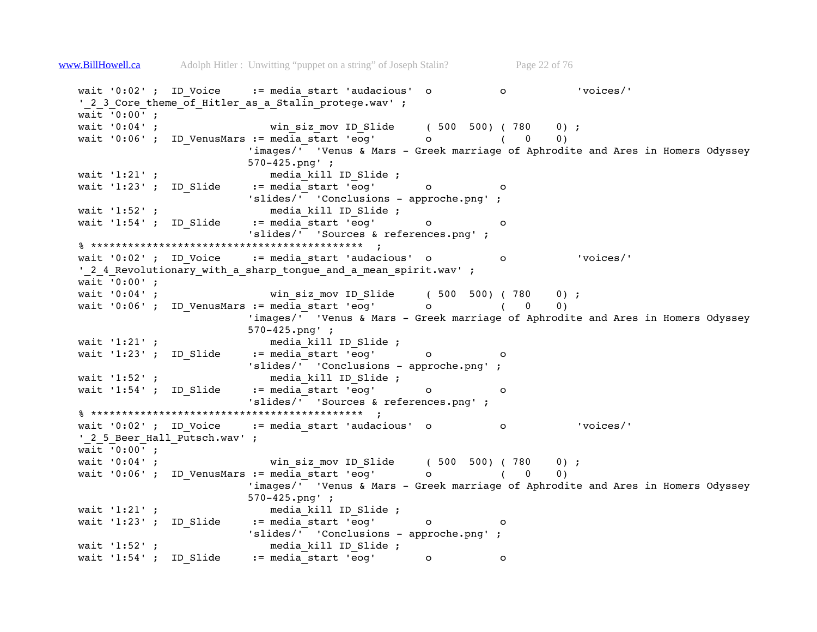[www.BillHowell.ca](http://www.BillHowell.ca/) Adolph Hitler : Unwitting "puppet on a string" of Joseph Stalin? Page 22 of 76

```
   wait '0:02' ;  ID_Voice     := media_start 'audacious'  o           o            'voices/'
' 2 3 Core theme of Hitler as a Stalin protege.wav' ;
   wait '0:00' ;  
   wait '0:04' ;                  win_siz_mov ID_Slide     ( 500  500) ( 780    0) ; 
wait '0:06' ; ID VenusMars := media start 'eog' \qquad \qquad 0 \qquad \qquad ( \qquad \qquad 0)
                             'images/' 'Venus & Mars - Greek marriage of Aphrodite and Ares in Homers Odyssey
                             570425.png' ;  
wait '1:21' ; hedia kill ID Slide ;
   wait '1:23' ;  ID_Slide     := media_start 'eog'        o           o           
                             'slides/' 'Conclusions - approche.png' ;
   wait '1:52' ;                  media_kill ID_Slide ;  
   wait '1:54' ;  ID_Slide     := media_start 'eog'        o           o           
                             'slides/' 'Sources & references.png' ;
   % ********************************************  ;  
   wait '0:02' ;  ID_Voice     := media_start 'audacious'  o           o            'voices/'
' 2 4 Revolutionary with a sharp tongue and a mean spirit.wav' ;
   wait '0:00' ;  
   wait '0:04' ;                  win_siz_mov ID_Slide     ( 500  500) ( 780    0) ; 
wait '0:06' ; ID VenusMars := media start 'eog' \qquad \qquad 0 ( \qquad 0 \qquad 0)'images/' 'Venus & Mars - Greek marriage of Aphrodite and Ares in Homers Odyssey
                             570 - 425.png' ;
wait '1:21' ; hedia kill ID Slide ;
   wait '1:23' ;  ID_Slide     := media_start 'eog'        o           o           
                             'slides/'  'Conclusions  approche.png' ;  
   wait '1:52' ;                  media_kill ID_Slide ;  
   wait '1:54' ;  ID_Slide     := media_start 'eog'        o           o           
                             'slides/' 'Sources & references.png' ;
   % ********************************************  ;  
   wait '0:02' ;  ID_Voice     := media_start 'audacious'  o           o            'voices/'
' 2 5 Beer Hall Putsch.wav' ;
   wait '0:00' ;  
wait '0:04' ;<br>win_siz_mov ID_Slide (500 500) (780 0) ;<br>wait '0:06' ; ID VenusMars := media start 'eog' o (0 0)
wait '0:06' ; ID VenusMars := media start 'eog' \qquad \qquad 0 ( \qquad 0 \qquad 0)'images/' 'Venus & Mars - Greek marriage of Aphrodite and Ares in Homers Odyssey
                             570425.png' ;  
wait '1:21' ; hedia kill ID Slide ;
   wait '1:23' ;  ID_Slide     := media_start 'eog'        o           o           
                             'slides/' 'Conclusions - approche.png' ;
   wait '1:52' ;                  media_kill ID_Slide ;  
wait '1:54' ; ID Slide := media start 'eog' \qquad \qquad o \qquad \qquad o
```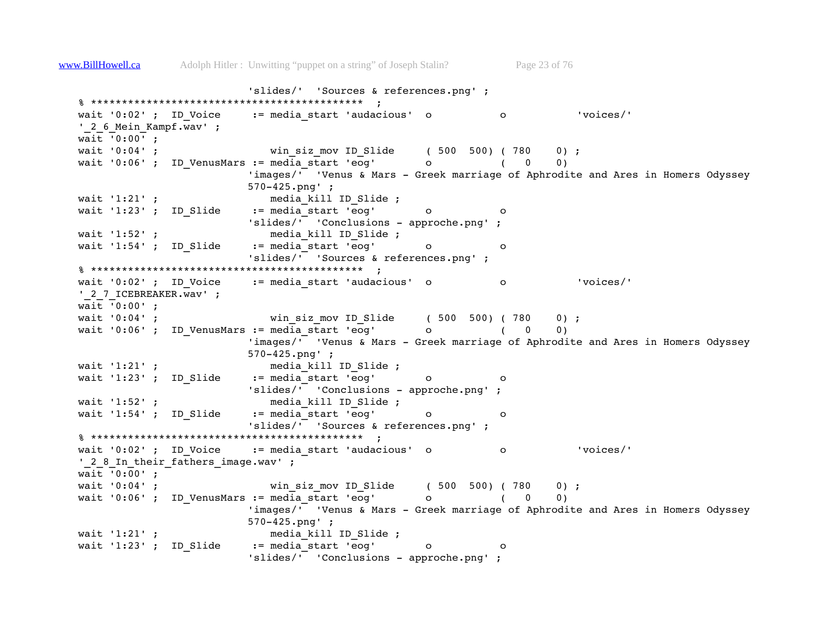[www.BillHowell.ca](http://www.BillHowell.ca/) Adolph Hitler : Unwitting "puppet on a string" of Joseph Stalin? Page 23 of 76

```
'slides/'  'Sources & references.png' ;  
   % ********************************************  ;  
   wait '0:02' ;  ID_Voice     := media_start 'audacious'  o           o            'voices/'
' 2 6 Mein Kampf.wav' ;
\sqrt{a}it '0:00' ;
wait '0:04' ;<br>wait '0:06' : ID VenusMars := media start 'eoq' o (0 0) (0 0)
wait '0:06' ; ID VenusMars := media start 'eog' \qquad \qquad 0 ( \qquad 0 \qquad 0)'images/' 'Venus & Mars - Greek marriage of Aphrodite and Ares in Homers Odyssey
                                  570425.png' ;  
   wait '1:21' ;                  media_kill ID_Slide ;  
   wait '1:23' ;  ID_Slide     := media_start 'eog'        o           o           
                                  'slides/' 'Conclusions - approche.png' ;
wait '1:52' ; hedia kill ID Slide ;
   wait '1:54' ;  ID_Slide     := media_start 'eog'        o           o           
                                  'slides/'  'Sources & references.png' ;  
   % ********************************************  ;  
   wait '0:02' ;  ID_Voice     := media_start 'audacious'  o           o            'voices/'
' 2 7 ICEBREAKER.wav' ;
   wait '0:00' ;  
wait '0:04' ;<br>win_siz_mov ID_Slide (500 500) (780 0) ;<br>wait '0:06' ; ID VenusMars := media start 'eog' (0 0)
wait '0:06' ; ID VenusMars := media start 'eog' \qquad \qquad 0 ( \qquad 0 \qquad 0)'images/' 'Venus & Mars - Greek marriage of Aphrodite and Ares in Homers Odyssey
                                  570425.png' ;  
   wait '1:21' ;                  media_kill ID_Slide ;  
   wait '1:23' ;  ID_Slide     := media_start 'eog'        o           o           
                                  'slides/'  'Conclusions  approche.png' ;  
   wait '1:52' ;                  media_kill ID_Slide ;  
   wait '1:54' ;  ID_Slide     := media_start 'eog'        o           o           
                                  'slides/'  'Sources & references.png' ;  
   % ********************************************  ;  
   wait '0:02' ;  ID_Voice     := media_start 'audacious'  o           o            'voices/'
' 2 8 In their fathers image.wav' ;
\sqrt{a}i\overline{b} \overline{b} \overline{0} \overline{0} \overline{0} \overline{0} \overline{0} \overline{0} \overline{0} \overline{0} \overline{0} \overline{0} \overline{0} \overline{0} \overline{0} \overline{0} \overline{0} \overline{0} \overline{0} \overline{0} \overline{0} \overline{0} \overline{0} \overline{0}   wait '0:04' ;                  win_siz_mov ID_Slide     ( 500  500) ( 780    0) ; 
wait '0:06' ; ID VenusMars := media start 'eog' \qquad \qquad 0 \qquad \qquad ( \qquad \qquad 0 \qquad \qquad 0)
                                  'images/' 'Venus & Mars - Greek marriage of Aphrodite and Ares in Homers Odyssey
                                  570425.png' ;  
   wait '1:21' ;                  media_kill ID_Slide ;  
   wait '1:23' ;  ID_Slide     := media_start 'eog'        o           o           
                                  'slides/' 'Conclusions - approche.png' ;
```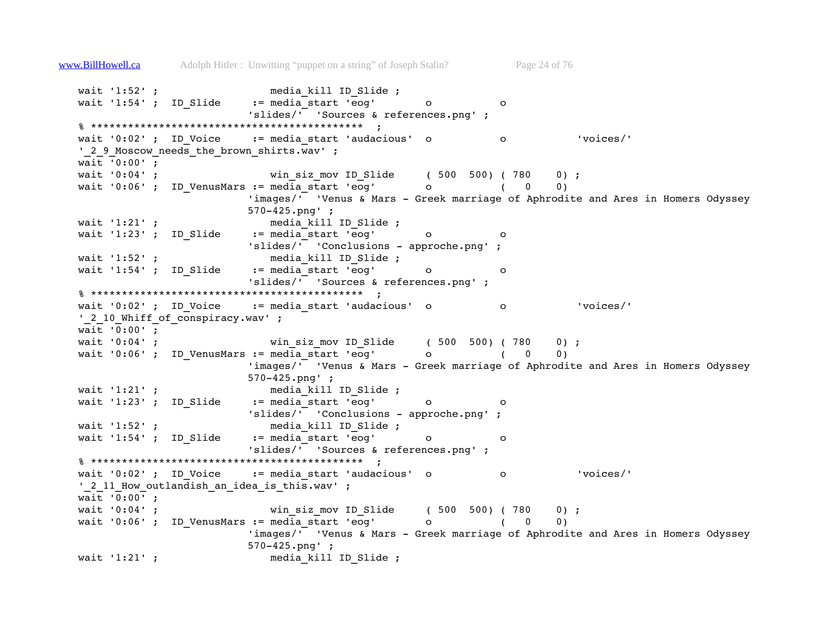```
www.BillHowell.ca Adolph Hitler : Unwitting "puppet on a string" of Joseph Stalin? Page 24 of 76
   wait '1:52' ; https://wait '1:52' ; https://wait '1:52' ;
      wait '1:54' ;  ID_Slide     := media_start 'eog'        o           o           
                                 'slides/'  'Sources & references.png' ;  
      % ********************************************  ;  
      wait '0:02' ;  ID_Voice     := media_start 'audacious'  o           o            'voices/'
   ' 2 9 Moscow needs the brown shirts.wav' ;
      wait '0:00' ;  
      wait '0:04' ;                  win_siz_mov ID_Slide     ( 500  500) ( 780    0) ; 
   wait '0:06' ; ID VenusMars := media start 'eog' \qquad \qquad 0 \qquad \qquad ( \qquad \qquad 0 \qquad \qquad 0)
                                 'images/' 'Venus & Mars - Greek marriage of Aphrodite and Ares in Homers Odyssey
                                 570425.png' ;  
   wait '1:21' ; https://wait '1:21' ; https://wait '1:21' ;
   wait '1:23' ; ID Slide \qquad := media start 'eog' \qquad \qquad o \qquad \qquad'slides/' 'Conclusions - approche.png' ;
      wait '1:52' ;                  media_kill ID_Slide ;  
   wait '1:54' ; ID Slide \qquad := media start 'eog' \qquad \qquad o \qquad \qquad'slides/'  'Sources & references.png' ;  
      % ********************************************  ;  
      wait '0:02' ;  ID_Voice     := media_start 'audacious'  o           o            'voices/'
   ' 2 10 Whiff of conspiracy.wav' ;
      wait '0:00' ;  
      wait '0:04' ;                  win_siz_mov ID_Slide     ( 500  500) ( 780    0) ; 
   wait '0:06' ; ID VenusMars := media start 'eog' \qquad \qquad 0 \qquad \qquad ( \qquad \qquad 0 \qquad \qquad 0)
                                 'images/' 'Venus & Mars - Greek marriage of Aphrodite and Ares in Homers Odyssey
                                 570 - 425.png' ;
   wait '1:21' ; hedia kill ID Slide ;
      wait '1:23' ;  ID_Slide     := media_start 'eog'        o           o           
                                 'slides/'  'Conclusions  approche.png' ;  
   wait '1:52' ; https://wait '1:52' ; https://wait '1:52' ;
      wait '1:54' ;  ID_Slide     := media_start 'eog'        o           o           
                                 'slides/'  'Sources & references.png' ;  
      % ********************************************  ;  
      wait '0:02' ;  ID_Voice     := media_start 'audacious'  o           o            'voices/'
   ' 2 11 How outlandish an idea is this.wav' ;
      wait '0:00' ;  
      wait '0:04' ;                  win_siz_mov ID_Slide     ( 500  500) ( 780    0) ; 
   wait '0:06' ; ID VenusMars := media start 'eog' \qquad \qquad 0 ( \qquad 0 \qquad 0)'images/' 'Venus & Mars - Greek marriage of Aphrodite and Ares in Homers Odyssey
                                 570425.png' ;  
      wait '1:21' ;                  media_kill ID_Slide ;
```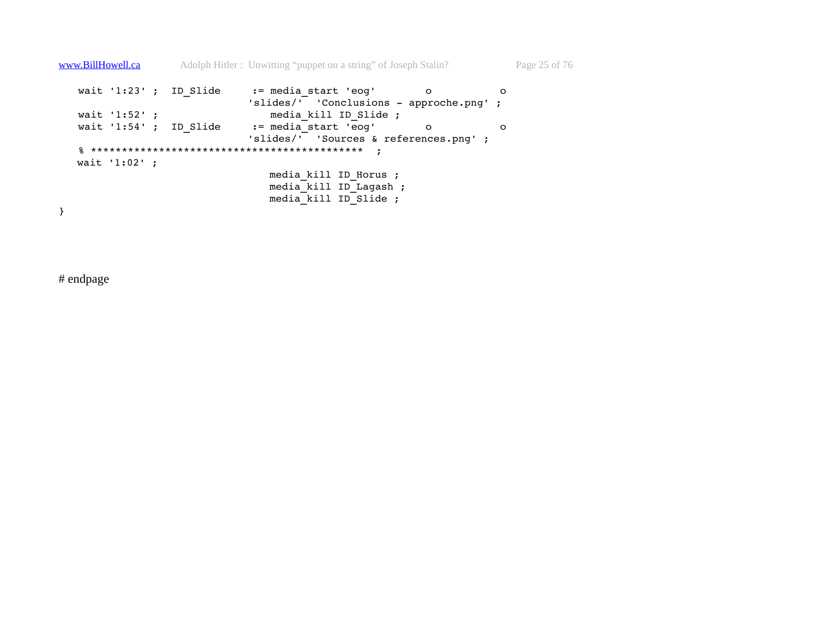| www.BillHowell.ca        | Adolph Hitler: Unwitting "puppet on a string" of Joseph Stalin?                 | Page 25 of 76 |
|--------------------------|---------------------------------------------------------------------------------|---------------|
| wait $'1:23'$ ; ID Slide | := media start 'eog'<br>$\circ$<br>o<br>'slides/' 'Conclusions - approche.png'; |               |
| wait '1:52' ;            | media kill ID Slide ;                                                           |               |
| wait $'1:54'$ ; ID Slide | := media start 'eog'<br>$\circ$                                                 |               |
|                          | 'slides/' 'Sources & references.png' ;                                          |               |
|                          |                                                                                 |               |
| wait $'1:02'$ ;          |                                                                                 |               |
|                          | media kill ID Horus ;                                                           |               |
|                          | media kill ID Lagash ;                                                          |               |
|                          | media kill ID Slide ;                                                           |               |
|                          |                                                                                 |               |

# endpage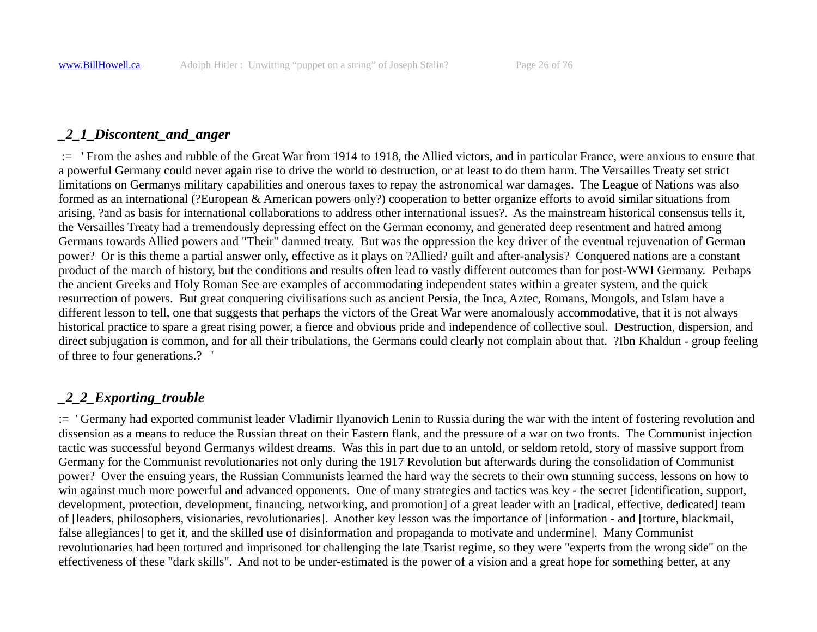#### <span id="page-25-0"></span>*\_2\_1\_Discontent\_and\_anger*

 := ' From the ashes and rubble of the Great War from 1914 to 1918, the Allied victors, and in particular France, were anxious to ensure that a powerful Germany could never again rise to drive the world to destruction, or at least to do them harm. The Versailles Treaty set strict limitations on Germanys military capabilities and onerous taxes to repay the astronomical war damages. The League of Nations was also formed as an international (?European & American powers only?) cooperation to better organize efforts to avoid similar situations from arising, ?and as basis for international collaborations to address other international issues?. As the mainstream historical consensus tells it, the Versailles Treaty had a tremendously depressing effect on the German economy, and generated deep resentment and hatred among Germans towards Allied powers and "Their" damned treaty. But was the oppression the key driver of the eventual rejuvenation of German power? Or is this theme a partial answer only, effective as it plays on ?Allied? guilt and after-analysis? Conquered nations are a constant product of the march of history, but the conditions and results often lead to vastly different outcomes than for post-WWI Germany. Perhaps the ancient Greeks and Holy Roman See are examples of accommodating independent states within a greater system, and the quick resurrection of powers. But great conquering civilisations such as ancient Persia, the Inca, Aztec, Romans, Mongols, and Islam have a different lesson to tell, one that suggests that perhaps the victors of the Great War were anomalously accommodative, that it is not always historical practice to spare a great rising power, a fierce and obvious pride and independence of collective soul. Destruction, dispersion, and direct subjugation is common, and for all their tribulations, the Germans could clearly not complain about that. ?Ibn Khaldun - group feeling of three to four generations.? '

#### <span id="page-25-1"></span>*\_2\_2\_Exporting\_trouble*

:= ' Germany had exported communist leader Vladimir Ilyanovich Lenin to Russia during the war with the intent of fostering revolution and dissension as a means to reduce the Russian threat on their Eastern flank, and the pressure of a war on two fronts. The Communist injection tactic was successful beyond Germanys wildest dreams. Was this in part due to an untold, or seldom retold, story of massive support from Germany for the Communist revolutionaries not only during the 1917 Revolution but afterwards during the consolidation of Communist power? Over the ensuing years, the Russian Communists learned the hard way the secrets to their own stunning success, lessons on how to win against much more powerful and advanced opponents. One of many strategies and tactics was key - the secret [identification, support, development, protection, development, financing, networking, and promotion] of a great leader with an [radical, effective, dedicated] team of [leaders, philosophers, visionaries, revolutionaries]. Another key lesson was the importance of [information - and [torture, blackmail, false allegiances] to get it, and the skilled use of disinformation and propaganda to motivate and undermine]. Many Communist revolutionaries had been tortured and imprisoned for challenging the late Tsarist regime, so they were "experts from the wrong side" on the effectiveness of these "dark skills". And not to be under-estimated is the power of a vision and a great hope for something better, at any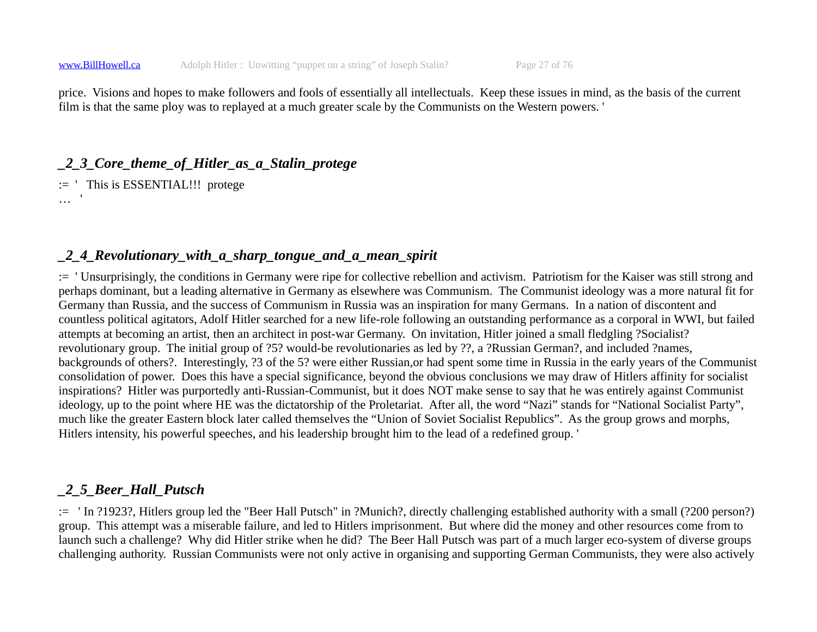price. Visions and hopes to make followers and fools of essentially all intellectuals. Keep these issues in mind, as the basis of the current film is that the same ploy was to replayed at a much greater scale by the Communists on the Western powers. '

### <span id="page-26-0"></span>*\_2\_3\_Core\_theme\_of\_Hitler\_as\_a\_Stalin\_protege*

:= ' This is ESSENTIAL!!! protege  $\ldots$ <sup>'</sup>

#### <span id="page-26-1"></span>*\_2\_4\_Revolutionary\_with\_a\_sharp\_tongue\_and\_a\_mean\_spirit*

:= ' Unsurprisingly, the conditions in Germany were ripe for collective rebellion and activism. Patriotism for the Kaiser was still strong and perhaps dominant, but a leading alternative in Germany as elsewhere was Communism. The Communist ideology was a more natural fit for Germany than Russia, and the success of Communism in Russia was an inspiration for many Germans. In a nation of discontent and countless political agitators, Adolf Hitler searched for a new life-role following an outstanding performance as a corporal in WWI, but failed attempts at becoming an artist, then an architect in post-war Germany. On invitation, Hitler joined a small fledgling ?Socialist? revolutionary group. The initial group of ?5? would-be revolutionaries as led by ??, a ?Russian German?, and included ?names, backgrounds of others?. Interestingly, ?3 of the 5? were either Russian,or had spent some time in Russia in the early years of the Communist consolidation of power. Does this have a special significance, beyond the obvious conclusions we may draw of Hitlers affinity for socialist inspirations? Hitler was purportedly anti-Russian-Communist, but it does NOT make sense to say that he was entirely against Communist ideology, up to the point where HE was the dictatorship of the Proletariat. After all, the word "Nazi" stands for "National Socialist Party", much like the greater Eastern block later called themselves the "Union of Soviet Socialist Republics". As the group grows and morphs, Hitlers intensity, his powerful speeches, and his leadership brought him to the lead of a redefined group. '

#### <span id="page-26-2"></span>*\_2\_5\_Beer\_Hall\_Putsch*

:= ' In ?1923?, Hitlers group led the "Beer Hall Putsch" in ?Munich?, directly challenging established authority with a small (?200 person?) group. This attempt was a miserable failure, and led to Hitlers imprisonment. But where did the money and other resources come from to launch such a challenge? Why did Hitler strike when he did? The Beer Hall Putsch was part of a much larger eco-system of diverse groups challenging authority. Russian Communists were not only active in organising and supporting German Communists, they were also actively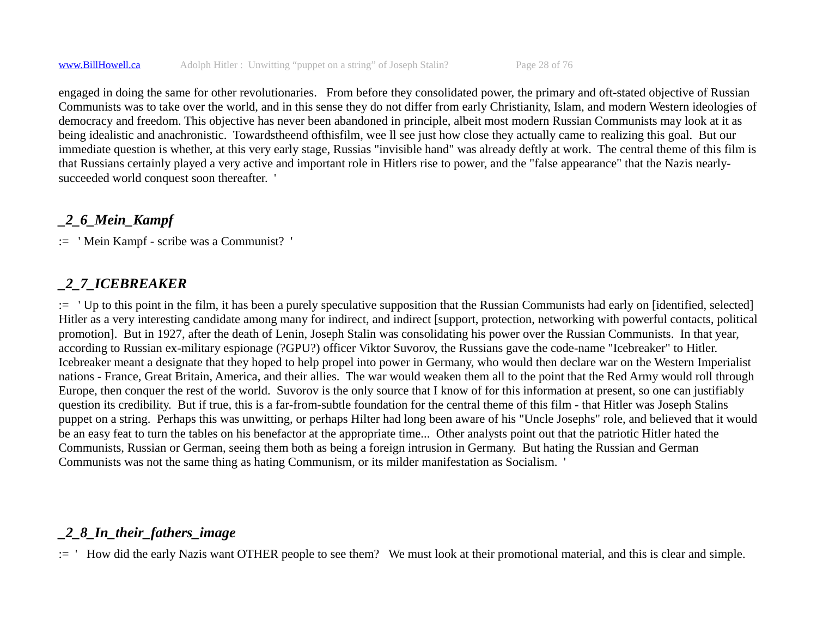engaged in doing the same for other revolutionaries. From before they consolidated power, the primary and oft-stated objective of Russian Communists was to take over the world, and in this sense they do not differ from early Christianity, Islam, and modern Western ideologies of democracy and freedom. This objective has never been abandoned in principle, albeit most modern Russian Communists may look at it as being idealistic and anachronistic. Towardstheend ofthisfilm, wee ll see just how close they actually came to realizing this goal. But our immediate question is whether, at this very early stage, Russias "invisible hand" was already deftly at work. The central theme of this film is that Russians certainly played a very active and important role in Hitlers rise to power, and the "false appearance" that the Nazis nearlysucceeded world conquest soon thereafter. '

## <span id="page-27-0"></span>*\_2\_6\_Mein\_Kampf*

:= ' Mein Kampf - scribe was a Communist? '

## <span id="page-27-1"></span>*\_2\_7\_ICEBREAKER*

:= ' Up to this point in the film, it has been a purely speculative supposition that the Russian Communists had early on [identified, selected] Hitler as a very interesting candidate among many for indirect, and indirect [support, protection, networking with powerful contacts, political promotion]. But in 1927, after the death of Lenin, Joseph Stalin was consolidating his power over the Russian Communists. In that year, according to Russian ex-military espionage (?GPU?) officer Viktor Suvorov, the Russians gave the code-name "Icebreaker" to Hitler. Icebreaker meant a designate that they hoped to help propel into power in Germany, who would then declare war on the Western Imperialist nations - France, Great Britain, America, and their allies. The war would weaken them all to the point that the Red Army would roll through Europe, then conquer the rest of the world. Suvorov is the only source that I know of for this information at present, so one can justifiably question its credibility. But if true, this is a far-from-subtle foundation for the central theme of this film - that Hitler was Joseph Stalins puppet on a string. Perhaps this was unwitting, or perhaps Hilter had long been aware of his "Uncle Josephs" role, and believed that it would be an easy feat to turn the tables on his benefactor at the appropriate time... Other analysts point out that the patriotic Hitler hated the Communists, Russian or German, seeing them both as being a foreign intrusion in Germany. But hating the Russian and German Communists was not the same thing as hating Communism, or its milder manifestation as Socialism. '

### <span id="page-27-2"></span>*\_2\_8\_In\_their\_fathers\_image*

:= ' How did the early Nazis want OTHER people to see them? We must look at their promotional material, and this is clear and simple.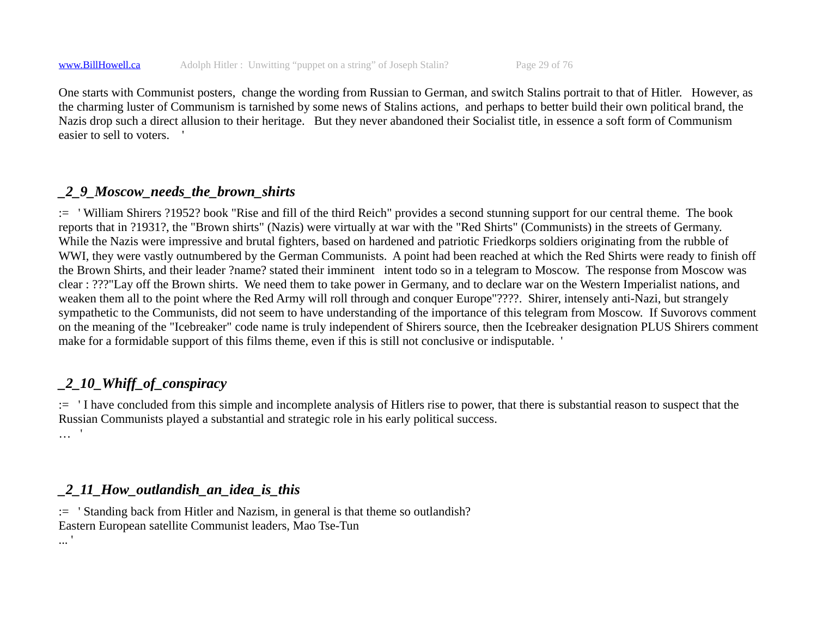One starts with Communist posters, change the wording from Russian to German, and switch Stalins portrait to that of Hitler. However, as the charming luster of Communism is tarnished by some news of Stalins actions, and perhaps to better build their own political brand, the Nazis drop such a direct allusion to their heritage. But they never abandoned their Socialist title, in essence a soft form of Communism easier to sell to voters. '

## <span id="page-28-0"></span>*\_2\_9\_Moscow\_needs\_the\_brown\_shirts*

:= ' William Shirers ?1952? book "Rise and fill of the third Reich" provides a second stunning support for our central theme. The book reports that in ?1931?, the "Brown shirts" (Nazis) were virtually at war with the "Red Shirts" (Communists) in the streets of Germany. While the Nazis were impressive and brutal fighters, based on hardened and patriotic Friedkorps soldiers originating from the rubble of WWI, they were vastly outnumbered by the German Communists. A point had been reached at which the Red Shirts were ready to finish off the Brown Shirts, and their leader ?name? stated their imminent intent todo so in a telegram to Moscow. The response from Moscow was clear : ???"Lay off the Brown shirts. We need them to take power in Germany, and to declare war on the Western Imperialist nations, and weaken them all to the point where the Red Army will roll through and conquer Europe"????. Shirer, intensely anti-Nazi, but strangely sympathetic to the Communists, did not seem to have understanding of the importance of this telegram from Moscow. If Suvorovs comment on the meaning of the "Icebreaker" code name is truly independent of Shirers source, then the Icebreaker designation PLUS Shirers comment make for a formidable support of this films theme, even if this is still not conclusive or indisputable. '

## <span id="page-28-1"></span>*\_2\_10\_Whiff\_of\_conspiracy*

:= ' I have concluded from this simple and incomplete analysis of Hitlers rise to power, that there is substantial reason to suspect that the Russian Communists played a substantial and strategic role in his early political success.  $\cdots$ <sup>'</sup>

## <span id="page-28-2"></span>*\_2\_11\_How\_outlandish\_an\_idea\_is\_this*

:= ' Standing back from Hitler and Nazism, in general is that theme so outlandish? Eastern European satellite Communist leaders, Mao Tse-Tun  $\ddotsc$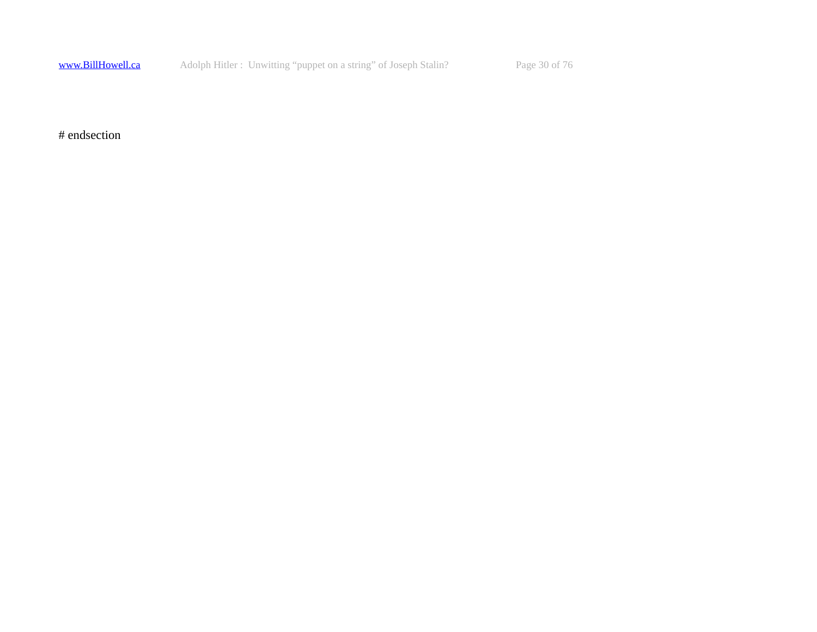| www.BillHowell.ca |  | Adolph Hitler: Unwitting "puppet on a string" of Joseph Stalin? | Page 30 of 76 |
|-------------------|--|-----------------------------------------------------------------|---------------|
|-------------------|--|-----------------------------------------------------------------|---------------|

# endsection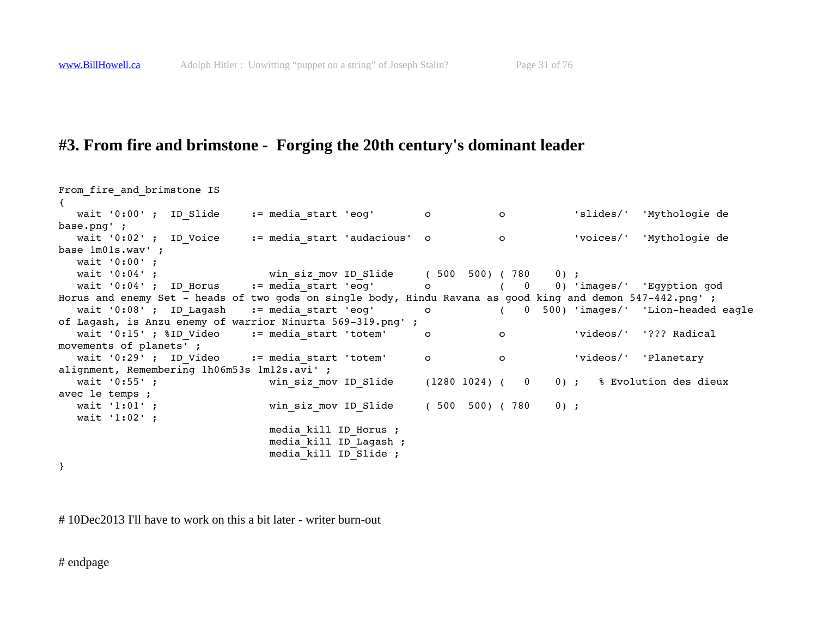## <span id="page-30-1"></span><span id="page-30-0"></span>**#3. From fire and brimstone - Forging the 20th century's dominant leader**

```
From fire and brimstone IS
{  
      wait '0:00' ;  ID_Slide     := media_start 'eog'        o           o           'slides/'  'Mythologie de 
base.png' ;  
   wait '0:02' ; ID Voice     := media start 'audacious'  o                 o     'voices/' 'Mythologie de
base 1m01s.wav' ;  
     wait '0:00' ;   
     wait '0:04' ;                  win_siz_mov ID_Slide     ( 500  500) ( 780    0) ; 
     wait '0:04' ;  ID_Horus     := media_start 'eog'        o           (   0    0) 'images/'  'Egyption god 
Horus and enemy Set - heads of two gods on single body, Hindu Ravana as good king and demon 547-442.png';
      wait '0:08' ;  ID_Lagash    := media_start 'eog'        o           (   0  500) 'images/'  'Lionheaded eagle
of Lagash, is Anzu enemy of warrior Ninurta 569-319.png' ;
      wait '0:15' ; %ID_Video     := media_start 'totem'      o           o           'videos/'  '??? Radical 
movements of planets' ;  
      wait '0:29' ;  ID_Video     := media_start 'totem'      o           o           'videos/'  'Planetary 
alignment, Remembering 1h06m53s 1m12s.avi' ;
      wait '0:55' ;                  win_siz_mov ID_Slide     (1280 1024) (   0    0) ;   % Evolution des dieux 
avec le temps ;  
      wait '1:01' ;                  win_siz_mov ID_Slide     ( 500  500) ( 780    0) ; 
      wait '1:02' ;  
                                   media kill ID Horus ;
                                   media kill ID Lagash ;
                                   media kill ID Slide ;
}
```
# 10Dec2013 I'll have to work on this a bit later - writer burn-out

# endpage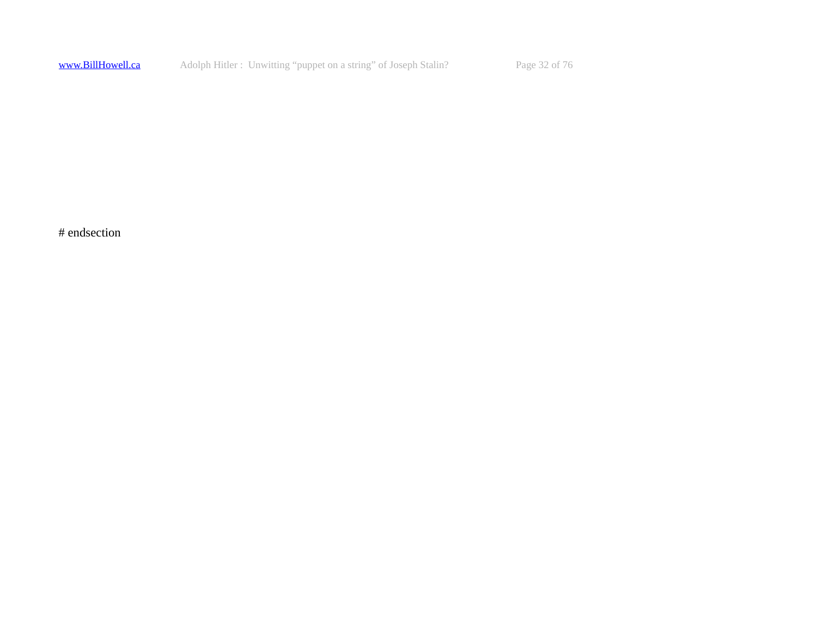| www.BillHowell.ca |  | Adolph Hitler: Unwitting "puppet on a string" of Joseph Stalin? | Page 32 of 76 |
|-------------------|--|-----------------------------------------------------------------|---------------|
|-------------------|--|-----------------------------------------------------------------|---------------|

# endsection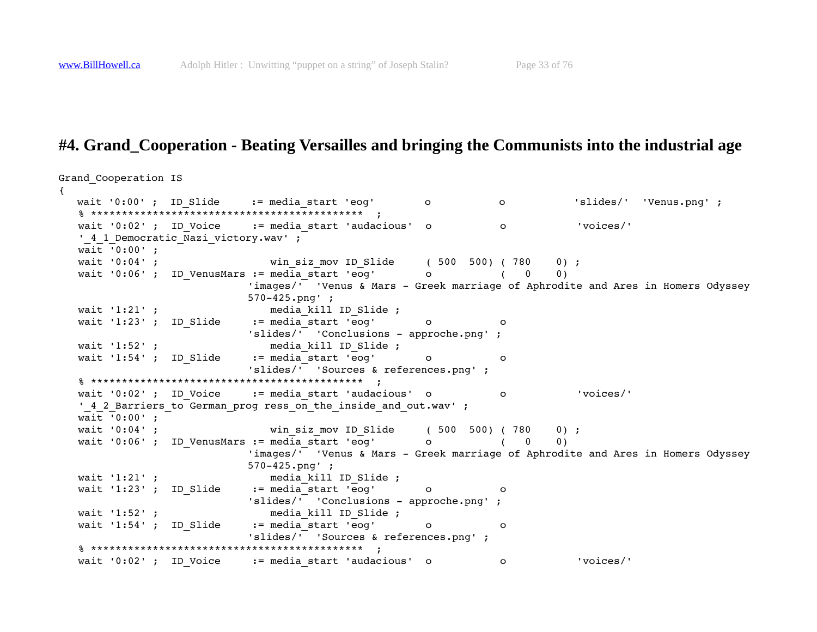### <span id="page-32-1"></span><span id="page-32-0"></span>**#4. Grand\_Cooperation - Beating Versailles and bringing the Communists into the industrial age**

```
Grand_Cooperation IS 
{  
     wait '0:00' ;  ID_Slide     := media_start 'eog'        o           o           'slides/'  'Venus.png' ;  
      % ********************************************  ;  
      wait '0:02' ;  ID_Voice     := media_start 'audacious'  o           o            'voices/'
   ' 4 1 Democratic Nazi victory.wav' ;
      wait '0:00' ;  
      wait '0:04' ;                  win_siz_mov ID_Slide     ( 500  500) ( 780    0) ; 
   wait '0:06' ; ID VenusMars := media start 'eog' \qquad \qquad 0 \qquad \qquad ( 0 0)
                             'images/' 'Venus & Mars - Greek marriage of Aphrodite and Ares in Homers Odyssey
                                570425.png' ;  
   wait '1:21' ; hedia kill ID Slide ;
   wait '1:23' ; ID Slide \qquad := media start 'eog' \qquad \qquad o \qquad \qquad'slides/ \cdot 'Conclusions - approche.png' ;
      wait '1:52' ;                  media_kill ID_Slide ;  
      wait '1:54' ;  ID_Slide     := media_start 'eog'        o           o           
                             'slides/' 'Sources & references.pnq' ;
      % ********************************************  ;  
      wait '0:02' ;  ID_Voice     := media_start 'audacious'  o           o            'voices/'
   ' 4 2 Barriers to German prog ress on the inside and out.wav' ;
      wait '0:00' ;  
      wait '0:04' ;                  win_siz_mov ID_Slide     ( 500  500) ( 780    0) ; 
   wait '0:06' ; ID VenusMars := media start 'eog' \qquad \qquad 0 ( \qquad 0 \qquad 0)'images/' 'Venus & Mars - Greek marriage of Aphrodite and Ares in Homers Odyssey
                                570425.png' ;  
      wait '1:21' ;                  media_kill ID_Slide ;  
   wait '1:23' ; ID Slide \qquad := media start 'eog' \qquad \qquad o \qquad \qquad'slides/' 'Conclusions - approche.png' ;
      wait '1:52' ;                  media_kill ID_Slide ;  
      wait '1:54' ;  ID_Slide     := media_start 'eog'        o           o           
                              'slides/' 'Sources & references.png';
      % ********************************************  ;  
      wait '0:02' ;  ID_Voice     := media_start 'audacious'  o           o            'voices/'
```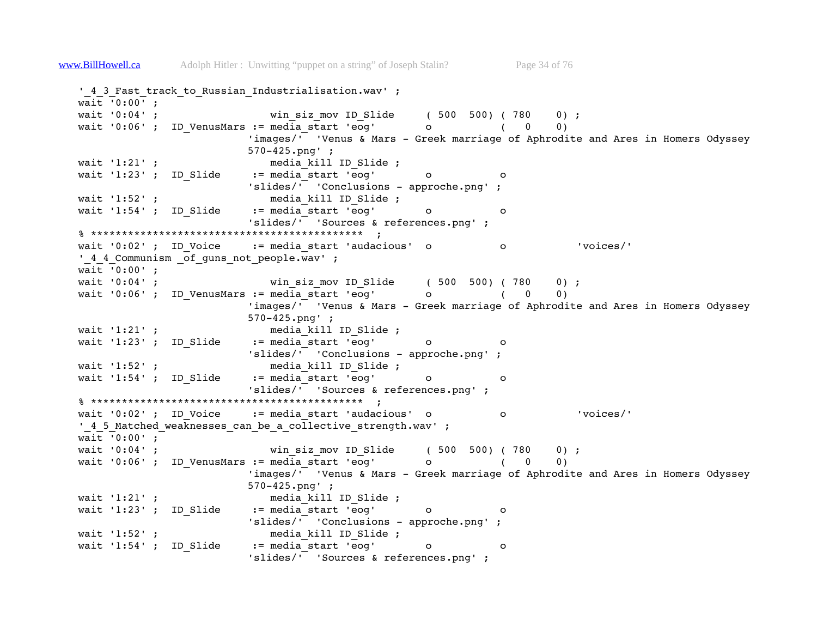[www.BillHowell.ca](http://www.BillHowell.ca/) Adolph Hitler : Unwitting "puppet on a string" of Joseph Stalin? Page 34 of 76

```
' 4 3 Fast track to Russian Industrialisation.wav' ;
   wait '0:00' ;  
   wait '0:04' ;                  win_siz_mov ID_Slide     ( 500  500) ( 780    0) ; 
wait '0:06' ; ID VenusMars := media start 'eog' \qquad \qquad 0 ( \qquad 0 \qquad 0)'images/' 'Venus & Mars - Greek marriage of Aphrodite and Ares in Homers Odyssey
                            570425.png' ;  
wait '1:21' ; hedia kill ID Slide ;
   wait '1:23' ;  ID_Slide     := media_start 'eog'        o           o           
                             'slides/'  'Conclusions  approche.png' ;  
wait '1:52' ;<br>wait '1:54' ; ID Slide := media_start 'eog'
   wait '1:54' ;  ID_Slide     := media_start 'eog'        o           o           
                             'slides/'  'Sources & references.png' ;  
   % ********************************************  ;  
   wait '0:02' ;  ID_Voice     := media_start 'audacious'  o           o            'voices/'
' 4 4 Communism of guns not people.wav' ;
   wait '0:00' ;  
   wait '0:04' ;                  win_siz_mov ID_Slide     ( 500  500) ( 780    0) ; 
wait '0:06' ; ID VenusMars := media start 'eog' \qquad \qquad 0 ( \qquad \qquad 0 \qquad 0)'images/' 'Venus & Mars - Greek marriage of Aphrodite and Ares in Homers Odyssey
                            570425.png' ;  
wait '1:21' ; hedia kill ID Slide ;
wait '1:23' ; ID Slide \qquad := media start 'eog' \qquad \qquad o \qquad \qquad'slides/' 'Conclusions - approche.png' ;
wait '1:52' ; health media kill ID Slide ;
   wait '1:54' ;  ID_Slide     := media_start 'eog'        o           o           
                             'slides/'  'Sources & references.png' ;  
   % ********************************************  ;  
   wait '0:02' ;  ID_Voice     := media_start 'audacious'  o           o            'voices/'
' 4 5 Matched weaknesses can be a collective strength.wav' ;
wait '0:00' ;
   wait '0:04' ;                  win_siz_mov ID_Slide     ( 500  500) ( 780    0) ; 
wait '0:06' ; ID VenusMars := media start 'eog' \qquad \qquad 0 \qquad \qquad ( 0 0)
                             'images/' 'Venus & Mars - Greek marriage of Aphrodite and Ares in Homers Odyssey
                            570425.png' ;  
wait '1:21' ; hedia kill ID Slide ;
wait '1:23' ; ID Slide := media start 'eog' \qquad \qquad o \qquad \qquad o
                             'slides/' 'Conclusions - approche.png' ;
wait '1:52' ; https://wait '1:52' ; https://wait '1:52' ;
   wait '1:54' ;  ID_Slide     := media_start 'eog'        o           o           
                             'slides/'  'Sources & references.png' ;
```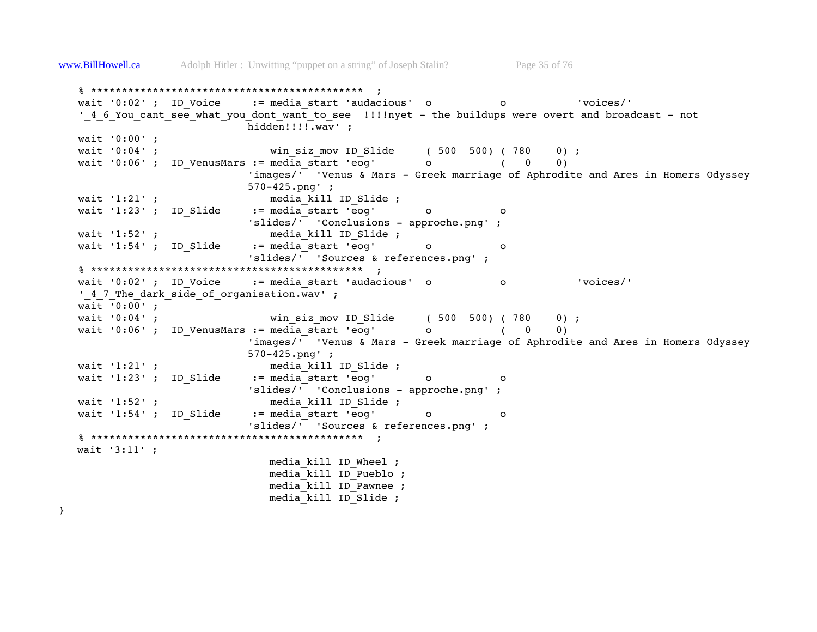[www.BillHowell.ca](http://www.BillHowell.ca/) Adolph Hitler : Unwitting "puppet on a string" of Joseph Stalin? Page 35 of 76

```
   % ********************************************  ;  
   wait '0:02' ;  ID_Voice     := media_start 'audacious'  o           o            'voices/'
' 4 6 You cant see what you dont want to see !!!!nyet - the buildups were overt and broadcast - not
                             hidden!!!!.wav' ;
   wait '0:00' ;  
   wait '0:04' ;                  win_siz_mov ID_Slide     ( 500  500) ( 780    0) ; 
wait '0:06' ; ID VenusMars := media start 'eog' \qquad \qquad 0 \qquad \qquad ( \qquad \qquad 0 \qquad \qquad 0)
                             'images/' 'Venus & Mars - Greek marriage of Aphrodite and Ares in Homers Odyssey
                             570425.png' ;  
wait '1:21' ; hedia kill ID Slide ;
   wait '1:23' ;  ID_Slide     := media_start 'eog'        o           o           
                             'slides/ \cdot 'Conclusions - approche.png' ;
wait '1:52' ; headia kill ID Slide ;
   wait '1:54' ;  ID_Slide     := media_start 'eog'        o           o           
                             'slides/' 'Sources & references.png';
   % ********************************************  ;  
   wait '0:02' ;  ID_Voice     := media_start 'audacious'  o           o            'voices/'
' 4 7 The dark side of organisation.wav' ;
   wait '0:00' ;  
wait '0:04' ;<br>win_siz_mov ID_Slide (500 500) (780 0) ;<br>wait '0:06' ; ID VenusMars := media start 'eoq' o (0 0)
wait '0:06' ; ID VenusMars := media start 'eog' \qquad \qquad 0 \qquad \qquad ( 0 0)
                             'images/' 'Venus & Mars - Greek marriage of Aphrodite and Ares in Homers Odyssey
                             570425.png' ;  
wait '1:21' ; hedia kill ID Slide ;
   wait '1:23' ;  ID_Slide     := media_start 'eog'        o           o           
                             'slides/'  'Conclusions  approche.png' ;  
wait '1:52' ; headia kill ID Slide ;
   wait '1:54' ;  ID_Slide     := media_start 'eog'        o           o           
                              'slides/'  'Sources & references.png' ;  
   % ********************************************  ;  
   wait '3:11' ;  
                                 media kill ID Wheel ;
                                 media<sup>kill</sup> ID Pueblo ;
                                 media kill ID Pawnee ;
                                 media kill ID Slide ;
```
}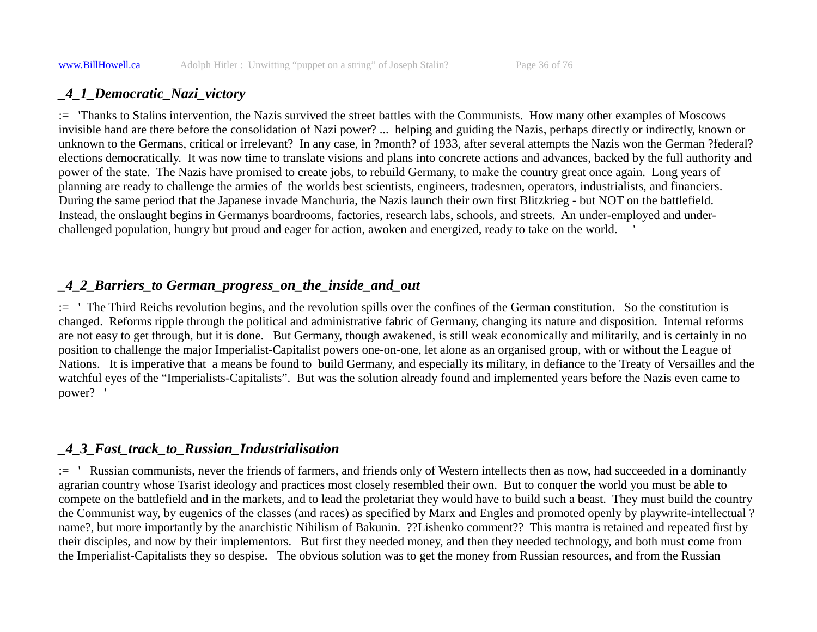### <span id="page-35-0"></span>*\_4\_1\_Democratic\_Nazi\_victory*

:= 'Thanks to Stalins intervention, the Nazis survived the street battles with the Communists. How many other examples of Moscows invisible hand are there before the consolidation of Nazi power? ... helping and guiding the Nazis, perhaps directly or indirectly, known or unknown to the Germans, critical or irrelevant? In any case, in ?month? of 1933, after several attempts the Nazis won the German ?federal? elections democratically. It was now time to translate visions and plans into concrete actions and advances, backed by the full authority and power of the state. The Nazis have promised to create jobs, to rebuild Germany, to make the country great once again. Long years of planning are ready to challenge the armies of the worlds best scientists, engineers, tradesmen, operators, industrialists, and financiers. During the same period that the Japanese invade Manchuria, the Nazis launch their own first Blitzkrieg - but NOT on the battlefield. Instead, the onslaught begins in Germanys boardrooms, factories, research labs, schools, and streets. An under-employed and underchallenged population, hungry but proud and eager for action, awoken and energized, ready to take on the world. '

#### <span id="page-35-1"></span>*\_4\_2\_Barriers\_to German\_progress\_on\_the\_inside\_and\_out*

:= ' The Third Reichs revolution begins, and the revolution spills over the confines of the German constitution. So the constitution is changed. Reforms ripple through the political and administrative fabric of Germany, changing its nature and disposition. Internal reforms are not easy to get through, but it is done. But Germany, though awakened, is still weak economically and militarily, and is certainly in no position to challenge the major Imperialist-Capitalist powers one-on-one, let alone as an organised group, with or without the League of Nations. It is imperative that a means be found to build Germany, and especially its military, in defiance to the Treaty of Versailles and the watchful eyes of the "Imperialists-Capitalists". But was the solution already found and implemented years before the Nazis even came to power? '

### <span id="page-35-2"></span>*\_4\_3\_Fast\_track\_to\_Russian\_Industrialisation*

:= ' Russian communists, never the friends of farmers, and friends only of Western intellects then as now, had succeeded in a dominantly agrarian country whose Tsarist ideology and practices most closely resembled their own. But to conquer the world you must be able to compete on the battlefield and in the markets, and to lead the proletariat they would have to build such a beast. They must build the country the Communist way, by eugenics of the classes (and races) as specified by Marx and Engles and promoted openly by playwrite-intellectual ? name?, but more importantly by the anarchistic Nihilism of Bakunin. ??Lishenko comment?? This mantra is retained and repeated first by their disciples, and now by their implementors. But first they needed money, and then they needed technology, and both must come from the Imperialist-Capitalists they so despise. The obvious solution was to get the money from Russian resources, and from the Russian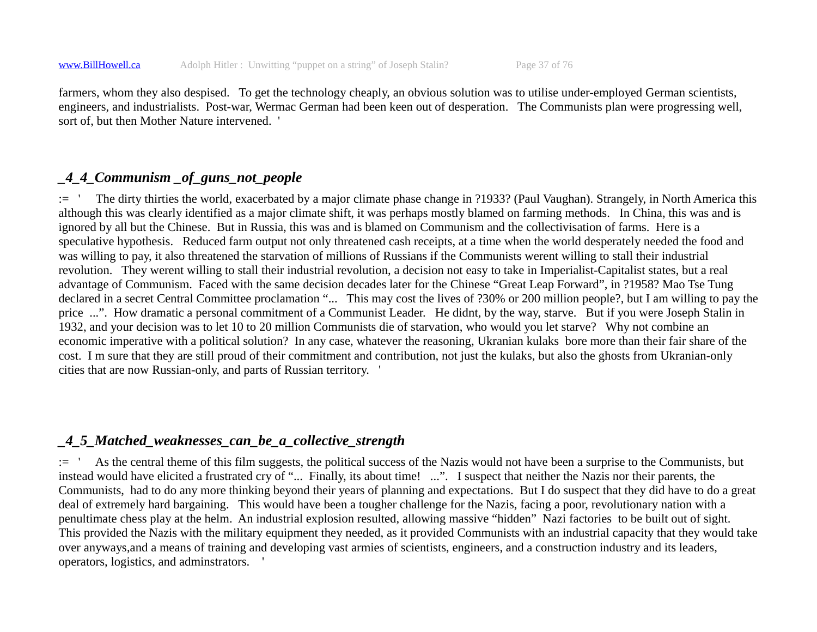farmers, whom they also despised. To get the technology cheaply, an obvious solution was to utilise under-employed German scientists, engineers, and industrialists. Post-war, Wermac German had been keen out of desperation. The Communists plan were progressing well, sort of, but then Mother Nature intervened. '

## *\_4\_4\_Communism \_of\_guns\_not\_people*

:= ' The dirty thirties the world, exacerbated by a major climate phase change in ?1933? (Paul Vaughan). Strangely, in North America this although this was clearly identified as a major climate shift, it was perhaps mostly blamed on farming methods. In China, this was and is ignored by all but the Chinese. But in Russia, this was and is blamed on Communism and the collectivisation of farms. Here is a speculative hypothesis. Reduced farm output not only threatened cash receipts, at a time when the world desperately needed the food and was willing to pay, it also threatened the starvation of millions of Russians if the Communists werent willing to stall their industrial revolution. They werent willing to stall their industrial revolution, a decision not easy to take in Imperialist-Capitalist states, but a real advantage of Communism. Faced with the same decision decades later for the Chinese "Great Leap Forward", in ?1958? Mao Tse Tung declared in a secret Central Committee proclamation "... This may cost the lives of ?30% or 200 million people?, but I am willing to pay the price ...". How dramatic a personal commitment of a Communist Leader. He didnt, by the way, starve. But if you were Joseph Stalin in 1932, and your decision was to let 10 to 20 million Communists die of starvation, who would you let starve? Why not combine an economic imperative with a political solution? In any case, whatever the reasoning, Ukranian kulaks bore more than their fair share of the cost. I m sure that they are still proud of their commitment and contribution, not just the kulaks, but also the ghosts from Ukranian-only cities that are now Russian-only, and parts of Russian territory. '

#### *\_4\_5\_Matched\_weaknesses\_can\_be\_a\_collective\_strength*

:= ' As the central theme of this film suggests, the political success of the Nazis would not have been a surprise to the Communists, but instead would have elicited a frustrated cry of "... Finally, its about time! ...". I suspect that neither the Nazis nor their parents, the Communists, had to do any more thinking beyond their years of planning and expectations. But I do suspect that they did have to do a great deal of extremely hard bargaining. This would have been a tougher challenge for the Nazis, facing a poor, revolutionary nation with a penultimate chess play at the helm. An industrial explosion resulted, allowing massive "hidden" Nazi factories to be built out of sight. This provided the Nazis with the military equipment they needed, as it provided Communists with an industrial capacity that they would take over anyways,and a means of training and developing vast armies of scientists, engineers, and a construction industry and its leaders, operators, logistics, and adminstrators. '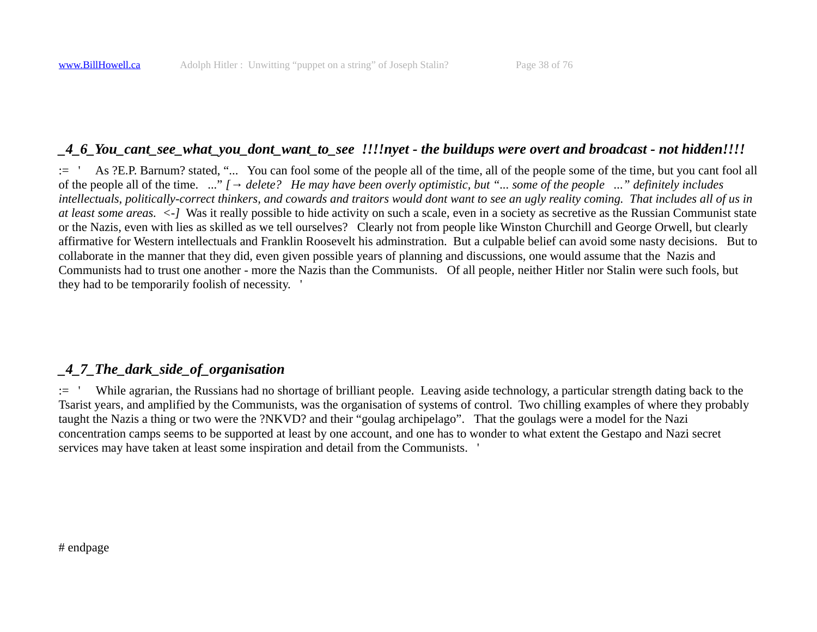#### *\_4\_6\_You\_cant\_see\_what\_you\_dont\_want\_to\_see !!!!nyet - the buildups were overt and broadcast - not hidden!!!!*

:= ' As ?E.P. Barnum? stated, "... You can fool some of the people all of the time, all of the people some of the time, but you cant fool all of the people all of the time. ..." *[→ delete? He may have been overly optimistic, but "... some of the people ..." definitely includes intellectuals, politically-correct thinkers, and cowards and traitors would dont want to see an ugly reality coming. That includes all of us in at least some areas. <-]* Was it really possible to hide activity on such a scale, even in a society as secretive as the Russian Communist state or the Nazis, even with lies as skilled as we tell ourselves? Clearly not from people like Winston Churchill and George Orwell, but clearly affirmative for Western intellectuals and Franklin Roosevelt his adminstration. But a culpable belief can avoid some nasty decisions. But to collaborate in the manner that they did, even given possible years of planning and discussions, one would assume that the Nazis and Communists had to trust one another - more the Nazis than the Communists. Of all people, neither Hitler nor Stalin were such fools, but they had to be temporarily foolish of necessity. '

#### *\_4\_7\_The\_dark\_side\_of\_organisation*

:= ' While agrarian, the Russians had no shortage of brilliant people. Leaving aside technology, a particular strength dating back to the Tsarist years, and amplified by the Communists, was the organisation of systems of control. Two chilling examples of where they probably taught the Nazis a thing or two were the ?NKVD? and their "goulag archipelago". That the goulags were a model for the Nazi concentration camps seems to be supported at least by one account, and one has to wonder to what extent the Gestapo and Nazi secret services may have taken at least some inspiration and detail from the Communists. '

#### # endpage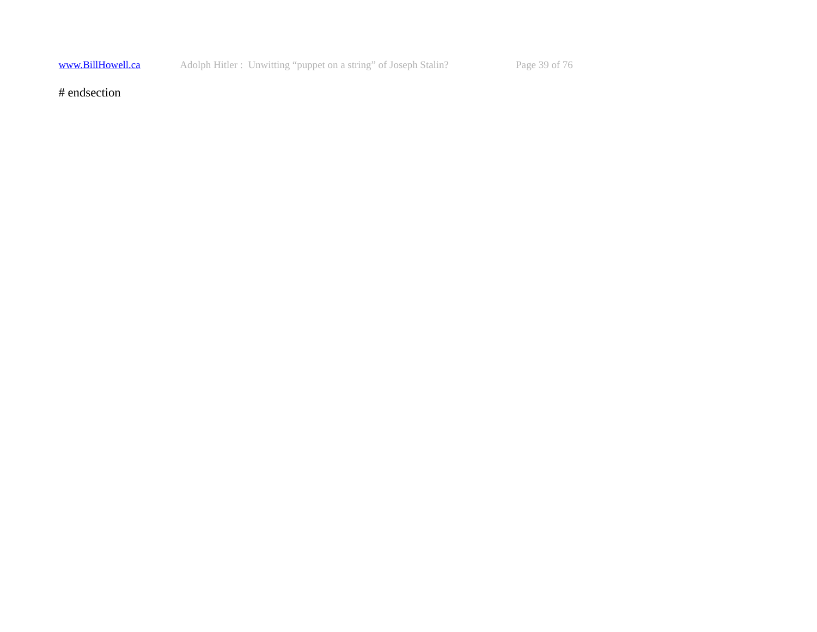[www.BillHowell.ca](http://www.BillHowell.ca/) Adolph Hitler : Unwitting "puppet on a string" of Joseph Stalin? Page 39 of 76

# endsection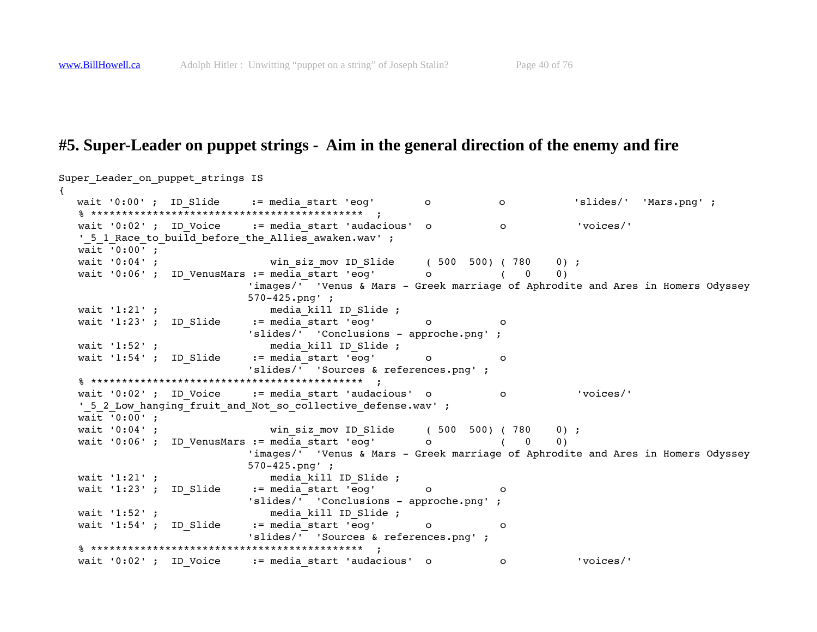# **#5. Super-Leader on puppet strings - Aim in the general direction of the enemy and fire**

```
Super Leader on puppet strings IS
{  
     wait '0:00' ;  ID_Slide     := media_start 'eog'        o           o           'slides/'  'Mars.png' ;  
      % ********************************************  ;  
      wait '0:02' ;  ID_Voice     := media_start 'audacious'  o           o            'voices/'
   ' 5 1 Race to build before the Allies awaken.wav' ;
   \sqrt{a}it '0:00' ;
      wait '0:04' ;                  win_siz_mov ID_Slide     ( 500  500) ( 780    0) ; 
   wait '0:06' ; ID VenusMars := media start 'eog' \qquad \qquad 0 ( \qquad 0 \qquad 0)'images/' 'Venus & Mars - Greek marriage of Aphrodite and Ares in Homers Odyssey
                                570425.png' ;  
      wait '1:21' ;                  media_kill ID_Slide ;  
   wait '1:23' ; ID Slide \qquad := media start 'eog' \qquad \qquad o \qquad \qquad'slides/' 'Conclusions - approche.png' ;
      wait '1:52' ;                  media_kill ID_Slide ;  
      wait '1:54' ;  ID_Slide     := media_start 'eog'        o           o           
                             'slides/' 'Sources & references.pnq' ;
      % ********************************************  ;  
      wait '0:02' ;  ID_Voice     := media_start 'audacious'  o           o            'voices/'
   ' 5 2 Low hanging fruit and Not so collective defense.wav' ;
   wait '0:00' ;  
   wait '0:04' ;                  win_siz_mov ID_Slide     ( 500  500) ( 780    0) ; 
   wait '0:06' ; ID VenusMars := media start 'eog' \qquad \qquad 0 ( \qquad 0 \qquad 0)'images/' 'Venus & Mars - Greek marriage of Aphrodite and Ares in Homers Odyssey
                                570425.png' ;  
   wait '1:21' ; hedia kill ID Slide ;
   wait '1:23' ; ID Slide \qquad := media start 'eog' \qquad \qquad o \qquad \qquad'slides/' 'Conclusions - approche.png' ;
      wait '1:52' ;                  media_kill ID_Slide ;  
      wait '1:54' ;  ID_Slide     := media_start 'eog'        o           o           
                              'slides/'  'Sources & references.png' ;  
      % ********************************************  ;  
      wait '0:02' ;  ID_Voice     := media_start 'audacious'  o           o            'voices/'
```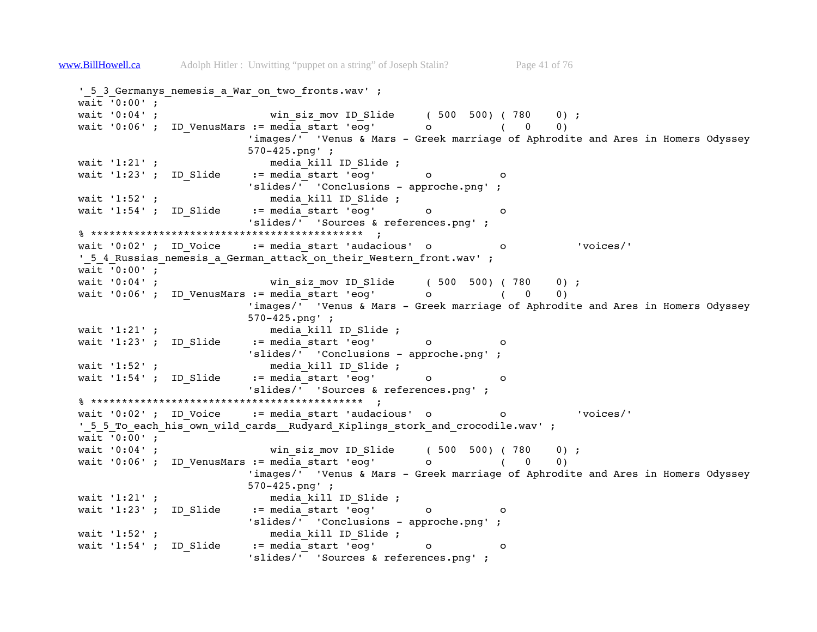[www.BillHowell.ca](http://www.BillHowell.ca/) Adolph Hitler : Unwitting "puppet on a string" of Joseph Stalin? Page 41 of 76

```
' 5 3 Germanys nemesis a War on two fronts.wav' ;
   wait '0:00' ;  
   wait '0:04' ;                  win_siz_mov ID_Slide     ( 500  500) ( 780    0) ; 
wait '0:06' ; ID VenusMars := media start 'eog' \qquad \qquad 0 ( \qquad 0 \qquad 0)'images/' 'Venus & Mars - Greek marriage of Aphrodite and Ares in Homers Odyssey
                             570425.png' ;  
   wait '1:21' ;                  media_kill ID_Slide ;  
   wait '1:23' ;  ID_Slide     := media_start 'eog'        o           o           
                             'slides/'  'Conclusions  approche.png' ;  
wait '1:52' ;<br>wait '1:54' ; ID Slide := media start 'eog'
   wait '1:54' ;  ID_Slide     := media_start 'eog'        o           o           
                             'slides/'  'Sources & references.png' ;  
   % ********************************************  ;  
   wait '0:02' ;  ID_Voice     := media_start 'audacious'  o           o            'voices/'
' 5 4 Russias nemesis a German attack on their Western front.wav' ;
   wait '0:00' ;  
   wait '0:04' ;                  win_siz_mov ID_Slide     ( 500  500) ( 780    0) ; 
wait '0:06' ; ID VenusMars := media start 'eog' \qquad \qquad 0 ( \qquad 0 \qquad 0)'images/' 'Venus & Mars - Greek marriage of Aphrodite and Ares in Homers Odyssey
                             570425.png' ;  
wait '1:21' ; hedia kill ID Slide ;
wait '1:23' ; ID Slide \qquad := media start 'eog' \qquad \qquad o \qquad \qquad'slides/' 'Conclusions - approche.png' ;
wait '1:52' ; health media kill ID Slide ;
   wait '1:54' ;  ID_Slide     := media_start 'eog'        o           o           
                             'slides/'  'Sources & references.png' ;  
   % ********************************************  ;  
   wait '0:02' ;  ID_Voice     := media_start 'audacious'  o           o            'voices/'
' 5 5 To each his own wild cards Rudyard Kiplings stork and crocodile.wav' ;
   wait '0:00' ;  
   wait '0:04' ;                  win_siz_mov ID_Slide     ( 500  500) ( 780    0) ; 
wait '0:06' ; ID VenusMars := media start 'eog' \qquad \qquad 0 ( \qquad 0 \qquad 0)'images/' 'Venus & Mars - Greek marriage of Aphrodite and Ares in Homers Odyssey
                             570 - 425.png' ;
wait '1:21' ; hedia kill ID Slide ;
   wait '1:23' ;  ID_Slide     := media_start 'eog'        o           o           
                             'slides/' 'Conclusions - approche.png' ;
wait '1:52' ; https://wait '1:52' ; https://wait '1:52' ;
   wait '1:54' ;  ID_Slide     := media_start 'eog'        o           o           
                             'slides/'  'Sources & references.png' ;
```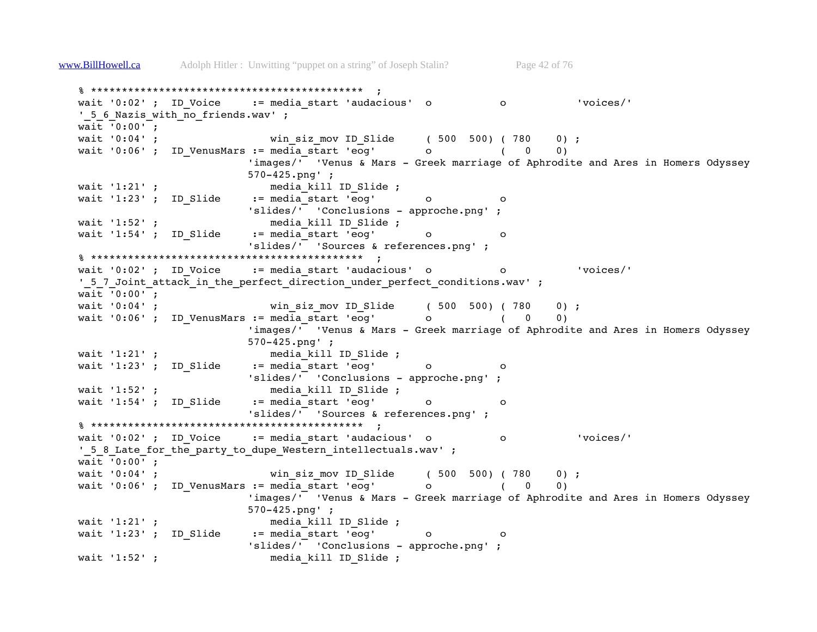[www.BillHowell.ca](http://www.BillHowell.ca/) Adolph Hitler : Unwitting "puppet on a string" of Joseph Stalin? Page 42 of 76 % \*\*\*\*\*\*\*\*\*\*\*\*\*\*\*\*\*\*\*\*\*\*\*\*\*\*\*\*\*\*\*\*\*\*\*\*\*\*\*\*\*\*\*\* ; wait '0:02' ; ID\_Voice := media\_start 'audacious' o o 'voices/' ' 5 6 Nazis with no friends.wav' ; wait  $'0:00'$ ; wait '0:04' ; win\_siz\_mov ID\_Slide ( 500 500) ( 780 0) ; wait '0:06' ; ID VenusMars := media start 'eog'  $\qquad \qquad$  0  $\qquad \qquad$  (  $\qquad \qquad$  0  $\qquad \qquad$  0) 'images/' 'Venus & Mars - Greek marriage of Aphrodite and Ares in Homers Odyssey  $570 - 425.$ png' ; wait '1:21' ; healia kill ID Slide ; wait '1:23' ; ID Slide  $\qquad :=$  media start 'eog'  $\qquad \qquad$  o 'slides/' 'Conclusions - approche.png'; wait '1:52' ; https://wait '1:52' ; https://wait intervals... wait '1:54' ; ID\_Slide := media\_start 'eog' o o 'slides/' 'Sources & references.png' ; % \*\*\*\*\*\*\*\*\*\*\*\*\*\*\*\*\*\*\*\*\*\*\*\*\*\*\*\*\*\*\*\*\*\*\*\*\*\*\*\*\*\*\*\* ; wait '0:02' ; ID\_Voice := media\_start 'audacious' o o 'voices/' ' 5 7 Joint attack in the perfect direction under perfect conditions.wav' ; wait '0:00' ; wait '0:04' ; win\_siz\_mov ID\_Slide ( 500 500) ( 780 0) ; wait '0:06' ; ID VenusMars := media start 'eog'  $\qquad \qquad$  0  $( \qquad 0 \qquad 0)$ 'images/' 'Venus & Mars - Greek marriage of Aphrodite and Ares in Homers Odyssey 570425.png' ; wait '1:21' ;<br>wait '1:23' ; ID Slide := media start 'eog' wait '1:23' ; ID\_Slide := media\_start 'eog' o o  $'slides/$   $\cdot$  'Conclusions - approche.png'; wait '1:52' ; hedia kill ID Slide ; wait '1:54' ; ID Slide  $:=$  media start 'eog'  $\qquad \circ$ 'slides/' 'Sources & references.png' ; % \*\*\*\*\*\*\*\*\*\*\*\*\*\*\*\*\*\*\*\*\*\*\*\*\*\*\*\*\*\*\*\*\*\*\*\*\*\*\*\*\*\*\*\* ; wait '0:02' ; ID\_Voice := media\_start 'audacious' o o 'voices/' ' 5 8 Late for the party to dupe Western intellectuals.wav' ;  $\sqrt{a}$ it '0:00' ; wait '0:04' ; win\_siz\_mov ID\_Slide ( 500 500) ( 780 0) ; wait '0:06' ; ID VenusMars := media start 'eog'  $\qquad \qquad$  0  $\qquad \qquad$  (  $\qquad \qquad$  0  $\qquad \qquad$  0) 'images/' 'Venus & Mars - Greek marriage of Aphrodite and Ares in Homers Odyssey  $570 - 425.$ png'; wait '1:21' ; healia kill ID Slide ; wait '1:23' ; ID\_Slide := media\_start 'eog' o o 'slides/' 'Conclusions approche.png' ; wait '1:52' ; media\_kill ID\_Slide ;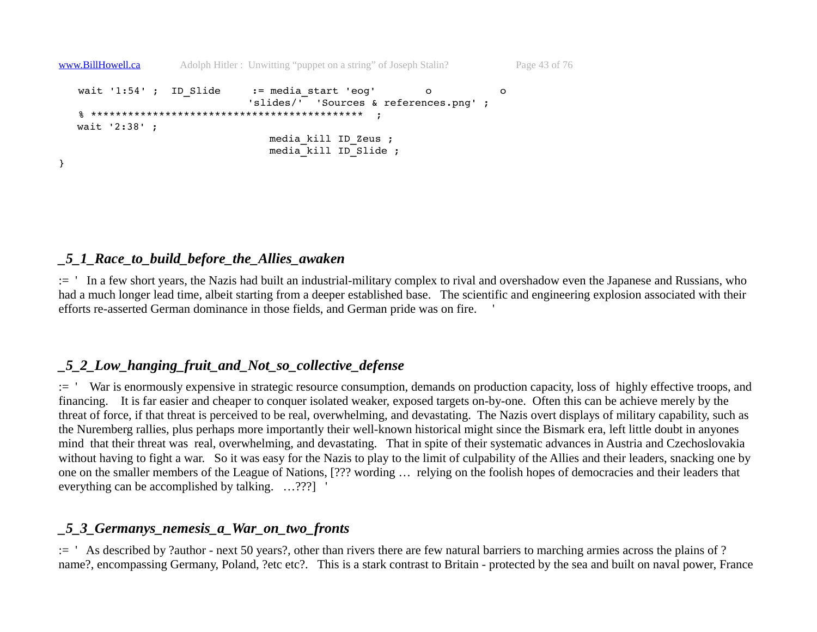```
www.BillHowell.ca Adolph Hitler : Unwitting "puppet on a string" of Joseph Stalin? Page 43 of 76
   wait '1:54' ;  ID_Slide     := media_start 'eog'        o           o           
                                  'slides/'  'Sources & references.png' ;  
      % ********************************************  ;  
      wait '2:38' ;  
                                     media kill ID Zeus ;
                                     media kill ID Slide ;
}
```
### *\_5\_1\_Race\_to\_build\_before\_the\_Allies\_awaken*

:= ' In a few short years, the Nazis had built an industrial-military complex to rival and overshadow even the Japanese and Russians, who had a much longer lead time, albeit starting from a deeper established base. The scientific and engineering explosion associated with their efforts re-asserted German dominance in those fields, and German pride was on fire. '

## *\_5\_2\_Low\_hanging\_fruit\_and\_Not\_so\_collective\_defense*

:= ' War is enormously expensive in strategic resource consumption, demands on production capacity, loss of highly effective troops, and financing. It is far easier and cheaper to conquer isolated weaker, exposed targets on-by-one. Often this can be achieve merely by the threat of force, if that threat is perceived to be real, overwhelming, and devastating. The Nazis overt displays of military capability, such as the Nuremberg rallies, plus perhaps more importantly their well-known historical might since the Bismark era, left little doubt in anyones mind that their threat was real, overwhelming, and devastating. That in spite of their systematic advances in Austria and Czechoslovakia without having to fight a war. So it was easy for the Nazis to play to the limit of culpability of the Allies and their leaders, snacking one by one on the smaller members of the League of Nations, [??? wording … relying on the foolish hopes of democracies and their leaders that everything can be accomplished by talking. …???] '

## *\_5\_3\_Germanys\_nemesis\_a\_War\_on\_two\_fronts*

:= ' As described by ?author - next 50 years?, other than rivers there are few natural barriers to marching armies across the plains of ? name?, encompassing Germany, Poland, ?etc etc?. This is a stark contrast to Britain - protected by the sea and built on naval power, France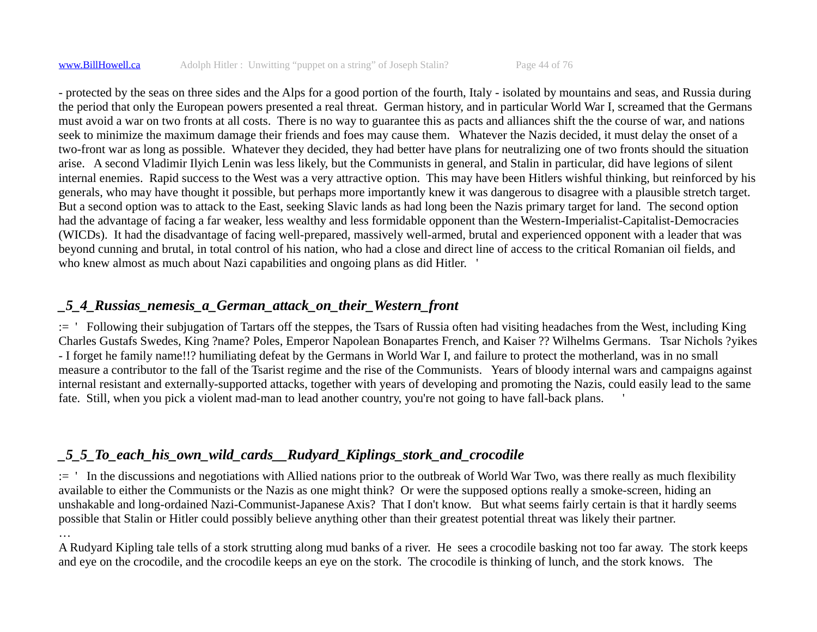#### [www.BillHowell.ca](http://www.BillHowell.ca/) Adolph Hitler : Unwitting "puppet on a string" of Joseph Stalin? Page 44 of 76

- protected by the seas on three sides and the Alps for a good portion of the fourth, Italy - isolated by mountains and seas, and Russia during the period that only the European powers presented a real threat. German history, and in particular World War I, screamed that the Germans must avoid a war on two fronts at all costs. There is no way to guarantee this as pacts and alliances shift the the course of war, and nations seek to minimize the maximum damage their friends and foes may cause them. Whatever the Nazis decided, it must delay the onset of a two-front war as long as possible. Whatever they decided, they had better have plans for neutralizing one of two fronts should the situation arise. A second Vladimir Ilyich Lenin was less likely, but the Communists in general, and Stalin in particular, did have legions of silent internal enemies. Rapid success to the West was a very attractive option. This may have been Hitlers wishful thinking, but reinforced by his generals, who may have thought it possible, but perhaps more importantly knew it was dangerous to disagree with a plausible stretch target. But a second option was to attack to the East, seeking Slavic lands as had long been the Nazis primary target for land. The second option had the advantage of facing a far weaker, less wealthy and less formidable opponent than the Western-Imperialist-Capitalist-Democracies (WICDs). It had the disadvantage of facing well-prepared, massively well-armed, brutal and experienced opponent with a leader that was beyond cunning and brutal, in total control of his nation, who had a close and direct line of access to the critical Romanian oil fields, and who knew almost as much about Nazi capabilities and ongoing plans as did Hitler. '

# *\_5\_4\_Russias\_nemesis\_a\_German\_attack\_on\_their\_Western\_front*

:= ' Following their subjugation of Tartars off the steppes, the Tsars of Russia often had visiting headaches from the West, including King Charles Gustafs Swedes, King ?name? Poles, Emperor Napolean Bonapartes French, and Kaiser ?? Wilhelms Germans. Tsar Nichols ?yikes - I forget he family name!!? humiliating defeat by the Germans in World War I, and failure to protect the motherland, was in no small measure a contributor to the fall of the Tsarist regime and the rise of the Communists. Years of bloody internal wars and campaigns against internal resistant and externally-supported attacks, together with years of developing and promoting the Nazis, could easily lead to the same fate. Still, when you pick a violent mad-man to lead another country, you're not going to have fall-back plans. '

# *\_5\_5\_To\_each\_his\_own\_wild\_cards\_\_Rudyard\_Kiplings\_stork\_and\_crocodile*

:= ' In the discussions and negotiations with Allied nations prior to the outbreak of World War Two, was there really as much flexibility available to either the Communists or the Nazis as one might think? Or were the supposed options really a smoke-screen, hiding an unshakable and long-ordained Nazi-Communist-Japanese Axis? That I don't know. But what seems fairly certain is that it hardly seems possible that Stalin or Hitler could possibly believe anything other than their greatest potential threat was likely their partner.

A Rudyard Kipling tale tells of a stork strutting along mud banks of a river. He sees a crocodile basking not too far away. The stork keeps and eye on the crocodile, and the crocodile keeps an eye on the stork. The crocodile is thinking of lunch, and the stork knows. The

<sup>…</sup>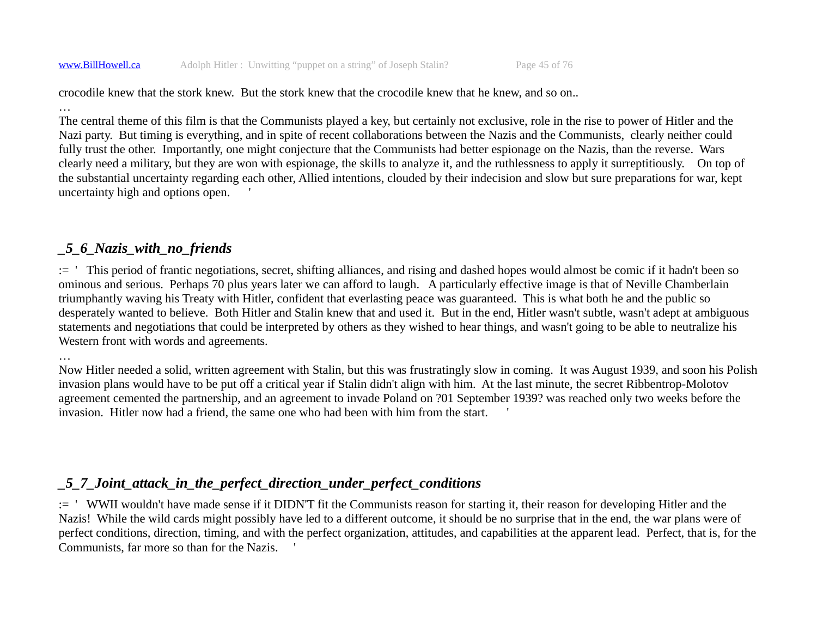#### [www.BillHowell.ca](http://www.BillHowell.ca/) Adolph Hitler : Unwitting "puppet on a string" of Joseph Stalin? Page 45 of 76

crocodile knew that the stork knew. But the stork knew that the crocodile knew that he knew, and so on..

…

The central theme of this film is that the Communists played a key, but certainly not exclusive, role in the rise to power of Hitler and the Nazi party. But timing is everything, and in spite of recent collaborations between the Nazis and the Communists, clearly neither could fully trust the other. Importantly, one might conjecture that the Communists had better espionage on the Nazis, than the reverse. Wars clearly need a military, but they are won with espionage, the skills to analyze it, and the ruthlessness to apply it surreptitiously. On top of the substantial uncertainty regarding each other, Allied intentions, clouded by their indecision and slow but sure preparations for war, kept uncertainty high and options open. '

### *\_5\_6\_Nazis\_with\_no\_friends*

:= ' This period of frantic negotiations, secret, shifting alliances, and rising and dashed hopes would almost be comic if it hadn't been so ominous and serious. Perhaps 70 plus years later we can afford to laugh. A particularly effective image is that of Neville Chamberlain triumphantly waving his Treaty with Hitler, confident that everlasting peace was guaranteed. This is what both he and the public so desperately wanted to believe. Both Hitler and Stalin knew that and used it. But in the end, Hitler wasn't subtle, wasn't adept at ambiguous statements and negotiations that could be interpreted by others as they wished to hear things, and wasn't going to be able to neutralize his Western front with words and agreements.

…

Now Hitler needed a solid, written agreement with Stalin, but this was frustratingly slow in coming. It was August 1939, and soon his Polish invasion plans would have to be put off a critical year if Stalin didn't align with him. At the last minute, the secret Ribbentrop-Molotov agreement cemented the partnership, and an agreement to invade Poland on ?01 September 1939? was reached only two weeks before the invasion. Hitler now had a friend, the same one who had been with him from the start. '

## *\_5\_7\_Joint\_attack\_in\_the\_perfect\_direction\_under\_perfect\_conditions*

:= ' WWII wouldn't have made sense if it DIDN'T fit the Communists reason for starting it, their reason for developing Hitler and the Nazis! While the wild cards might possibly have led to a different outcome, it should be no surprise that in the end, the war plans were of perfect conditions, direction, timing, and with the perfect organization, attitudes, and capabilities at the apparent lead. Perfect, that is, for the Communists, far more so than for the Nazis. '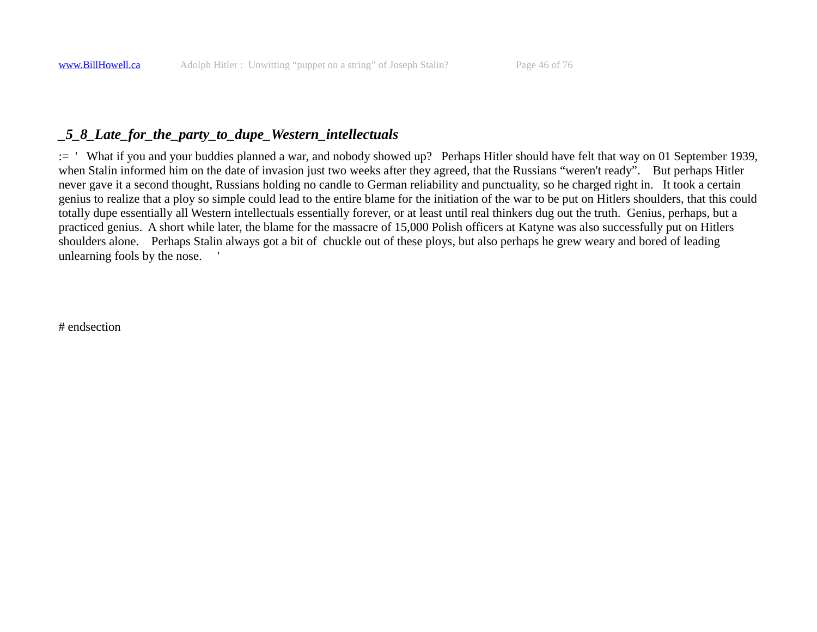### *\_5\_8\_Late\_for\_the\_party\_to\_dupe\_Western\_intellectuals*

:= ' What if you and your buddies planned a war, and nobody showed up? Perhaps Hitler should have felt that way on 01 September 1939, when Stalin informed him on the date of invasion just two weeks after they agreed, that the Russians "weren't ready". But perhaps Hitler never gave it a second thought, Russians holding no candle to German reliability and punctuality, so he charged right in. It took a certain genius to realize that a ploy so simple could lead to the entire blame for the initiation of the war to be put on Hitlers shoulders, that this could totally dupe essentially all Western intellectuals essentially forever, or at least until real thinkers dug out the truth. Genius, perhaps, but a practiced genius. A short while later, the blame for the massacre of 15,000 Polish officers at Katyne was also successfully put on Hitlers shoulders alone. Perhaps Stalin always got a bit of chuckle out of these ploys, but also perhaps he grew weary and bored of leading unlearning fools by the nose. '

# endsection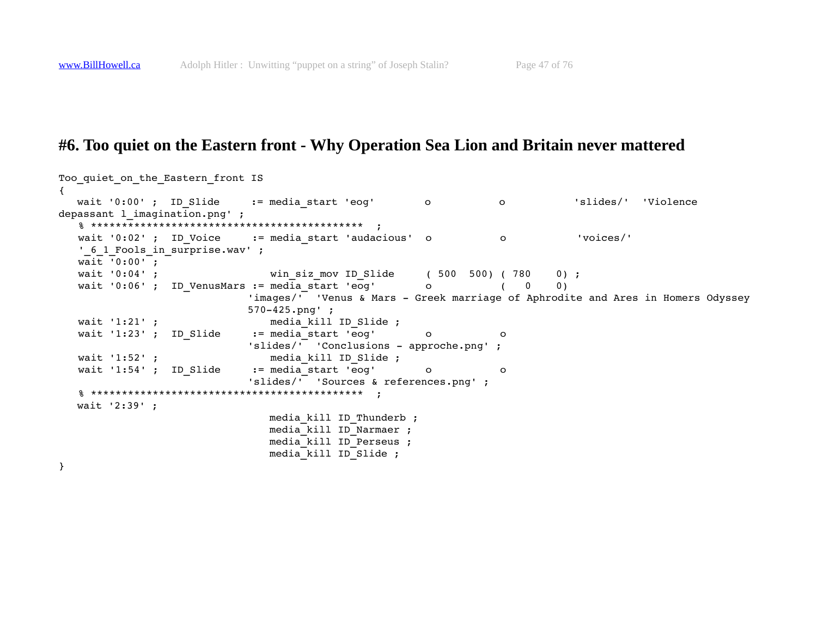## **#6. Too quiet on the Eastern front - Why Operation Sea Lion and Britain never mattered**

```
Too quiet on the Eastern front IS
{  
     wait '0:00' ;  ID_Slide     := media_start 'eog'        o           o           'slides/'  'Violence 
depassant 1 imagination.png' ;
      % ********************************************  ;  
      wait '0:02' ;  ID_Voice     := media_start 'audacious'  o           o            'voices/'
   ' 6 1 Fools in surprise.wav' ;
      wait '0:00' ;  
     wait '0:04' ;                  win_siz_mov ID_Slide     ( 500  500) ( 780    0) ; 
  wait '0:06' ; ID VenusMars := media start 'eog' \overline{O} o (0 \ 0)'images/' 'Venus & Mars - Greek marriage of Aphrodite and Ares in Homers Odyssey
                               570425.png' ;  
   wait '1:21' ;                  media_kill ID_Slide ;  
   wait '1:23' ;  ID_Slide     := media_start 'eog'        o           o           
                             'slides/' 'Conclusions - approche.png';
  wait '1:52' ; https://wait '1:52' ; https://wait '1:52' ;
  wait '1:54' ; ID Slide := media start 'eog' \qquad \qquad o \qquad \qquad o
                              'slides/'  'Sources & references.png' ;  
      % ********************************************  ;  
      wait '2:39' ;  
                                   media kill ID Thunderb ;
                                   media kill ID Narmaer ;
                                   media kill ID Perseus ;
                                   media kill ID Slide ;
}
```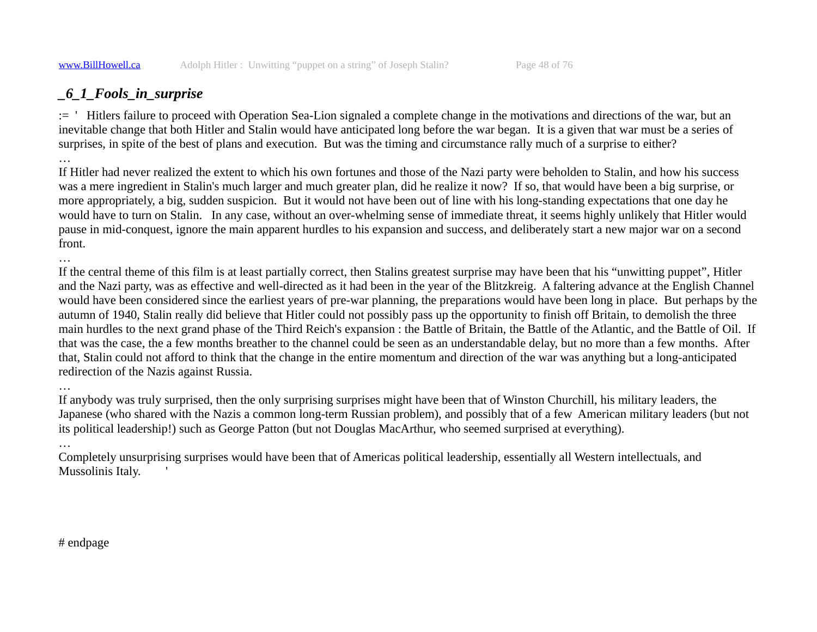# *\_6\_1\_Fools\_in\_surprise*

:= ' Hitlers failure to proceed with Operation Sea-Lion signaled a complete change in the motivations and directions of the war, but an inevitable change that both Hitler and Stalin would have anticipated long before the war began. It is a given that war must be a series of surprises, in spite of the best of plans and execution. But was the timing and circumstance rally much of a surprise to either?

…

…

If Hitler had never realized the extent to which his own fortunes and those of the Nazi party were beholden to Stalin, and how his success was a mere ingredient in Stalin's much larger and much greater plan, did he realize it now? If so, that would have been a big surprise, or more appropriately, a big, sudden suspicion. But it would not have been out of line with his long-standing expectations that one day he would have to turn on Stalin. In any case, without an over-whelming sense of immediate threat, it seems highly unlikely that Hitler would pause in mid-conquest, ignore the main apparent hurdles to his expansion and success, and deliberately start a new major war on a second front.

If the central theme of this film is at least partially correct, then Stalins greatest surprise may have been that his "unwitting puppet", Hitler and the Nazi party, was as effective and well-directed as it had been in the year of the Blitzkreig. A faltering advance at the English Channel would have been considered since the earliest years of pre-war planning, the preparations would have been long in place. But perhaps by the autumn of 1940, Stalin really did believe that Hitler could not possibly pass up the opportunity to finish off Britain, to demolish the three main hurdles to the next grand phase of the Third Reich's expansion : the Battle of Britain, the Battle of the Atlantic, and the Battle of Oil. If that was the case, the a few months breather to the channel could be seen as an understandable delay, but no more than a few months. After that, Stalin could not afford to think that the change in the entire momentum and direction of the war was anything but a long-anticipated redirection of the Nazis against Russia.

…

If anybody was truly surprised, then the only surprising surprises might have been that of Winston Churchill, his military leaders, the Japanese (who shared with the Nazis a common long-term Russian problem), and possibly that of a few American military leaders (but not its political leadership!) such as George Patton (but not Douglas MacArthur, who seemed surprised at everything).

#### …

Completely unsurprising surprises would have been that of Americas political leadership, essentially all Western intellectuals, and Mussolinis Italy. '

# endpage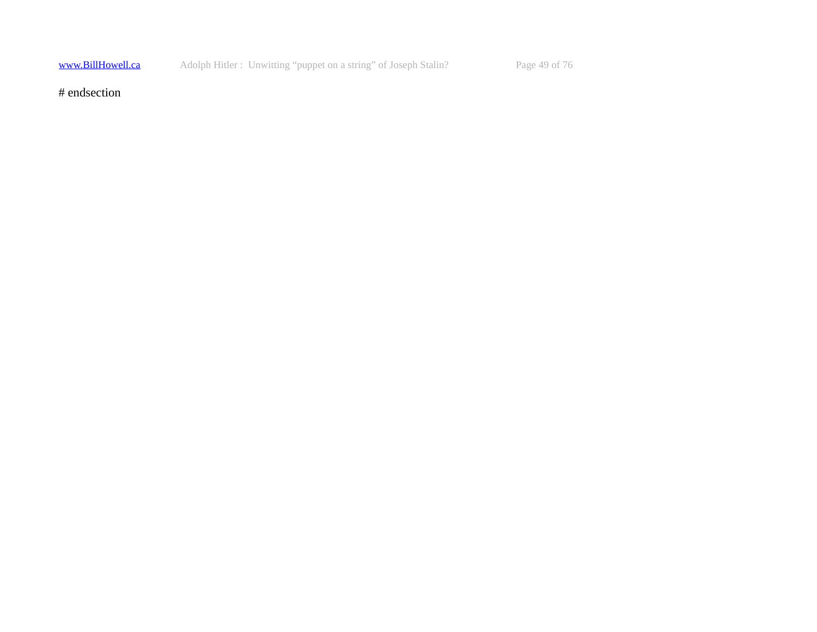[www.BillHowell.ca](http://www.BillHowell.ca/) Adolph Hitler : Unwitting "puppet on a string" of Joseph Stalin? Page 49 of 76

# endsection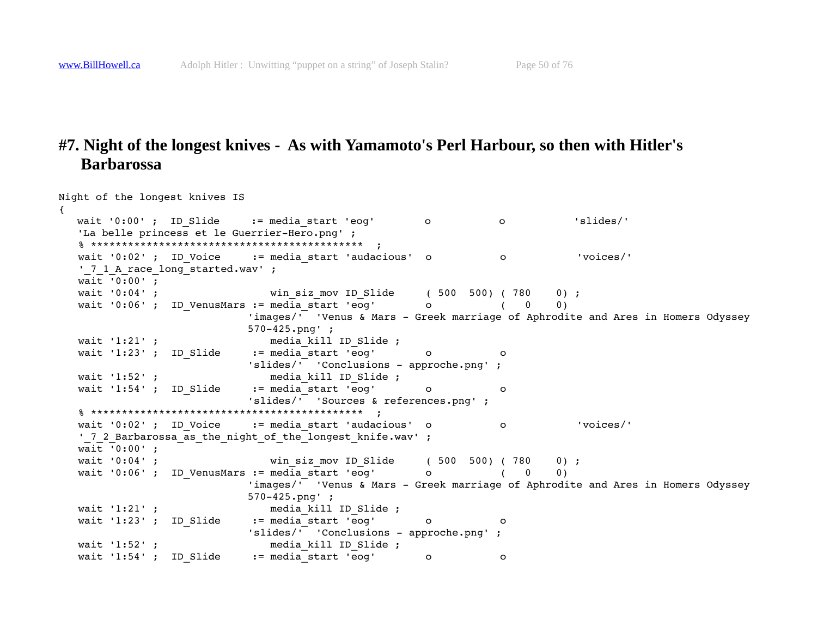# **#7. Night of the longest knives - As with Yamamoto's Perl Harbour, so then with Hitler's Barbarossa**

```
Night of the longest knives IS 
{  
      wait '0:00' ;  ID_Slide     := media_start 'eog'        o           o           'slides/'  
   'La belle princess et le Guerrier-Hero.png' ;
      % ********************************************  ;  
      wait '0:02' ;  ID_Voice     := media_start 'audacious'  o           o            'voices/'
   ' 7 1 A race long started.wav' ;
      wait '0:00' ;  
      wait '0:04' ;                  win_siz_mov ID_Slide     ( 500  500) ( 780    0) ; 
   wait '0:06' ; ID VenusMars := media start 'eog' \qquad \qquad 0 \qquad \qquad ( \qquad \qquad 0 \qquad \qquad 0)
                                'images/' 'Venus & Mars - Greek marriage of Aphrodite and Ares in Homers Odyssey
                                570425.png' ;  
   wait '1:21' ; hedia kill ID Slide ;
      wait '1:23' ;  ID_Slide     := media_start 'eog'        o           o           
                                'slides/' 'Conclusions - approche.png' ;
   wait '1:52' ; hedia kill ID Slide ;
      wait '1:54' ;  ID_Slide     := media_start 'eog'        o           o           
                                'slides/'  'Sources & references.png' ;  
      % ********************************************  ;  
      wait '0:02' ;  ID_Voice     := media_start 'audacious'  o           o            'voices/'
   ' 7 2 Barbarossa as the night of the longest knife.wav' ;
      wait '0:00' ;  
      wait '0:04' ;                  win_siz_mov ID_Slide     ( 500  500) ( 780    0) ; 
   wait '0:06' ; ID VenusMars := media start 'eog' \qquad \qquad 0 \qquad \qquad ( \qquad \qquad 0)
                                'images/' 'Venus & Mars - Greek marriage of Aphrodite and Ares in Homers Odyssey
                                570425.png' ;  
   wait '1:21' ; hedia kill ID Slide ;
      wait '1:23' ;  ID_Slide     := media_start 'eog'        o           o           
                                'slides/' 'Conclusions - approche.png' ;
      wait '1:52' ;                  media_kill ID_Slide ;  
      wait '1:54' ;  ID_Slide     := media_start 'eog'        o           o
```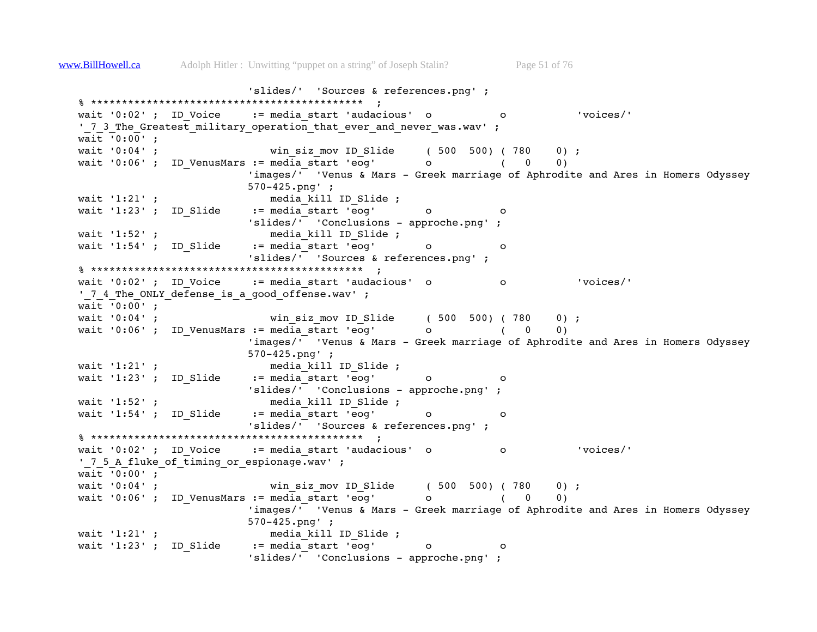```
www.BillHowell.ca Adolph Hitler : Unwitting "puppet on a string" of Joseph Stalin? Page 51 of 76
                                 'slides/'  'Sources & references.png' ;  
      % ********************************************  ;  
      wait '0:02' ;  ID_Voice     := media_start 'audacious'  o           o            'voices/'
   ' 7 3 The Greatest military operation that ever and never was.wav' ;
   \sqrt{a}it '0:00' ;
      wait '0:04' ;                  win_siz_mov ID_Slide     ( 500  500) ( 780    0) ; 
   wait '0:06' ; ID VenusMars := media start 'eog' \qquad \qquad 0 ( \qquad 0 \qquad 0)'images/' 'Venus & Mars - Greek marriage of Aphrodite and Ares in Homers Odyssey
                                 570425.png' ;  
      wait '1:21' ;                  media_kill ID_Slide ;  
      wait '1:23' ;  ID_Slide     := media_start 'eog'        o           o           
                                 'slides/ \cdot 'Conclusions - approche.png' ;
   wait '1:52' ; hedia kill ID Slide ;
      wait '1:54' ;  ID_Slide     := media_start 'eog'        o           o           
                                 'slides/'  'Sources & references.png' ;  
      % ********************************************  ;  
      wait '0:02' ;  ID_Voice     := media_start 'audacious'  o           o            'voices/'
   ' 7 4 The ONLY defense is a good offense.wav' ;
      wait '0:00' ;  
      wait '0:04' ;                  win_siz_mov ID_Slide     ( 500  500) ( 780    0) ; 
   wait '0:06' ; ID VenusMars := media start 'eog' \qquad \qquad 0 \qquad \qquad ( 0 0)
                                 'images/' 'Venus & Mars - Greek marriage of Aphrodite and Ares in Homers Odyssey
                                 570425.png' ;  
   wait '1:21' ; hedia kill ID Slide ;
      wait '1:23' ;  ID_Slide     := media_start 'eog'        o           o           
                                 'slides/'  'Conclusions  approche.png' ;  
      wait '1:52' ;                  media_kill ID_Slide ;  
      wait '1:54' ;  ID_Slide     := media_start 'eog'        o           o           
                                 'slides/'  'Sources & references.png' ;  
      % ********************************************  ;  
      wait '0:02' ;  ID_Voice     := media_start 'audacious'  o           o            'voices/'
   ' 7 5 A fluke of timing or espionage.wav' ;
      wait '0:00' ;  
      wait '0:04' ;                  win_siz_mov ID_Slide     ( 500  500) ( 780    0) ; 
   wait '0:06' ; ID VenusMars := media start 'eog' \qquad \qquad 0 ( \qquad 0 \qquad 0)'images/' 'Venus & Mars - Greek marriage of Aphrodite and Ares in Homers Odyssey
                                 570425.png' ;  
      wait '1:21' ;                  media_kill ID_Slide ;  
      wait '1:23' ;  ID_Slide     := media_start 'eog'        o           o           
                                 'slides/' 'Conclusions - approche.png' ;
```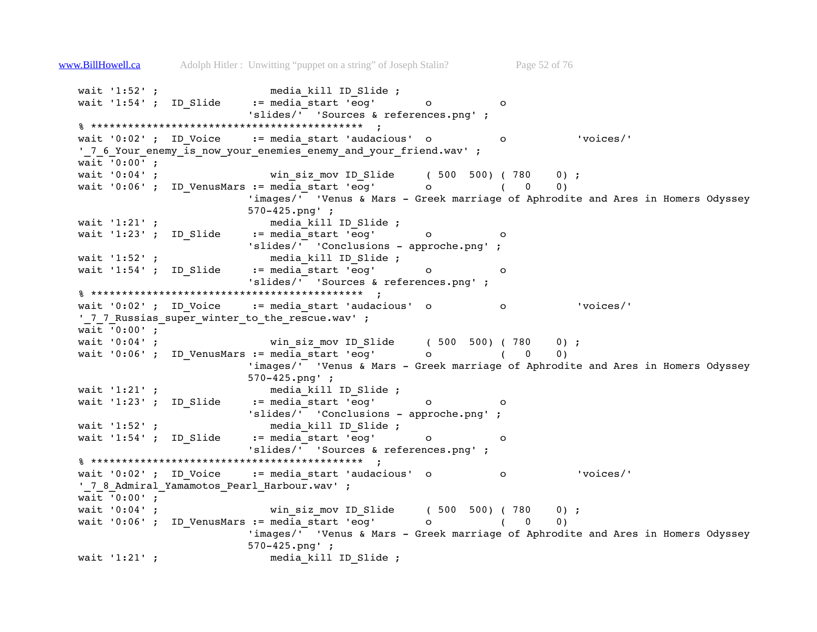```
www.BillHowell.ca Adolph Hitler : Unwitting "puppet on a string" of Joseph Stalin? Page 52 of 76
   wait '1:52' ; https://wait '1:52' ; https://wait '1:52' ;
      wait '1:54' ;  ID_Slide     := media_start 'eog'        o           o           
                                 'slides/'  'Sources & references.png' ;  
      % ********************************************  ;  
      wait '0:02' ;  ID_Voice     := media_start 'audacious'  o           o            'voices/'
   ' 7 6 Your enemy is now your enemies enemy and your friend.wav' ;
      wait '0:00' ;  
      wait '0:04' ;                  win_siz_mov ID_Slide     ( 500  500) ( 780    0) ; 
   wait '0:06' ; ID VenusMars := media start 'eog' \qquad \qquad 0 \qquad \qquad ( \qquad \qquad 0 \qquad \qquad 0)
                                 'images/' 'Venus & Mars - Greek marriage of Aphrodite and Ares in Homers Odyssey
                                 570425.png' ;  
   wait '1:21' ; https://wait '1:21' ; https://wait '1:21' ;
   wait '1:23' ; ID Slide \qquad := media start 'eog' \qquad \qquad o
                                 'slides/' 'Conclusions - approche.png' ;
   wait '1:52' ; hedia kill ID Slide ;
   wait '1:54' ; ID Slide \qquad := media start 'eog' \qquad \qquad o \qquad \qquad'slides/'  'Sources & references.png' ;  
      % ********************************************  ;  
      wait '0:02' ;  ID_Voice     := media_start 'audacious'  o           o            'voices/'
   ' 7 7 Russias super winter to the rescue.wav' ;
      wait '0:00' ;  
      wait '0:04' ;                  win_siz_mov ID_Slide     ( 500  500) ( 780    0) ; 
   wait '0:06' ; ID VenusMars := media start 'eog' \qquad \qquad 0 \qquad \qquad ( \qquad \qquad 0 \qquad \qquad 0)
                                 'images/' 'Venus & Mars - Greek marriage of Aphrodite and Ares in Homers Odyssey
                                 570 - 425.png' ;
   wait '1:21' ; hedia kill ID Slide ;
      wait '1:23' ;  ID_Slide     := media_start 'eog'        o           o           
                                 'slides/' 'Conclusions - approche.png' ;
   wait '1:52' ; https://wait '1:52' ; https://wait '1:52' ;
      wait '1:54' ;  ID_Slide     := media_start 'eog'        o           o           
                                 'slides/'  'Sources & references.png' ;  
      % ********************************************  ;  
      wait '0:02' ;  ID_Voice     := media_start 'audacious'  o           o            'voices/'
   ' 7 8 Admiral Yamamotos Pearl Harbour.wav' ;
      wait '0:00' ;  
      wait '0:04' ;                  win_siz_mov ID_Slide     ( 500  500) ( 780    0) ; 
   wait '0:06' ; ID VenusMars := media start 'eog' \qquad \qquad 0 ( \qquad 0 \qquad 0)'images/' 'Venus & Mars - Greek marriage of Aphrodite and Ares in Homers Odyssey
                                 570 - 425.png' ;
      wait '1:21' ;                  media_kill ID_Slide ;
```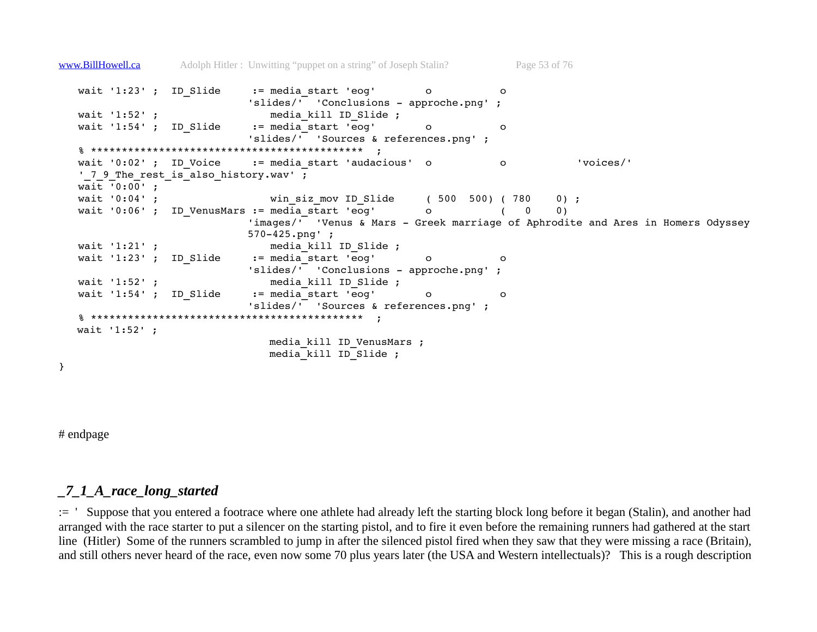```
www.BillHowell.ca Adolph Hitler : Unwitting "puppet on a string" of Joseph Stalin? Page 53 of 76
      wait '1:23' ;  ID_Slide     := media_start 'eog'        o           o           
                                 'slides/' 'Conclusions - approche.png' ;
   wait '1:52' ;<br>wait '1:54' ; ID Slide := media start 'eog'
      wait '1:54' ;  ID_Slide     := media_start 'eog'        o           o           
                                 'slides/'  'Sources & references.png' ;  
      % ********************************************  ;  
      wait '0:02' ;  ID_Voice     := media_start 'audacious'  o           o            'voices/'
   ' 7 9 The rest is also history.wav' ;
      wait '0:00' ;  
      wait '0:04' ;                  win_siz_mov ID_Slide     ( 500  500) ( 780    0) ; 
   wait '0:06' ; ID VenusMars := media start 'eog' \qquad \qquad 0 ( \qquad 0 \qquad 0)'images/' 'Venus & Mars - Greek marriage of Aphrodite and Ares in Homers Odyssey
                                 570425.png' ;  
   wait '1:21' ; hedia kill ID Slide ;
      wait '1:23' ;  ID_Slide     := media_start 'eog'        o           o           
                                 'slides/ \cdot 'Conclusions - approche.png' ;
   wait '1:52' ; https://wait '1:52' ; https://wait '1:52' ;
      wait '1:54' ;  ID_Slide     := media_start 'eog'        o           o           
                                 'slides/'  'Sources & references.png' ;  
      % ********************************************  ;  
      wait '1:52' ;  
                                     media kill ID VenusMars ;
                                     media kill ID Slide ;
```
# endpage

}

#### *\_7\_1\_A\_race\_long\_started*

:= ' Suppose that you entered a footrace where one athlete had already left the starting block long before it began (Stalin), and another had arranged with the race starter to put a silencer on the starting pistol, and to fire it even before the remaining runners had gathered at the start line (Hitler) Some of the runners scrambled to jump in after the silenced pistol fired when they saw that they were missing a race (Britain), and still others never heard of the race, even now some 70 plus years later (the USA and Western intellectuals)? This is a rough description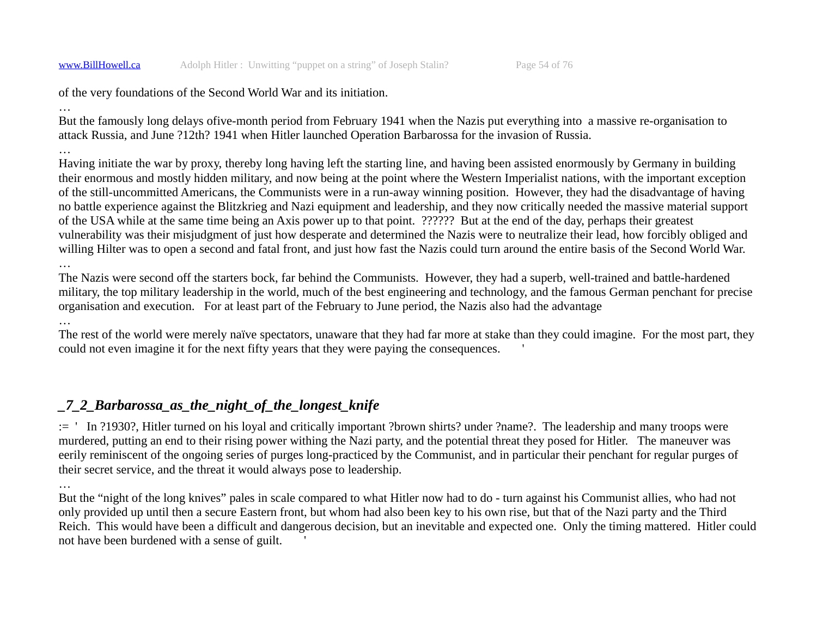#### [www.BillHowell.ca](http://www.BillHowell.ca/) Adolph Hitler : Unwitting "puppet on a string" of Joseph Stalin? Page 54 of 76

of the very foundations of the Second World War and its initiation.

…

But the famously long delays ofive-month period from February 1941 when the Nazis put everything into a massive re-organisation to attack Russia, and June ?12th? 1941 when Hitler launched Operation Barbarossa for the invasion of Russia.

…

Having initiate the war by proxy, thereby long having left the starting line, and having been assisted enormously by Germany in building their enormous and mostly hidden military, and now being at the point where the Western Imperialist nations, with the important exception of the still-uncommitted Americans, the Communists were in a run-away winning position. However, they had the disadvantage of having no battle experience against the Blitzkrieg and Nazi equipment and leadership, and they now critically needed the massive material support of the USA while at the same time being an Axis power up to that point. ?????? But at the end of the day, perhaps their greatest vulnerability was their misjudgment of just how desperate and determined the Nazis were to neutralize their lead, how forcibly obliged and willing Hilter was to open a second and fatal front, and just how fast the Nazis could turn around the entire basis of the Second World War. …

The Nazis were second off the starters bock, far behind the Communists. However, they had a superb, well-trained and battle-hardened military, the top military leadership in the world, much of the best engineering and technology, and the famous German penchant for precise organisation and execution. For at least part of the February to June period, the Nazis also had the advantage

…

The rest of the world were merely naïve spectators, unaware that they had far more at stake than they could imagine. For the most part, they could not even imagine it for the next fifty years that they were paying the consequences. '

# *\_7\_2\_Barbarossa\_as\_the\_night\_of\_the\_longest\_knife*

:= ' In ?1930?, Hitler turned on his loyal and critically important ?brown shirts? under ?name?. The leadership and many troops were murdered, putting an end to their rising power withing the Nazi party, and the potential threat they posed for Hitler. The maneuver was eerily reminiscent of the ongoing series of purges long-practiced by the Communist, and in particular their penchant for regular purges of their secret service, and the threat it would always pose to leadership.

…

But the "night of the long knives" pales in scale compared to what Hitler now had to do - turn against his Communist allies, who had not only provided up until then a secure Eastern front, but whom had also been key to his own rise, but that of the Nazi party and the Third Reich. This would have been a difficult and dangerous decision, but an inevitable and expected one. Only the timing mattered. Hitler could not have been burdened with a sense of guilt.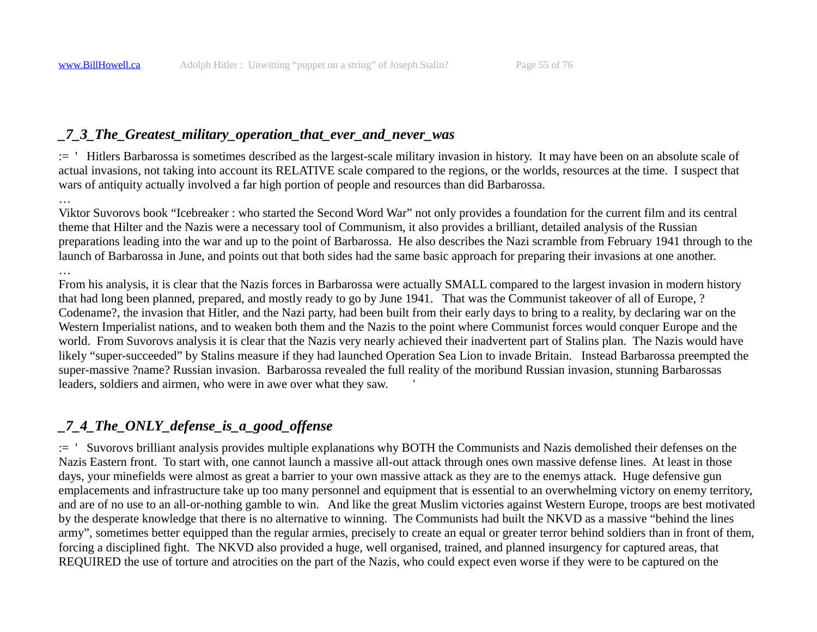#### *\_7\_3\_The\_Greatest\_military\_operation\_that\_ever\_and\_never\_was*

:= ' Hitlers Barbarossa is sometimes described as the largest-scale military invasion in history. It may have been on an absolute scale of actual invasions, not taking into account its RELATIVE scale compared to the regions, or the worlds, resources at the time. I suspect that wars of antiquity actually involved a far high portion of people and resources than did Barbarossa.

…

Viktor Suvorovs book "Icebreaker : who started the Second Word War" not only provides a foundation for the current film and its central theme that Hilter and the Nazis were a necessary tool of Communism, it also provides a brilliant, detailed analysis of the Russian preparations leading into the war and up to the point of Barbarossa. He also describes the Nazi scramble from February 1941 through to the launch of Barbarossa in June, and points out that both sides had the same basic approach for preparing their invasions at one another. …

From his analysis, it is clear that the Nazis forces in Barbarossa were actually SMALL compared to the largest invasion in modern history that had long been planned, prepared, and mostly ready to go by June 1941. That was the Communist takeover of all of Europe, ? Codename?, the invasion that Hitler, and the Nazi party, had been built from their early days to bring to a reality, by declaring war on the Western Imperialist nations, and to weaken both them and the Nazis to the point where Communist forces would conquer Europe and the

world. From Suvorovs analysis it is clear that the Nazis very nearly achieved their inadvertent part of Stalins plan. The Nazis would have likely "super-succeeded" by Stalins measure if they had launched Operation Sea Lion to invade Britain. Instead Barbarossa preempted the super-massive ?name? Russian invasion. Barbarossa revealed the full reality of the moribund Russian invasion, stunning Barbarossas leaders, soldiers and airmen, who were in awe over what they saw. '

## *\_7\_4\_The\_ONLY\_defense\_is\_a\_good\_offense*

:= ' Suvorovs brilliant analysis provides multiple explanations why BOTH the Communists and Nazis demolished their defenses on the Nazis Eastern front. To start with, one cannot launch a massive all-out attack through ones own massive defense lines. At least in those days, your minefields were almost as great a barrier to your own massive attack as they are to the enemys attack. Huge defensive gun emplacements and infrastructure take up too many personnel and equipment that is essential to an overwhelming victory on enemy territory, and are of no use to an all-or-nothing gamble to win. And like the great Muslim victories against Western Europe, troops are best motivated by the desperate knowledge that there is no alternative to winning. The Communists had built the NKVD as a massive "behind the lines army", sometimes better equipped than the regular armies, precisely to create an equal or greater terror behind soldiers than in front of them, forcing a disciplined fight. The NKVD also provided a huge, well organised, trained, and planned insurgency for captured areas, that REQUIRED the use of torture and atrocities on the part of the Nazis, who could expect even worse if they were to be captured on the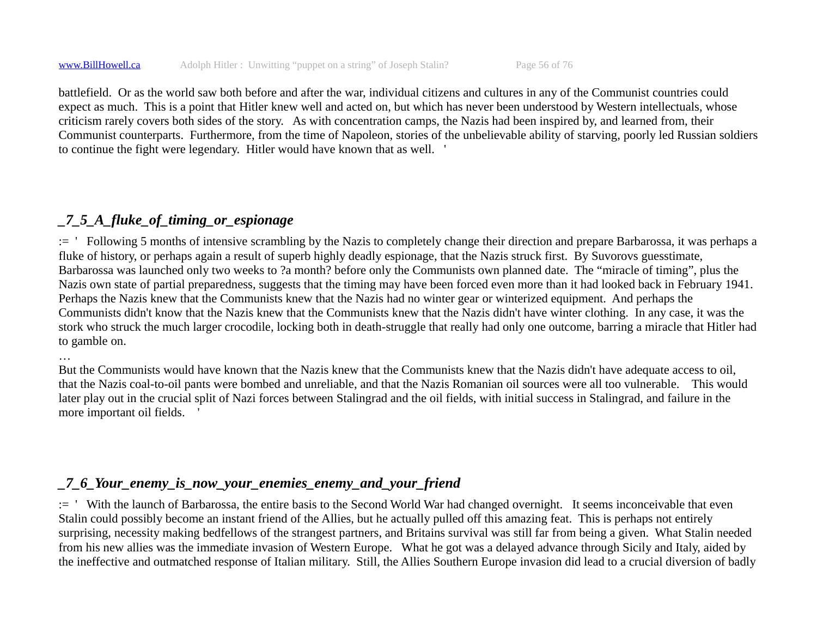battlefield. Or as the world saw both before and after the war, individual citizens and cultures in any of the Communist countries could expect as much. This is a point that Hitler knew well and acted on, but which has never been understood by Western intellectuals, whose criticism rarely covers both sides of the story. As with concentration camps, the Nazis had been inspired by, and learned from, their Communist counterparts. Furthermore, from the time of Napoleon, stories of the unbelievable ability of starving, poorly led Russian soldiers to continue the fight were legendary. Hitler would have known that as well. '

# *\_7\_5\_A\_fluke\_of\_timing\_or\_espionage*

:= ' Following 5 months of intensive scrambling by the Nazis to completely change their direction and prepare Barbarossa, it was perhaps a fluke of history, or perhaps again a result of superb highly deadly espionage, that the Nazis struck first. By Suvorovs guesstimate, Barbarossa was launched only two weeks to ?a month? before only the Communists own planned date. The "miracle of timing", plus the Nazis own state of partial preparedness, suggests that the timing may have been forced even more than it had looked back in February 1941. Perhaps the Nazis knew that the Communists knew that the Nazis had no winter gear or winterized equipment. And perhaps the Communists didn't know that the Nazis knew that the Communists knew that the Nazis didn't have winter clothing. In any case, it was the stork who struck the much larger crocodile, locking both in death-struggle that really had only one outcome, barring a miracle that Hitler had to gamble on.

…

But the Communists would have known that the Nazis knew that the Communists knew that the Nazis didn't have adequate access to oil, that the Nazis coal-to-oil pants were bombed and unreliable, and that the Nazis Romanian oil sources were all too vulnerable. This would later play out in the crucial split of Nazi forces between Stalingrad and the oil fields, with initial success in Stalingrad, and failure in the more important oil fields. '

## *\_7\_6\_Your\_enemy\_is\_now\_your\_enemies\_enemy\_and\_your\_friend*

:= ' With the launch of Barbarossa, the entire basis to the Second World War had changed overnight. It seems inconceivable that even Stalin could possibly become an instant friend of the Allies, but he actually pulled off this amazing feat. This is perhaps not entirely surprising, necessity making bedfellows of the strangest partners, and Britains survival was still far from being a given. What Stalin needed from his new allies was the immediate invasion of Western Europe. What he got was a delayed advance through Sicily and Italy, aided by the ineffective and outmatched response of Italian military. Still, the Allies Southern Europe invasion did lead to a crucial diversion of badly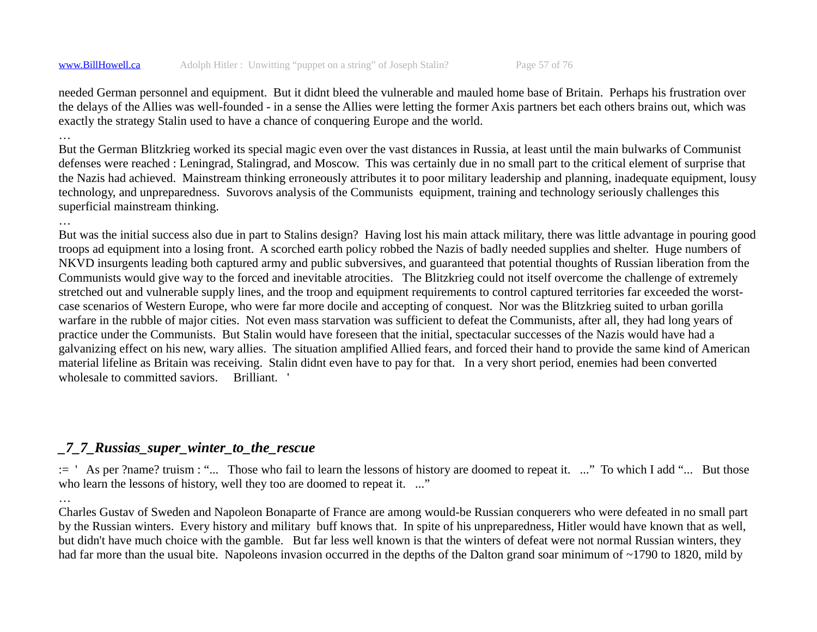#### [www.BillHowell.ca](http://www.BillHowell.ca/) Adolph Hitler : Unwitting "puppet on a string" of Joseph Stalin? Page 57 of 76

needed German personnel and equipment. But it didnt bleed the vulnerable and mauled home base of Britain. Perhaps his frustration over the delays of the Allies was well-founded - in a sense the Allies were letting the former Axis partners bet each others brains out, which was exactly the strategy Stalin used to have a chance of conquering Europe and the world.

…

But the German Blitzkrieg worked its special magic even over the vast distances in Russia, at least until the main bulwarks of Communist defenses were reached : Leningrad, Stalingrad, and Moscow. This was certainly due in no small part to the critical element of surprise that the Nazis had achieved. Mainstream thinking erroneously attributes it to poor military leadership and planning, inadequate equipment, lousy technology, and unpreparedness. Suvorovs analysis of the Communists equipment, training and technology seriously challenges this superficial mainstream thinking.

…

But was the initial success also due in part to Stalins design? Having lost his main attack military, there was little advantage in pouring good troops ad equipment into a losing front. A scorched earth policy robbed the Nazis of badly needed supplies and shelter. Huge numbers of NKVD insurgents leading both captured army and public subversives, and guaranteed that potential thoughts of Russian liberation from the Communists would give way to the forced and inevitable atrocities. The Blitzkrieg could not itself overcome the challenge of extremely stretched out and vulnerable supply lines, and the troop and equipment requirements to control captured territories far exceeded the worstcase scenarios of Western Europe, who were far more docile and accepting of conquest. Nor was the Blitzkrieg suited to urban gorilla warfare in the rubble of major cities. Not even mass starvation was sufficient to defeat the Communists, after all, they had long years of practice under the Communists. But Stalin would have foreseen that the initial, spectacular successes of the Nazis would have had a galvanizing effect on his new, wary allies. The situation amplified Allied fears, and forced their hand to provide the same kind of American material lifeline as Britain was receiving. Stalin didnt even have to pay for that. In a very short period, enemies had been converted wholesale to committed saviors. Brilliant. '

#### *\_7\_7\_Russias\_super\_winter\_to\_the\_rescue*

:= ' As per ?name? truism : "... Those who fail to learn the lessons of history are doomed to repeat it. ..." To which I add "... But those who learn the lessons of history, well they too are doomed to repeat it. ..."

…

Charles Gustav of Sweden and Napoleon Bonaparte of France are among would-be Russian conquerers who were defeated in no small part by the Russian winters. Every history and military buff knows that. In spite of his unpreparedness, Hitler would have known that as well, but didn't have much choice with the gamble. But far less well known is that the winters of defeat were not normal Russian winters, they had far more than the usual bite. Napoleons invasion occurred in the depths of the Dalton grand soar minimum of ~1790 to 1820, mild by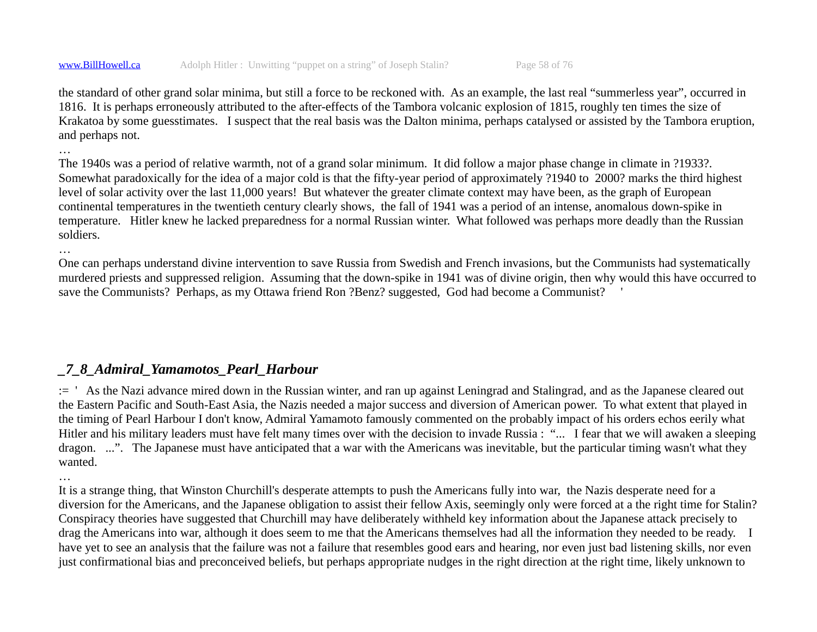the standard of other grand solar minima, but still a force to be reckoned with. As an example, the last real "summerless year", occurred in 1816. It is perhaps erroneously attributed to the after-effects of the Tambora volcanic explosion of 1815, roughly ten times the size of Krakatoa by some guesstimates. I suspect that the real basis was the Dalton minima, perhaps catalysed or assisted by the Tambora eruption, and perhaps not.

…

The 1940s was a period of relative warmth, not of a grand solar minimum. It did follow a major phase change in climate in ?1933?. Somewhat paradoxically for the idea of a major cold is that the fifty-year period of approximately ?1940 to 2000? marks the third highest level of solar activity over the last 11,000 years! But whatever the greater climate context may have been, as the graph of European continental temperatures in the twentieth century clearly shows, the fall of 1941 was a period of an intense, anomalous down-spike in temperature. Hitler knew he lacked preparedness for a normal Russian winter. What followed was perhaps more deadly than the Russian soldiers.

…

One can perhaps understand divine intervention to save Russia from Swedish and French invasions, but the Communists had systematically murdered priests and suppressed religion. Assuming that the down-spike in 1941 was of divine origin, then why would this have occurred to save the Communists? Perhaps, as my Ottawa friend Ron ?Benz? suggested, God had become a Communist? '

# *\_7\_8\_Admiral\_Yamamotos\_Pearl\_Harbour*

:= ' As the Nazi advance mired down in the Russian winter, and ran up against Leningrad and Stalingrad, and as the Japanese cleared out the Eastern Pacific and South-East Asia, the Nazis needed a major success and diversion of American power. To what extent that played in the timing of Pearl Harbour I don't know, Admiral Yamamoto famously commented on the probably impact of his orders echos eerily what Hitler and his military leaders must have felt many times over with the decision to invade Russia : "... I fear that we will awaken a sleeping dragon. ...". The Japanese must have anticipated that a war with the Americans was inevitable, but the particular timing wasn't what they wanted.

…

It is a strange thing, that Winston Churchill's desperate attempts to push the Americans fully into war, the Nazis desperate need for a diversion for the Americans, and the Japanese obligation to assist their fellow Axis, seemingly only were forced at a the right time for Stalin? Conspiracy theories have suggested that Churchill may have deliberately withheld key information about the Japanese attack precisely to drag the Americans into war, although it does seem to me that the Americans themselves had all the information they needed to be ready. I have yet to see an analysis that the failure was not a failure that resembles good ears and hearing, nor even just bad listening skills, nor even just confirmational bias and preconceived beliefs, but perhaps appropriate nudges in the right direction at the right time, likely unknown to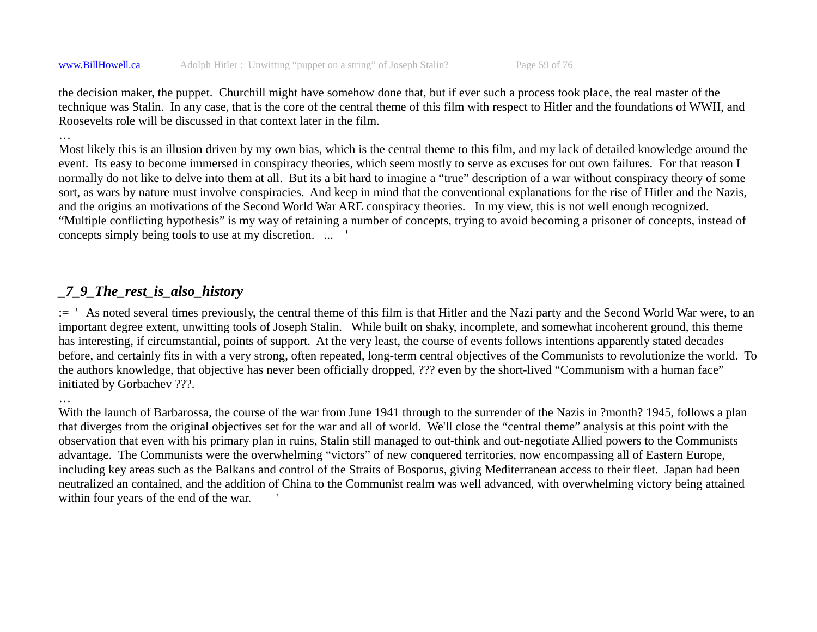#### [www.BillHowell.ca](http://www.BillHowell.ca/) Adolph Hitler : Unwitting "puppet on a string" of Joseph Stalin? Page 59 of 76

the decision maker, the puppet. Churchill might have somehow done that, but if ever such a process took place, the real master of the technique was Stalin. In any case, that is the core of the central theme of this film with respect to Hitler and the foundations of WWII, and Roosevelts role will be discussed in that context later in the film.

…

Most likely this is an illusion driven by my own bias, which is the central theme to this film, and my lack of detailed knowledge around the event. Its easy to become immersed in conspiracy theories, which seem mostly to serve as excuses for out own failures. For that reason I normally do not like to delve into them at all. But its a bit hard to imagine a "true" description of a war without conspiracy theory of some sort, as wars by nature must involve conspiracies. And keep in mind that the conventional explanations for the rise of Hitler and the Nazis, and the origins an motivations of the Second World War ARE conspiracy theories. In my view, this is not well enough recognized. "Multiple conflicting hypothesis" is my way of retaining a number of concepts, trying to avoid becoming a prisoner of concepts, instead of concepts simply being tools to use at my discretion. ... '

# *\_7\_9\_The\_rest\_is\_also\_history*

:= ' As noted several times previously, the central theme of this film is that Hitler and the Nazi party and the Second World War were, to an important degree extent, unwitting tools of Joseph Stalin. While built on shaky, incomplete, and somewhat incoherent ground, this theme has interesting, if circumstantial, points of support. At the very least, the course of events follows intentions apparently stated decades before, and certainly fits in with a very strong, often repeated, long-term central objectives of the Communists to revolutionize the world. To the authors knowledge, that objective has never been officially dropped, ??? even by the short-lived "Communism with a human face" initiated by Gorbachev ???.

…

With the launch of Barbarossa, the course of the war from June 1941 through to the surrender of the Nazis in ?month? 1945, follows a plan that diverges from the original objectives set for the war and all of world. We'll close the "central theme" analysis at this point with the observation that even with his primary plan in ruins, Stalin still managed to out-think and out-negotiate Allied powers to the Communists advantage. The Communists were the overwhelming "victors" of new conquered territories, now encompassing all of Eastern Europe, including key areas such as the Balkans and control of the Straits of Bosporus, giving Mediterranean access to their fleet. Japan had been neutralized an contained, and the addition of China to the Communist realm was well advanced, with overwhelming victory being attained within four years of the end of the war.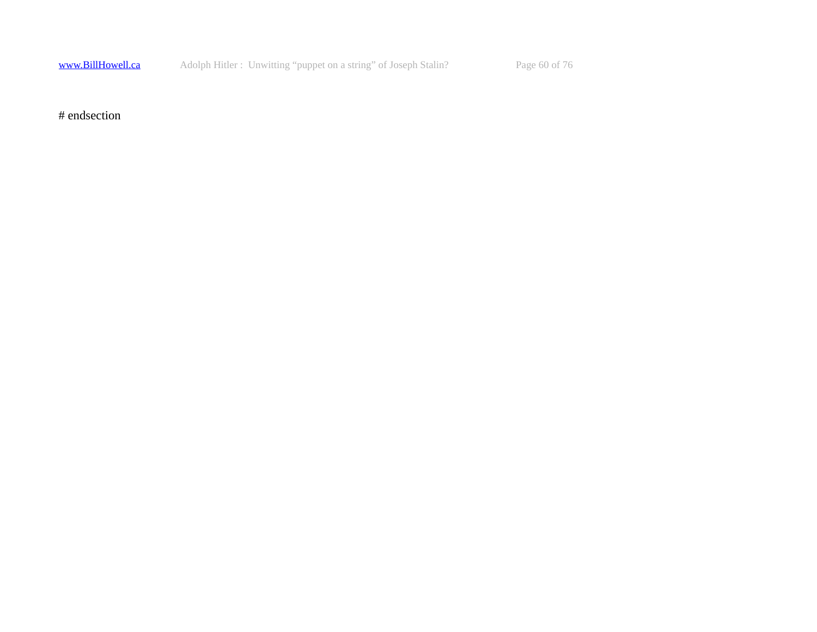[www.BillHowell.ca](http://www.BillHowell.ca/) Adolph Hitler : Unwitting "puppet on a string" of Joseph Stalin? Page 60 of 76

# endsection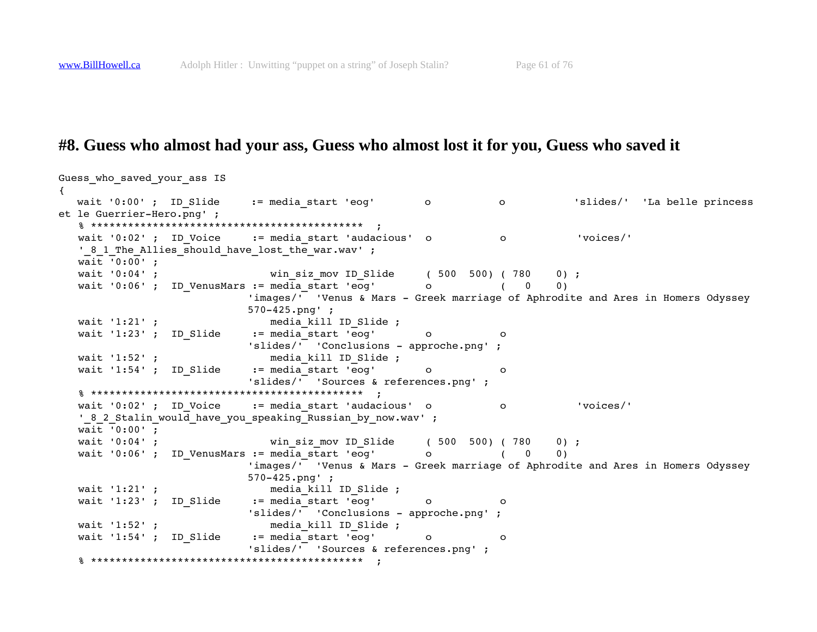## **#8. Guess who almost had your ass, Guess who almost lost it for you, Guess who saved it**

```
Guess who saved your ass IS
{<br>wait '0:00'; ID Slide
                                  wait '0:00' ;  ID_Slide     := media_start 'eog'        o           o           'slides/'  'La belle princess
et le Guerrier-Hero.png';
      % ********************************************  ;  
      wait '0:02' ;  ID_Voice     := media_start 'audacious'  o           o            'voices/'
   ' 8 1 The Allies should have lost the war.wav' ;
      wait '0:00' ;  
      wait '0:04' ;                  win_siz_mov ID_Slide     ( 500  500) ( 780    0) ; 
   wait '0:06' ; ID VenusMars := media start 'eog' \qquad \qquad 0 ( \qquad 0 \qquad 0)'images/' 'Venus & Mars - Greek marriage of Aphrodite and Ares in Homers Odyssey
                                570-425.png' ;<br>media kill ID Slide ;
   wait '1:21' ;                  media_kill ID_Slide ;  
   wait '1:23' ;  ID_Slide     := media_start 'eog'        o           o           
                               'slides/' 'Conclusions - approche.png';
      wait '1:52' ;                  media_kill ID_Slide ;  
   wait '1:54' ; ID Slide := media start 'eog' \qquad \qquad o
                                'slides/' 'Sources & references.png' ;
      % ********************************************  ;  
      wait '0:02' ;  ID_Voice     := media_start 'audacious'  o           o            'voices/'
   ' 8 2 Stalin would have you speaking Russian by now.wav' ;
      wait '0:00' ;  
      wait '0:04' ;                  win_siz_mov ID_Slide     ( 500  500) ( 780    0) ; 
   wait '0:06' ; ID VenusMars := media start 'eog' \overline{O} o (0 \ 0)'images/' 'Venus & Mars - Greek marriage of Aphrodite and Ares in Homers Odyssey
                                570425.png' ;  
   wait '1:21' ; headia kill ID Slide ;
      wait '1:23' ;  ID_Slide     := media_start 'eog'        o           o           
                                'slides/ \cdot 'Conclusions - approche.png' ;
   wait '1:52' ; https://wait '1:52' ; https://wait '1:52' ;
      wait '1:54' ;  ID_Slide     := media_start 'eog'        o           o           
                                'slides/'  'Sources & references.png' ;  
      % ********************************************  ;
```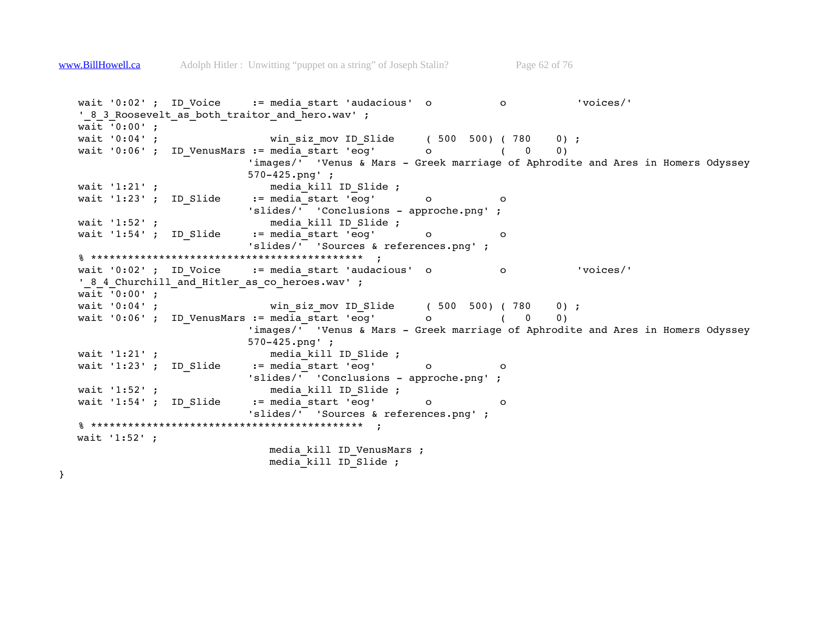```
   wait '0:02' ;  ID_Voice     := media_start 'audacious'  o           o            'voices/'
' 8 3 Roosevelt as both traitor and hero.wav' ;
   wait '0:00' ;  
   wait '0:04' ;                  win_siz_mov ID_Slide     ( 500  500) ( 780    0) ; 
wait '0:06' ; ID VenusMars := media start 'eog' \qquad \qquad 0 ( \qquad 0 \qquad 0)'images/' 'Venus & Mars - Greek marriage of Aphrodite and Ares in Homers Odyssey
                             570 - 425.png' ;
wait '1:21' ; healia kill ID Slide ;
   wait '1:23' ;  ID_Slide     := media_start 'eog'        o           o           
                             'slides/' 'Conclusions - approche.png';
   wait '1:52' ;                  media_kill ID_Slide ;  
   wait '1:54' ;  ID_Slide     := media_start 'eog'        o           o           
                             'slides/' 'Sources & references.png' ;
   % ********************************************  ;  
   wait '0:02' ;  ID_Voice     := media_start 'audacious'  o           o            'voices/'
' 8 4 Churchill and Hitler as co heroes.wav' ;
wait \frac{-}{0:00} :
   wait '0:04' ;                  win_siz_mov ID_Slide     ( 500  500) ( 780    0) ; 
wait '0:06' ; ID VenusMars := media start 'eog' \qquad \qquad 0 \qquad \qquad ( 0 0)
                             'images/' 'Venus & Mars - Greek marriage of Aphrodite and Ares in Homers Odyssey
                             570425.png' ;  
wait '1:21' ;<br>wait '1:23' ; ID Slide := media start 'eog'
   wait '1:23' ;  ID_Slide     := media_start 'eog'        o           o           
                             'slides/' 'Conclusions - approche.png';
   wait '1:52' ;                  media_kill ID_Slide ;  
wait '1:54' ; ID Slide \qquad := media start 'eog' \qquad \qquad o \qquad \qquad'slides/'  'Sources & references.png' ;  
   % ********************************************  ;  
   wait '1:52' ;  
                                 media kill ID VenusMars ;
                                 media kill ID Slide ;
```
}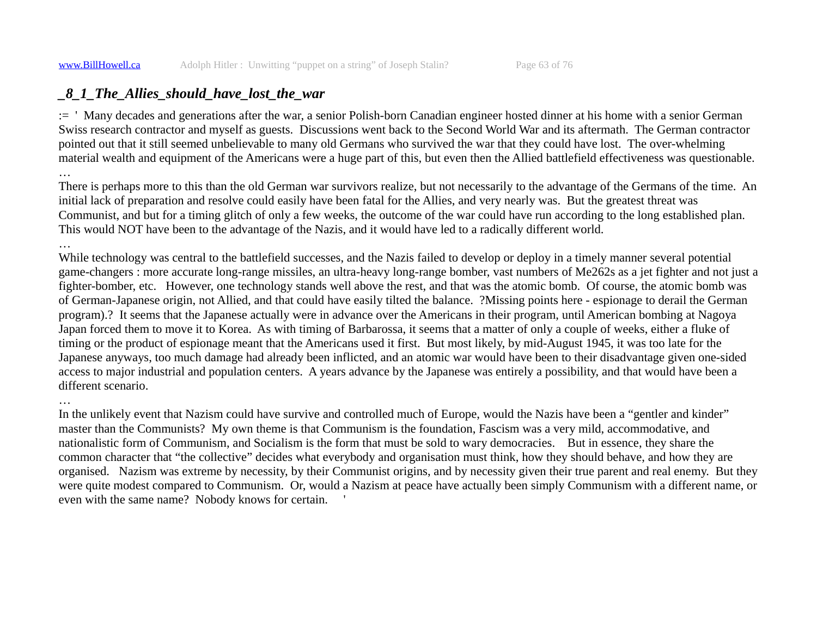# *\_8\_1\_The\_Allies\_should\_have\_lost\_the\_war*

:= ' Many decades and generations after the war, a senior Polish-born Canadian engineer hosted dinner at his home with a senior German Swiss research contractor and myself as guests. Discussions went back to the Second World War and its aftermath. The German contractor pointed out that it still seemed unbelievable to many old Germans who survived the war that they could have lost. The over-whelming material wealth and equipment of the Americans were a huge part of this, but even then the Allied battlefield effectiveness was questionable.

…

There is perhaps more to this than the old German war survivors realize, but not necessarily to the advantage of the Germans of the time. An initial lack of preparation and resolve could easily have been fatal for the Allies, and very nearly was. But the greatest threat was Communist, and but for a timing glitch of only a few weeks, the outcome of the war could have run according to the long established plan. This would NOT have been to the advantage of the Nazis, and it would have led to a radically different world.

…

While technology was central to the battlefield successes, and the Nazis failed to develop or deploy in a timely manner several potential game-changers : more accurate long-range missiles, an ultra-heavy long-range bomber, vast numbers of Me262s as a jet fighter and not just a fighter-bomber, etc. However, one technology stands well above the rest, and that was the atomic bomb. Of course, the atomic bomb was of German-Japanese origin, not Allied, and that could have easily tilted the balance. ?Missing points here - espionage to derail the German program).? It seems that the Japanese actually were in advance over the Americans in their program, until American bombing at Nagoya Japan forced them to move it to Korea. As with timing of Barbarossa, it seems that a matter of only a couple of weeks, either a fluke of timing or the product of espionage meant that the Americans used it first. But most likely, by mid-August 1945, it was too late for the Japanese anyways, too much damage had already been inflicted, and an atomic war would have been to their disadvantage given one-sided access to major industrial and population centers. A years advance by the Japanese was entirely a possibility, and that would have been a different scenario.

…

In the unlikely event that Nazism could have survive and controlled much of Europe, would the Nazis have been a "gentler and kinder" master than the Communists? My own theme is that Communism is the foundation, Fascism was a very mild, accommodative, and nationalistic form of Communism, and Socialism is the form that must be sold to wary democracies. But in essence, they share the common character that "the collective" decides what everybody and organisation must think, how they should behave, and how they are organised. Nazism was extreme by necessity, by their Communist origins, and by necessity given their true parent and real enemy. But they were quite modest compared to Communism. Or, would a Nazism at peace have actually been simply Communism with a different name, or even with the same name? Nobody knows for certain.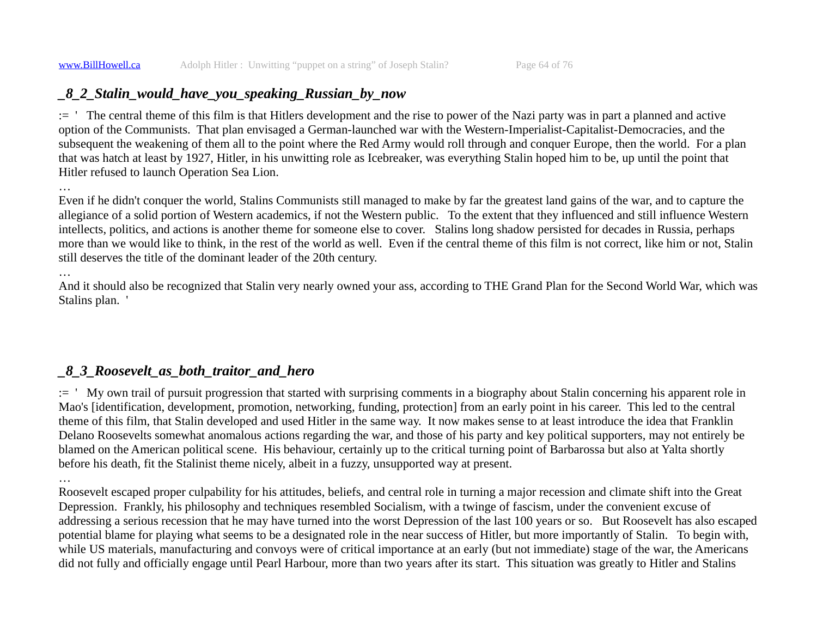# *\_8\_2\_Stalin\_would\_have\_you\_speaking\_Russian\_by\_now*

:= ' The central theme of this film is that Hitlers development and the rise to power of the Nazi party was in part a planned and active option of the Communists. That plan envisaged a German-launched war with the Western-Imperialist-Capitalist-Democracies, and the subsequent the weakening of them all to the point where the Red Army would roll through and conquer Europe, then the world. For a plan that was hatch at least by 1927, Hitler, in his unwitting role as Icebreaker, was everything Stalin hoped him to be, up until the point that Hitler refused to launch Operation Sea Lion.

…

Even if he didn't conquer the world, Stalins Communists still managed to make by far the greatest land gains of the war, and to capture the allegiance of a solid portion of Western academics, if not the Western public. To the extent that they influenced and still influence Western intellects, politics, and actions is another theme for someone else to cover. Stalins long shadow persisted for decades in Russia, perhaps more than we would like to think, in the rest of the world as well. Even if the central theme of this film is not correct, like him or not, Stalin still deserves the title of the dominant leader of the 20th century.

…

And it should also be recognized that Stalin very nearly owned your ass, according to THE Grand Plan for the Second World War, which was Stalins plan. '

#### *\_8\_3\_Roosevelt\_as\_both\_traitor\_and\_hero*

:= ' My own trail of pursuit progression that started with surprising comments in a biography about Stalin concerning his apparent role in Mao's [identification, development, promotion, networking, funding, protection] from an early point in his career. This led to the central theme of this film, that Stalin developed and used Hitler in the same way. It now makes sense to at least introduce the idea that Franklin Delano Roosevelts somewhat anomalous actions regarding the war, and those of his party and key political supporters, may not entirely be blamed on the American political scene. His behaviour, certainly up to the critical turning point of Barbarossa but also at Yalta shortly before his death, fit the Stalinist theme nicely, albeit in a fuzzy, unsupported way at present.

…

Roosevelt escaped proper culpability for his attitudes, beliefs, and central role in turning a major recession and climate shift into the Great Depression. Frankly, his philosophy and techniques resembled Socialism, with a twinge of fascism, under the convenient excuse of addressing a serious recession that he may have turned into the worst Depression of the last 100 years or so. But Roosevelt has also escaped potential blame for playing what seems to be a designated role in the near success of Hitler, but more importantly of Stalin. To begin with, while US materials, manufacturing and convoys were of critical importance at an early (but not immediate) stage of the war, the Americans did not fully and officially engage until Pearl Harbour, more than two years after its start. This situation was greatly to Hitler and Stalins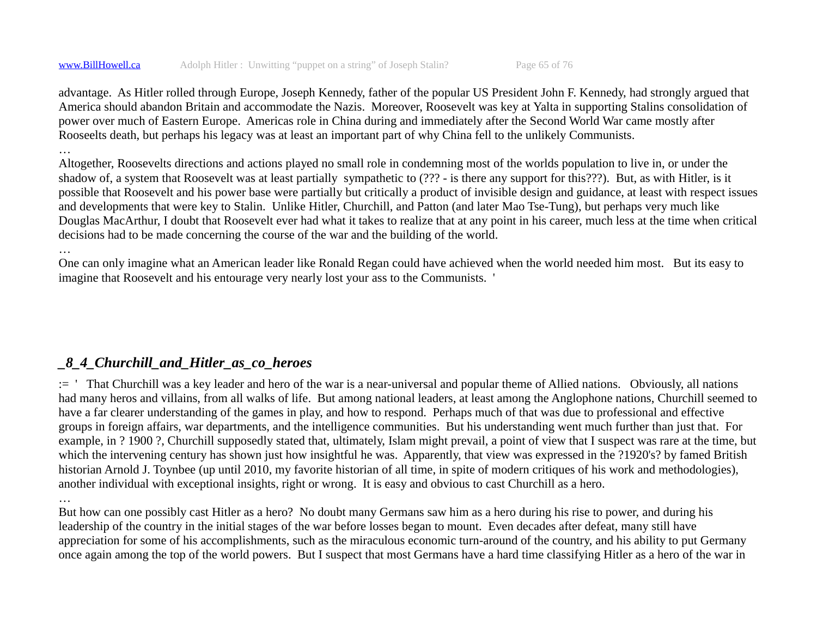#### [www.BillHowell.ca](http://www.BillHowell.ca/) Adolph Hitler : Unwitting "puppet on a string" of Joseph Stalin? Page 65 of 76

advantage. As Hitler rolled through Europe, Joseph Kennedy, father of the popular US President John F. Kennedy, had strongly argued that America should abandon Britain and accommodate the Nazis. Moreover, Roosevelt was key at Yalta in supporting Stalins consolidation of power over much of Eastern Europe. Americas role in China during and immediately after the Second World War came mostly after Rooseelts death, but perhaps his legacy was at least an important part of why China fell to the unlikely Communists.

… Altogether, Roosevelts directions and actions played no small role in condemning most of the worlds population to live in, or under the shadow of, a system that Roosevelt was at least partially sympathetic to (??? - is there any support for this???). But, as with Hitler, is it possible that Roosevelt and his power base were partially but critically a product of invisible design and guidance, at least with respect issues and developments that were key to Stalin. Unlike Hitler, Churchill, and Patton (and later Mao Tse-Tung), but perhaps very much like Douglas MacArthur, I doubt that Roosevelt ever had what it takes to realize that at any point in his career, much less at the time when critical decisions had to be made concerning the course of the war and the building of the world.

… One can only imagine what an American leader like Ronald Regan could have achieved when the world needed him most. But its easy to imagine that Roosevelt and his entourage very nearly lost your ass to the Communists. '

# *\_8\_4\_Churchill\_and\_Hitler\_as\_co\_heroes*

:= ' That Churchill was a key leader and hero of the war is a near-universal and popular theme of Allied nations. Obviously, all nations had many heros and villains, from all walks of life. But among national leaders, at least among the Anglophone nations, Churchill seemed to have a far clearer understanding of the games in play, and how to respond. Perhaps much of that was due to professional and effective groups in foreign affairs, war departments, and the intelligence communities. But his understanding went much further than just that. For example, in ? 1900 ?, Churchill supposedly stated that, ultimately, Islam might prevail, a point of view that I suspect was rare at the time, but which the intervening century has shown just how insightful he was. Apparently, that view was expressed in the ?1920's? by famed British historian Arnold J. Toynbee (up until 2010, my favorite historian of all time, in spite of modern critiques of his work and methodologies), another individual with exceptional insights, right or wrong. It is easy and obvious to cast Churchill as a hero.

But how can one possibly cast Hitler as a hero? No doubt many Germans saw him as a hero during his rise to power, and during his leadership of the country in the initial stages of the war before losses began to mount. Even decades after defeat, many still have appreciation for some of his accomplishments, such as the miraculous economic turn-around of the country, and his ability to put Germany once again among the top of the world powers. But I suspect that most Germans have a hard time classifying Hitler as a hero of the war in

<sup>…</sup>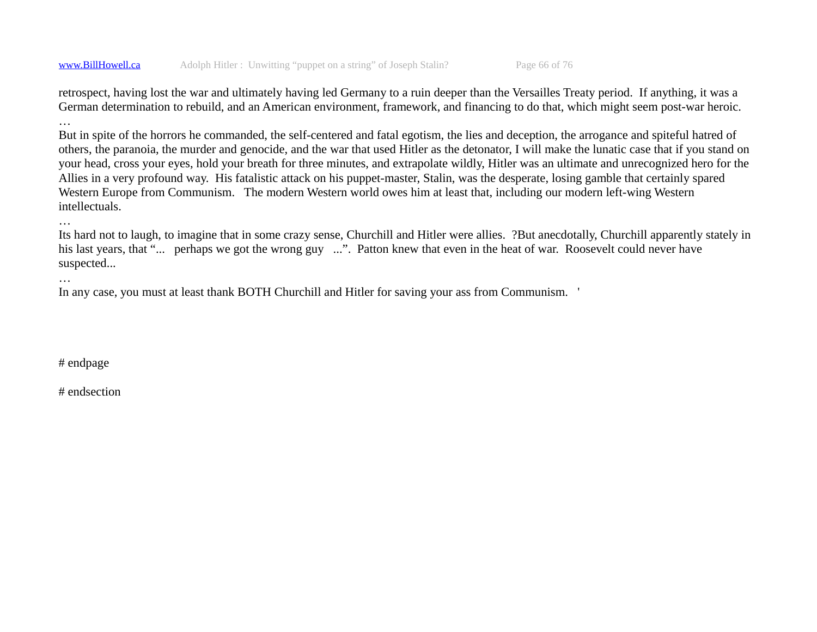#### [www.BillHowell.ca](http://www.BillHowell.ca/) Adolph Hitler : Unwitting "puppet on a string" of Joseph Stalin? Page 66 of 76

retrospect, having lost the war and ultimately having led Germany to a ruin deeper than the Versailles Treaty period. If anything, it was a German determination to rebuild, and an American environment, framework, and financing to do that, which might seem post-war heroic.

…

But in spite of the horrors he commanded, the self-centered and fatal egotism, the lies and deception, the arrogance and spiteful hatred of others, the paranoia, the murder and genocide, and the war that used Hitler as the detonator, I will make the lunatic case that if you stand on your head, cross your eyes, hold your breath for three minutes, and extrapolate wildly, Hitler was an ultimate and unrecognized hero for the Allies in a very profound way. His fatalistic attack on his puppet-master, Stalin, was the desperate, losing gamble that certainly spared Western Europe from Communism. The modern Western world owes him at least that, including our modern left-wing Western intellectuals.

…

Its hard not to laugh, to imagine that in some crazy sense, Churchill and Hitler were allies. ?But anecdotally, Churchill apparently stately in his last years, that "... perhaps we got the wrong guy ...". Patton knew that even in the heat of war. Roosevelt could never have suspected...

… In any case, you must at least thank BOTH Churchill and Hitler for saving your ass from Communism. '

# endpage

# endsection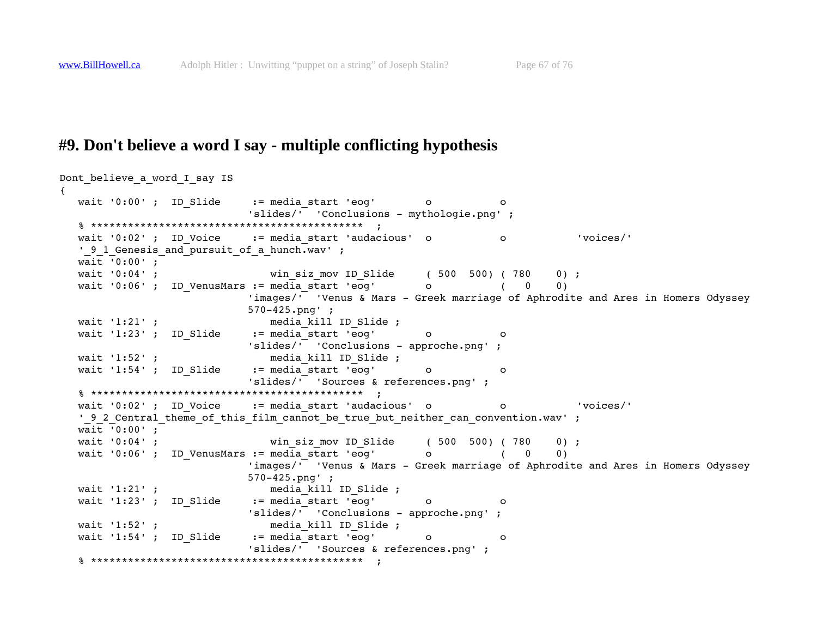# **#9. Don't believe a word I say - multiple conflicting hypothesis**

```
Dont believe a word I say IS
{
     wait '0:00' ;  ID_Slide     := media_start 'eog'        o           o           
                               'slides/' 'Conclusions - mythologie.png';
      % ********************************************  ;  
     wait '0:02' ;  ID_Voice     := media_start 'audacious'  o           o            'voices/'
   ' 9 1 Genesis and pursuit of a hunch.wav' ;
     wait '0:00' ;  
     wait '0:04' ;                  win_siz_mov ID_Slide     ( 500  500) ( 780    0) ; 
  wait '0:06' ; ID VenusMars := media start 'eog' \qquad \qquad 0 ( \qquad 0 \qquad 0)'images/' 'Venus & Mars - Greek marriage of Aphrodite and Ares in Homers Odyssey
                               570425.png' ;  
   wait '1:21' ;                  media_kill ID_Slide ;  
   wait '1:23' ;  ID_Slide     := media_start 'eog'        o           o           
                             'slides/' 'Conclusions - approche.png';
     wait '1:52' ;                  media_kill ID_Slide ;  
  wait '1:54' ; ID Slide := media start 'eog' \qquad \circ'slides/'  'Sources & references.png' ;  
      % ********************************************  ;  
     wait '0:02' ;  ID_Voice     := media_start 'audacious'  o           o            'voices/'
   ' 9 2 Central theme of this film cannot be true but neither can convention.wav' ;
     wait '0:00' ;  
     wait '0:04' ;                  win_siz_mov ID_Slide     ( 500  500) ( 780    0) ; 
  wait '0:06' ; ID VenusMars := media start 'eog' \overline{O} o (0 \ 0)'images/' 'Venus & Mars - Greek marriage of Aphrodite and Ares in Homers Odyssey
                               570425.png' ;  
  wait '1:21' ; headia kill ID Slide ;
  wait '1:23' ; ID Slide := media start 'eog' \qquad \circ \qquad \qquad o
                               'slides/ \cdot 'Conclusions - approche.png' ;
     wait '1:52' ;                  media_kill ID_Slide ;  
  wait '1:54' ; ID Slide := media start 'eog' \qquad \qquad o \qquad \qquad o
                              'slides/'  'Sources & references.png' ;  
      % ********************************************  ;
```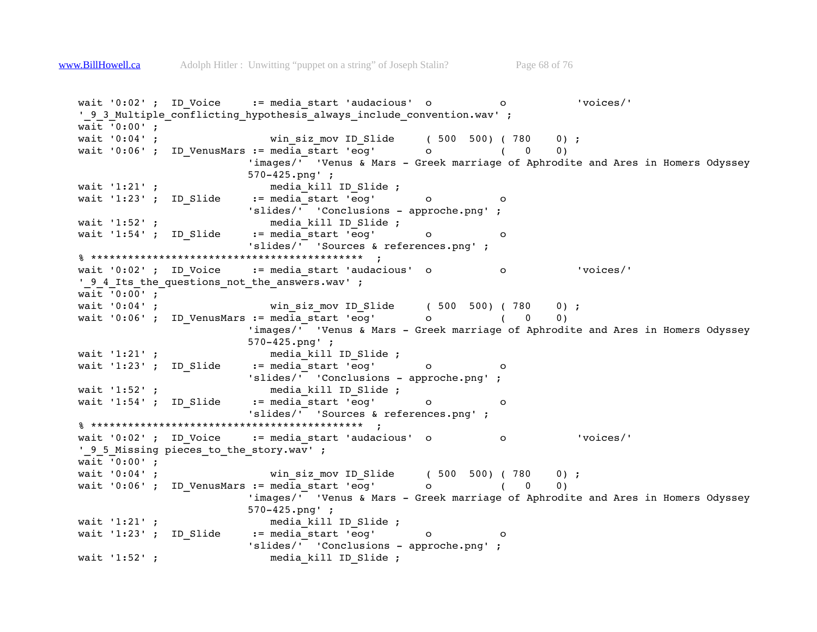```
   wait '0:02' ;  ID_Voice     := media_start 'audacious'  o           o            'voices/'
' 9 3 Multiple conflicting hypothesis always include convention.wav' ;
   wait '0:00' ;  
   wait '0:04' ;                  win_siz_mov ID_Slide     ( 500  500) ( 780    0) ; 
wait '0:06' ; ID VenusMars := media start 'eog' \qquad \qquad 0 \qquad \qquad ( \qquad \qquad 0 \qquad \qquad 0)
                            'images/' 'Venus & Mars - Greek marriage of Aphrodite and Ares in Homers Odyssey
                            570 - 425.png' ;
wait '1:21' ; hedia kill ID Slide ;
   wait '1:23' ;  ID_Slide     := media_start 'eog'        o           o           
                            'slides/' 'Conclusions - approche.png';
wait '1:52' ; hedia kill ID Slide ;
   wait '1:54' ;  ID_Slide     := media_start 'eog'        o           o           
                            'slides/' 'Sources & references.png' ;
   % ********************************************  ;  
   wait '0:02' ;  ID_Voice     := media_start 'audacious'  o           o            'voices/'
' 9 4 Its the questions not the answers.wav' ;
   wait '0:00' ;  
   wait '0:04' ;                  win_siz_mov ID_Slide     ( 500  500) ( 780    0) ; 
wait '0:06' ; ID VenusMars := media start 'eog' \qquad \qquad 0 \qquad \qquad ( 0 0)
                            'images/' 'Venus & Mars - Greek marriage of Aphrodite and Ares in Homers Odyssey
                            570425.png' ;  
wait '1:21' ; hedia kill ID Slide ;
   wait '1:23' ;  ID_Slide     := media_start 'eog'        o           o           
                            'slides/ \cdot 'Conclusions - approche.png';
   wait '1:52' ;                  media_kill ID_Slide ;  
wait '1:54' ; ID Slide := media start 'eog' \qquad \circ'slides/'  'Sources & references.png' ;  
   % ********************************************  ;  
   wait '0:02' ;  ID_Voice     := media_start 'audacious'  o           o            'voices/'
' 9 5 Missing pieces to the story.wav' ;
   wait '0:00' ;  
   wait '0:04' ;                  win_siz_mov ID_Slide     ( 500  500) ( 780    0) ; 
wait '0:06' ; ID VenusMars := media start 'eog' \overline{O} o (0 \ 0)'images/' 'Venus & Mars - Greek marriage of Aphrodite and Ares in Homers Odyssey
                            570 - 425.png';
wait '1:21' ; hedia kill ID Slide ;
wait '1:23' ; ID Slide \qquad := media start 'eog' \qquad \qquad o
                            'slides/'  'Conclusions  approche.png' ;  
wait '1:52' ; https://wait '1:52' ; https://wait '1:52' ;
```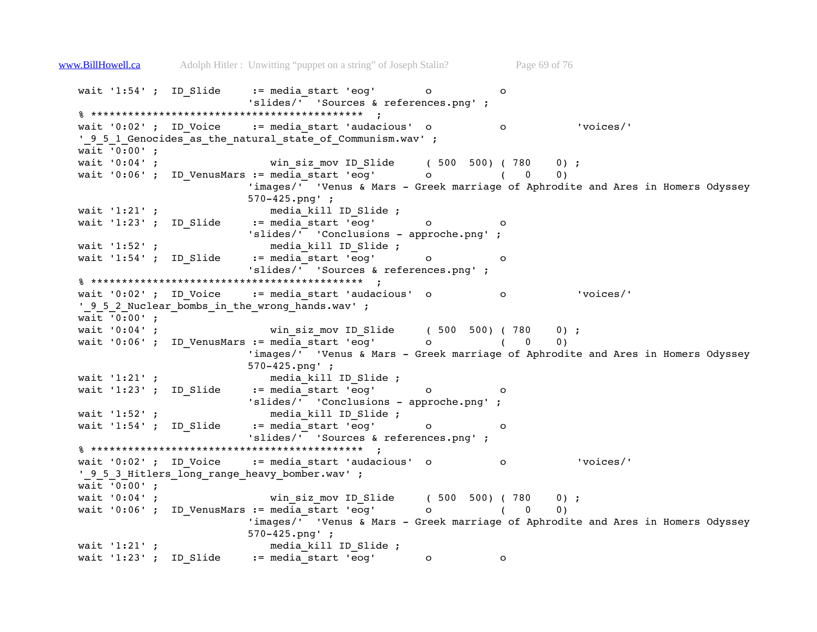[www.BillHowell.ca](http://www.BillHowell.ca/) Adolph Hitler : Unwitting "puppet on a string" of Joseph Stalin? Page 69 of 76 wait '1:54' ; ID\_Slide := media\_start 'eog' o o 'slides/' 'Sources & references.png' ; % \*\*\*\*\*\*\*\*\*\*\*\*\*\*\*\*\*\*\*\*\*\*\*\*\*\*\*\*\*\*\*\*\*\*\*\*\*\*\*\*\*\*\*\* ; wait '0:02' ; ID\_Voice := media\_start 'audacious' o o 'voices/' ' 9 5 1 Genocides as the natural state of Communism.wav' ; wait '0:00' ; wait '0:04' ;<br>wait '0:06' : ID VenusMars := media start 'eog' o (0 0) (0 0) wait '0:06' ; ID VenusMars := media start 'eog'  $\qquad \qquad$  0  $\qquad \qquad$  ( 0 0) 'images/' 'Venus & Mars - Greek marriage of Aphrodite and Ares in Homers Odyssey 570425.png' ; wait '1:21' ; hedia kill ID Slide ; wait '1:23' ; ID\_Slide := media\_start 'eog' o o 'slides/' 'Conclusions - approche.png' ; wait '1:52' ; media\_kill ID\_Slide ; wait '1:54' ; ID Slide  $\qquad :=$  media start 'eog'  $\qquad \qquad$  o  $\qquad \qquad$  o 'slides/' 'Sources & references.png' ; % \*\*\*\*\*\*\*\*\*\*\*\*\*\*\*\*\*\*\*\*\*\*\*\*\*\*\*\*\*\*\*\*\*\*\*\*\*\*\*\*\*\*\*\* ; wait '0:02' ; ID\_Voice := media\_start 'audacious' o o 'voices/' ' 9 5 2 Nuclear bombs in the wrong hands.wav' ; wait '0:00' ; wait '0:04' ; win\_siz\_mov ID\_Slide ( 500 500) ( 780 0) ; wait '0:06' ; ID VenusMars := media start 'eog'  $\qquad \qquad$  0  $( \qquad 0 \qquad 0)$ 'images/' 'Venus & Mars - Greek marriage of Aphrodite and Ares in Homers Odyssey 570425.png' ; wait '1:21' ; hedia kill ID Slide ; wait '1:23' ; ID\_Slide := media\_start 'eog' o o 'slides/' 'Conclusions - approche.png' ; wait '1:52' ; held in media kill ID Slide ; wait '1:54' ; ID\_Slide := media\_start 'eog' o o 'slides/' 'Sources & references.png' ; % \*\*\*\*\*\*\*\*\*\*\*\*\*\*\*\*\*\*\*\*\*\*\*\*\*\*\*\*\*\*\*\*\*\*\*\*\*\*\*\*\*\*\*\* ; wait '0:02' ; ID\_Voice := media\_start 'audacious' o o 'voices/' ' 9 5 3 Hitlers long range heavy bomber.wav' ; wait '0:00' ; wait '0:04' ; win\_siz\_mov ID\_Slide ( 500 500) ( 780 0) ; wait '0:06' ; ID VenusMars := media start 'eog'  $\qquad \qquad$  0  $( \qquad 0 \qquad 0)$ 'images/' 'Venus & Mars - Greek marriage of Aphrodite and Ares in Homers Odyssey 570425.png' ; wait '1:21' ; media\_kill ID\_Slide ; wait '1:23' ; ID\_Slide := media\_start 'eog' o o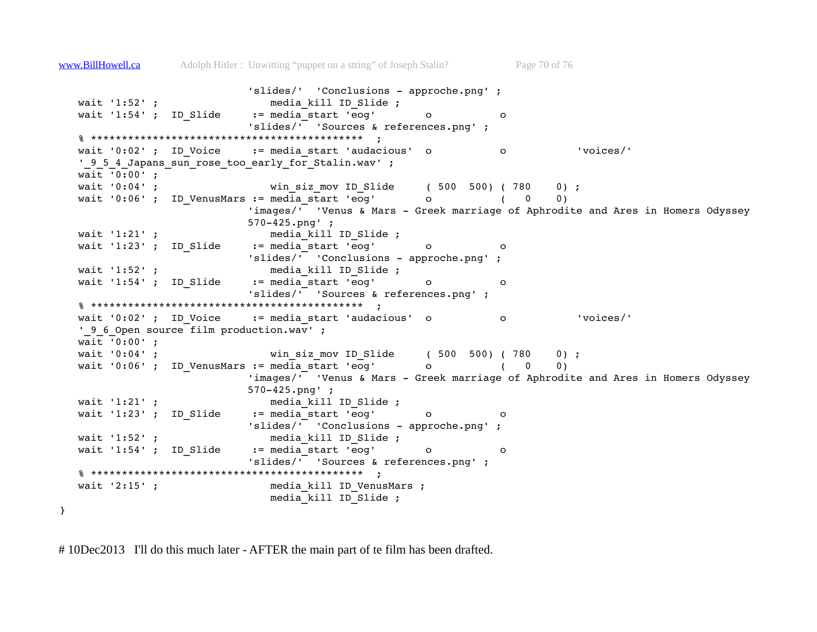```
www.BillHowell.ca Adolph Hitler : Unwitting "puppet on a string" of Joseph Stalin? Page 70 of 76
                               'slides/' 'Conclusions - approche.png';
   wait '1:52' ; health media kill ID Slide ;
   wait '1:54' ; ID Slide := media start 'eog' \qquad \qquad o \qquad \qquad o
                               'slides/'  'Sources & references.png' ;  
      % ********************************************  ;  
      wait '0:02' ;  ID_Voice     := media_start 'audacious'  o           o            'voices/'
   ' 9 5 4 Japans sun rose too early for Stalin.wav' ;
      wait '0:00' ;  
      wait '0:04' ;                  win_siz_mov ID_Slide     ( 500  500) ( 780    0) ; 
   wait '0:06' ; ID VenusMars := media start 'eog' \qquad \qquad 0 ( \qquad 0 \qquad 0)'images/' 'Venus & Mars - Greek marriage of Aphrodite and Ares in Homers Odyssey
                               570425.png' ;  
   wait '1:21' ; hedia kill ID Slide ;
      wait '1:23' ;  ID_Slide     := media_start 'eog'        o           o           
                               'slides/' 'Conclusions - approche.pnq' ;
   wait '1:52' ; headia kill ID Slide ;
   wait '1:54' ; ID Slide := media start 'eog' \qquad \qquad o \qquad \qquad o
                               'slides/' 'Sources & references.png';
      % ********************************************  ;  
      wait '0:02' ;  ID_Voice     := media_start 'audacious'  o           o            'voices/'
   ' 9 6 Open source film production.wav' ;
      wait '0:00' ;  
      wait '0:04' ;                  win_siz_mov ID_Slide     ( 500  500) ( 780    0) ; 
   wait '0:06' ; ID_VenusMars := media_start 'eog' \overline{O} o (0 \ 0)'images/' 'Venus & Mars - Greek marriage of Aphrodite and Ares in Homers Odyssey
                               570425.png' ;  
      wait '1:21' ;                  media_kill ID_Slide ;  
   wait '1:23' ; ID Slide \qquad := media start 'eog' \qquad \qquad o
                               'slides/'  'Conclusions  approche.png' ;  
   wait '1:52' ; hedia kill ID Slide ;
   wait '1:54' ; ID Slide := media start 'eog' \qquad \qquad o \qquad \qquad o
                               'slides/'  'Sources & references.png' ;  
      % ********************************************  ;  
      wait '2:15' ;                  media_kill ID_VenusMars ;  
                                  media kill ID Slide ;
```
# 10Dec2013 I'll do this much later - AFTER the main part of te film has been drafted.

}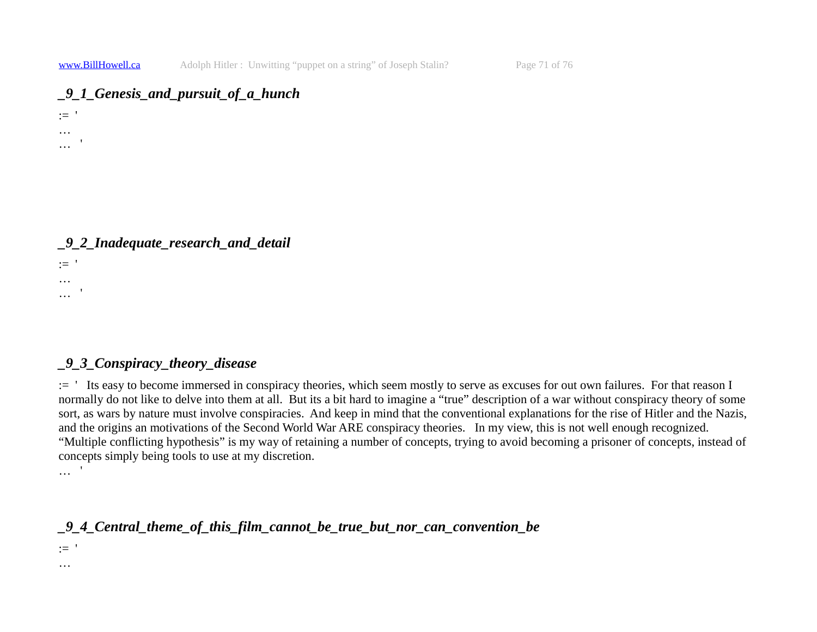# *\_9\_1\_Genesis\_and\_pursuit\_of\_a\_hunch*

:= ' …  $\cdots$ 

*\_9\_2\_Inadequate\_research\_and\_detail*

:= ' …  $\cdots$ 

## *\_9\_3\_Conspiracy\_theory\_disease*

:= ' Its easy to become immersed in conspiracy theories, which seem mostly to serve as excuses for out own failures. For that reason I normally do not like to delve into them at all. But its a bit hard to imagine a "true" description of a war without conspiracy theory of some sort, as wars by nature must involve conspiracies. And keep in mind that the conventional explanations for the rise of Hitler and the Nazis, and the origins an motivations of the Second World War ARE conspiracy theories. In my view, this is not well enough recognized. "Multiple conflicting hypothesis" is my way of retaining a number of concepts, trying to avoid becoming a prisoner of concepts, instead of concepts simply being tools to use at my discretion.  $\ldots$ <sup>'</sup>

*\_9\_4\_Central\_theme\_of\_this\_film\_cannot\_be\_true\_but\_nor\_can\_convention\_be* 

:= '

…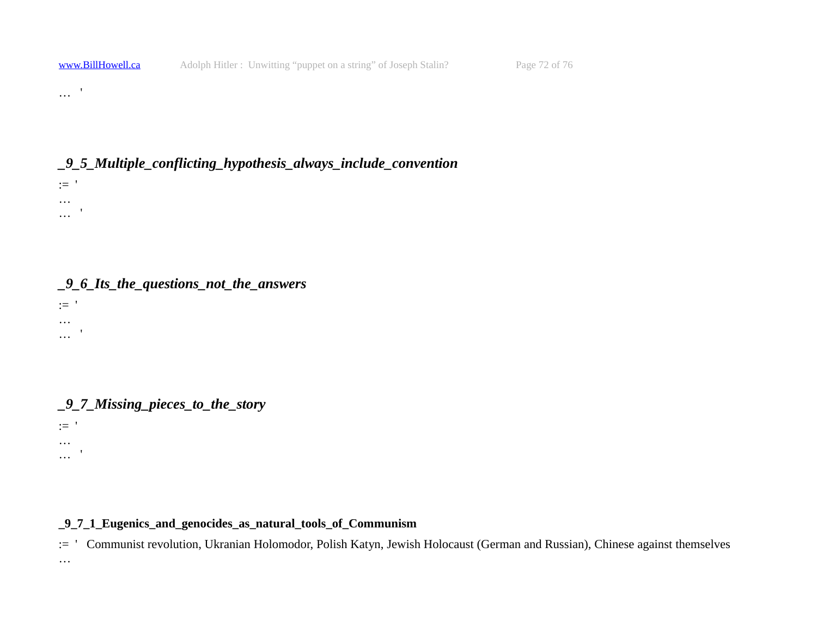# *\_9\_5\_Multiple\_conflicting\_hypothesis\_always\_include\_convention*

:= ' …  $\ldots$ <sup>'</sup>

… '



:= ' …  $\ldots$ <sup>'</sup>

*\_9\_7\_Missing\_pieces\_to\_the\_story*

:= ' … … <u>'</u>

#### **\_9\_7\_1\_Eugenics\_and\_genocides\_as\_natural\_tools\_of\_Communism**

:= ' Communist revolution, Ukranian Holomodor, Polish Katyn, Jewish Holocaust (German and Russian), Chinese against themselves …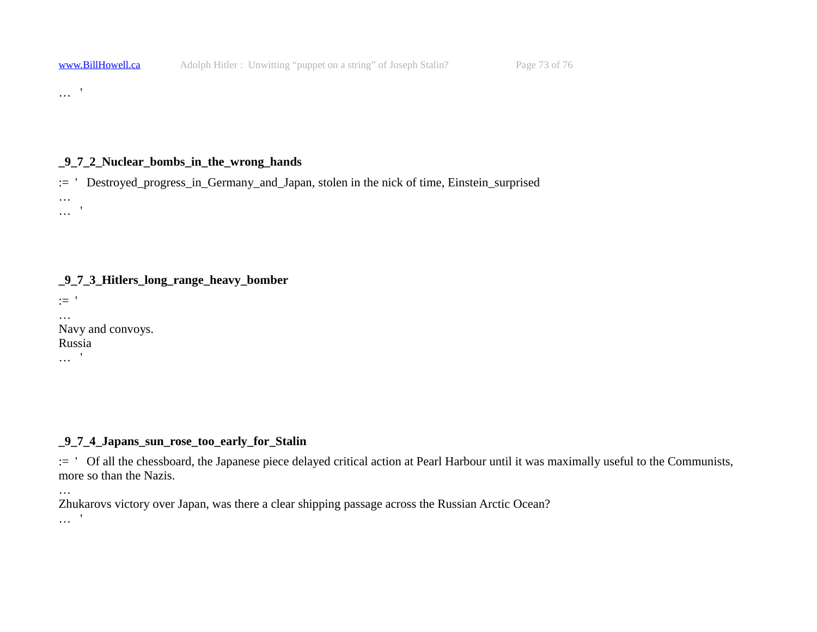#### **\_9\_7\_2\_Nuclear\_bombs\_in\_the\_wrong\_hands**

:= ' Destroyed\_progress\_in\_Germany\_and\_Japan, stolen in the nick of time, Einstein\_surprised

…

… '

… '

### **\_9\_7\_3\_Hitlers\_long\_range\_heavy\_bomber**

:= ' … Navy and convoys. Russia … '

### **\_9\_7\_4\_Japans\_sun\_rose\_too\_early\_for\_Stalin**

:= ' Of all the chessboard, the Japanese piece delayed critical action at Pearl Harbour until it was maximally useful to the Communists, more so than the Nazis.

…

Zhukarovs victory over Japan, was there a clear shipping passage across the Russian Arctic Ocean?

… '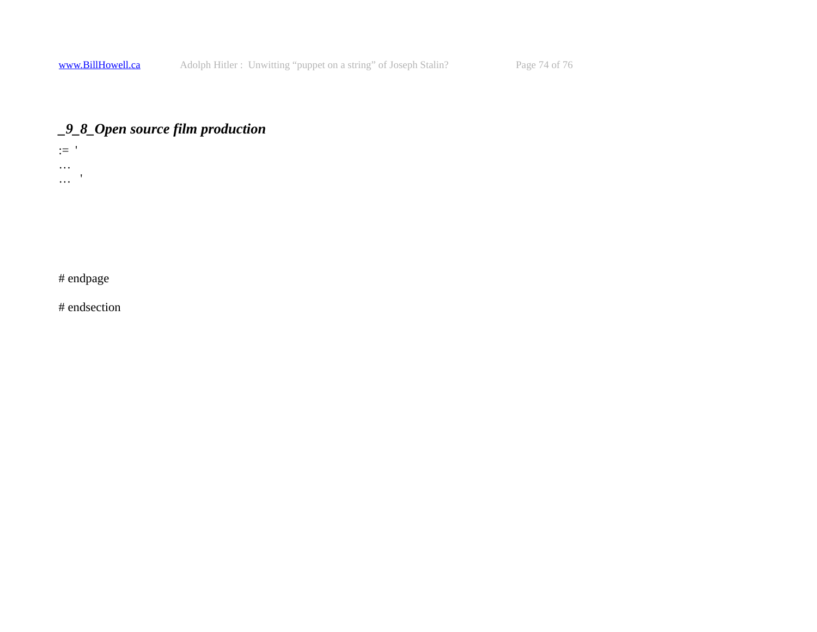# *\_9\_8\_Open source film production*

:= ' …  $\ldots$ <sup>'</sup>

# endpage

# endsection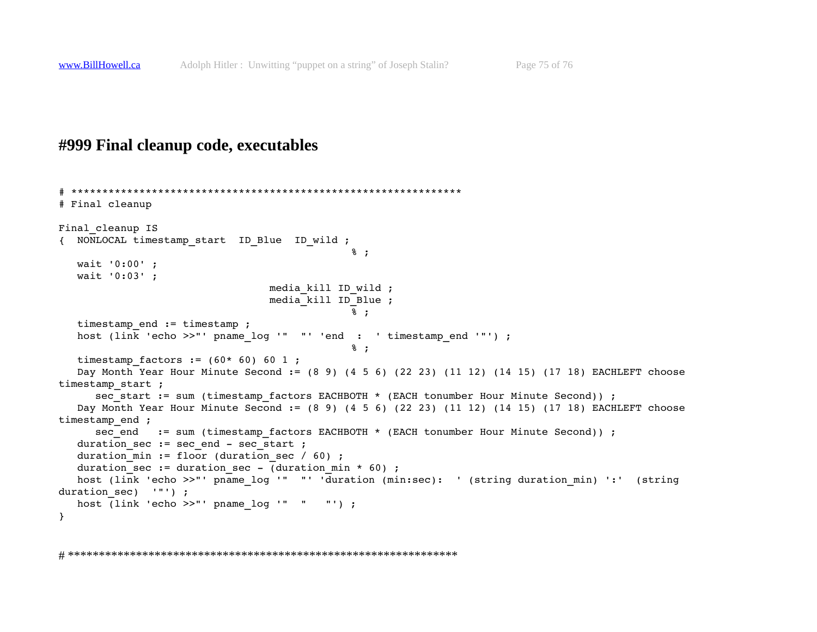## **#999 Final cleanup code, executables**

```
# ***************************************************************
# Final cleanup
Final_cleanup IS 
{  NONLOCAL timestamp_start  ID_Blue  ID_wild ;  
                                                % ;   
     wait '0:00' ;  
     wait '0:03' ;  
                                   media kill ID wild ;
                                   media kill ID Blue ;
                                                % ;   
   timestamp end := timestamp ;
     host (link 'echo >>"' pname_log '"  "' 'end  :  ' timestamp_end '"') ;  
                                                 % ;   
   timestamp factors :=(60* 60) 60 1;   Day Month Year Hour Minute Second := (8 9) (4 5 6) (22 23) (11 12) (14 15) (17 18) EACHLEFT choose 
timestamp_start ; 
      sec start := sum (timestamp factors EACHBOTH * (EACH tonumber Hour Minute Second)) ;
      Day Month Year Hour Minute Second := (8 9) (4 5 6) (22 23) (11 12) (14 15) (17 18) EACHLEFT choose 
timestamp_end ; 
      sec_end   := sum (timestamp_factors EACHBOTH * (EACH tonumber Hour Minute Second)) ;
  duration sec := sec_end - sec_start ;
   duration min := floor (duration sec / 60) ;
  duration sec := duration sec - (duration min * 60) ;
  host (link 'echo >>"' pname_log '" "' 'duration (min:sec): ' (string duration_min) ':' (string
duration sec) '"') ;
  host (link 'echo >>"' pname_log '" " "') ;
}
```
# \*\*\*\*\*\*\*\*\*\*\*\*\*\*\*\*\*\*\*\*\*\*\*\*\*\*\*\*\*\*\*\*\*\*\*\*\*\*\*\*\*\*\*\*\*\*\*\*\*\*\*\*\*\*\*\*\*\*\*\*\*\*\*